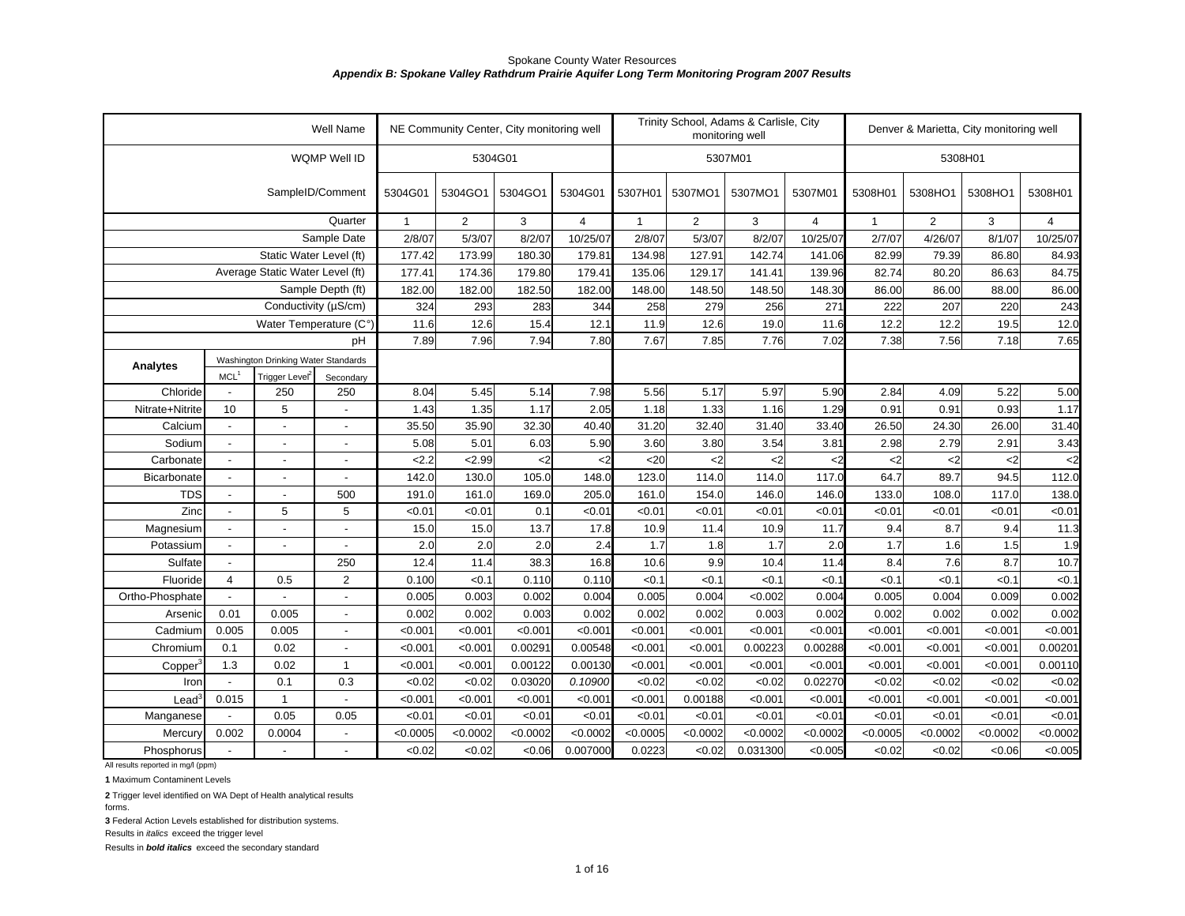|                                    |                          |                                     | Well Name                |              |          | NE Community Center, City monitoring well |                |              |                | Trinity School, Adams & Carlisle, City<br>monitoring well |                |               | Denver & Marietta, City monitoring well |               |                |
|------------------------------------|--------------------------|-------------------------------------|--------------------------|--------------|----------|-------------------------------------------|----------------|--------------|----------------|-----------------------------------------------------------|----------------|---------------|-----------------------------------------|---------------|----------------|
|                                    |                          |                                     | WQMP Well ID             |              |          | 5304G01                                   |                |              |                | 5307M01                                                   |                |               | 5308H01                                 |               |                |
|                                    |                          |                                     | SampleID/Comment         | 5304G01      | 5304GO1  | 5304GO1                                   | 5304G01        | 5307H01      | 5307MO1        | 5307MO1                                                   | 5307M01        | 5308H01       | 5308HO1                                 | 5308HO1       | 5308H01        |
|                                    |                          |                                     | Quarter                  | $\mathbf{1}$ | 2        | 3                                         | $\overline{4}$ | $\mathbf{1}$ | $\overline{2}$ | 3                                                         | $\overline{4}$ | $\mathbf{1}$  | 2                                       | 3             | $\overline{4}$ |
|                                    |                          |                                     | Sample Date              | 2/8/07       | 5/3/07   | 8/2/07                                    | 10/25/07       | 2/8/07       | 5/3/07         | 8/2/07                                                    | 10/25/07       | 2/7/07        | 4/26/07                                 | 8/1/07        | 10/25/07       |
|                                    |                          | Static Water Level (ft)             |                          | 177.42       | 173.99   | 180.30                                    | 179.81         | 134.98       | 127.91         | 142.74                                                    | 141.06         | 82.99         | 79.39                                   | 86.80         | 84.93          |
|                                    |                          | Average Static Water Level (ft)     |                          | 177.41       | 174.36   | 179.80                                    | 179.41         | 135.06       | 129.17         | 141.41                                                    | 139.96         | 82.74         | 80.20                                   | 86.63         | 84.75          |
|                                    |                          |                                     | Sample Depth (ft)        | 182.00       | 182.00   | 182.50                                    | 182.00         | 148.00       | 148.50         | 148.50                                                    | 148.30         | 86.00         | 86.00                                   | 88.00         | 86.00          |
|                                    |                          | Conductivity (µS/cm)                |                          | 324          | 293      | 283                                       | 344            | 258          | 279            | 256                                                       | 271            | 222           | 207                                     | 220           | 243            |
|                                    |                          | Water Temperature (C°)              |                          | 11.6         | 12.6     | 15.4                                      | 12.1           | 11.9         | 12.6           | 19.0                                                      | 11.6           | 12.2          | 12.2                                    | 19.5          | 12.0           |
|                                    |                          |                                     | pH                       | 7.89         | 7.96     | 7.94                                      | 7.80           | 7.67         | 7.85           | 7.76                                                      | 7.02           | 7.38          | 7.56                                    | 7.18          | 7.65           |
| <b>Analytes</b>                    |                          | Washington Drinking Water Standards |                          |              |          |                                           |                |              |                |                                                           |                |               |                                         |               |                |
|                                    | MCL <sup>1</sup>         | Trigger Level <sup>2</sup>          | Secondary                |              |          |                                           |                |              |                |                                                           |                |               |                                         |               |                |
| Chloride                           |                          | 250                                 | 250                      | 8.04         | 5.45     | 5.14                                      | 7.98           | 5.56         | 5.17           | 5.97                                                      | 5.90           | 2.84          | 4.09                                    | 5.22          | 5.00           |
| Nitrate+Nitrite                    | 10                       | 5                                   |                          | 1.43         | 1.35     | 1.17                                      | 2.05           | 1.18         | 1.33           | 1.16                                                      | 1.29           | 0.91          | 0.91                                    | 0.93          | 1.17           |
| Calcium                            | $\blacksquare$           | $\blacksquare$                      | $\overline{\phantom{a}}$ | 35.50        | 35.90    | 32.30                                     | 40.40          | 31.20        | 32.40          | 31.40                                                     | 33.40          | 26.50         | 24.30                                   | 26.00         | 31.40          |
| Sodium                             | $\overline{\phantom{a}}$ |                                     | $\overline{\phantom{a}}$ | 5.08         | 5.01     | 6.03                                      | 5.90           | 3.60         | 3.80           | 3.54                                                      | 3.81           | 2.98          | 2.79                                    | 2.91          | 3.43           |
| Carbonate                          | $\blacksquare$           | $\overline{a}$                      |                          | 2.2          | 2.99     | <2                                        | $\mathbf{<}2$  | <20          | $2$            | $\mathsf{C}2$                                             | <2             | $\mathsf{<}2$ | $\mathsf{<}2$                           | $\mathsf{<}2$ |                |
| Bicarbonate                        |                          | $\overline{a}$                      | $\overline{a}$           | 142.0        | 130.0    | 105.0                                     | 148.0          | 123.0        | 114.0          | 114.0                                                     | 117.0          | 64.7          | 89.7                                    | 94.5          | 112.0          |
| <b>TDS</b>                         | $\overline{a}$           | $\blacksquare$                      | 500                      | 191.0        | 161.0    | 169.0                                     | 205.0          | 161.0        | 154.0          | 146.0                                                     | 146.0          | 133.0         | 108.0                                   | 117.0         | 138.0          |
| Zinc                               | $\blacksquare$           | 5                                   | 5                        | < 0.01       | < 0.01   | 0.1                                       | < 0.01         | < 0.01       | < 0.01         | < 0.01                                                    | < 0.01         | < 0.01        | < 0.01                                  | < 0.01        | < 0.01         |
| Magnesium                          | $\blacksquare$           | $\overline{a}$                      | $\overline{a}$           | 15.0         | 15.0     | 13.7                                      | 17.8           | 10.9         | 11.4           | 10.9                                                      | 11.7           | 9.4           | 8.7                                     | 9.4           | 11.3           |
| Potassium                          | $\overline{\phantom{a}}$ | $\overline{a}$                      | $\overline{\phantom{a}}$ | 2.0          | 2.0      | 2.0                                       | 2.4            | 1.7          | 1.8            | 1.7                                                       | 2.0            | 1.7           | 1.6                                     | 1.5           | 1.9            |
| Sulfate                            | $\overline{\phantom{a}}$ |                                     | 250                      | 12.4         | 11.4     | 38.3                                      | 16.8           | 10.6         | 9.9            | 10.4                                                      | 11.4           | 8.4           | 7.6                                     | 8.7           | 10.7           |
| Fluoride                           | 4                        | 0.5                                 | 2                        | 0.100        | < 0.1    | 0.110                                     | 0.110          | <0.1         | < 0.1          | < 0.1                                                     | < 0.1          | < 0.1         | < 0.1                                   | < 0.1         | < 0.1          |
| Ortho-Phosphate                    |                          |                                     |                          | 0.005        | 0.003    | 0.002                                     | 0.004          | 0.005        | 0.004          | < 0.002                                                   | 0.004          | 0.005         | 0.004                                   | 0.009         | 0.002          |
| Arsenic                            | 0.01                     | 0.005                               | $\overline{a}$           | 0.002        | 0.002    | 0.003                                     | 0.002          | 0.002        | 0.002          | 0.003                                                     | 0.002          | 0.002         | 0.002                                   | 0.002         | 0.002          |
| Cadmium                            | 0.005                    | 0.005                               | $\overline{a}$           | < 0.001      | < 0.001  | < 0.001                                   | < 0.001        | < 0.001      | < 0.001        | < 0.001                                                   | < 0.001        | < 0.001       | < 0.001                                 | < 0.001       | < 0.001        |
| Chromium                           | 0.1                      | 0.02                                |                          | < 0.001      | < 0.001  | 0.00291                                   | 0.00548        | < 0.001      | < 0.001        | 0.00223                                                   | 0.00288        | < 0.001       | < 0.001                                 | < 0.001       | 0.00201        |
| Copper                             | 1.3                      | 0.02                                | $\mathbf{1}$             | < 0.001      | < 0.001  | 0.00122                                   | 0.00130        | < 0.001      | < 0.001        | < 0.001                                                   | < 0.001        | < 0.001       | < 0.001                                 | < 0.001       | 0.00110        |
| Iron                               |                          | 0.1                                 | 0.3                      | <0.02        | < 0.02   | 0.03020                                   | 0.10900        | < 0.02       | <0.02          | <0.02                                                     | 0.02270        | < 0.02        | <0.02                                   | <0.02         | <0.02          |
| $\text{Lead}^3$                    | 0.015                    | $\mathbf{1}$                        |                          | < 0.001      | < 0.001  | < 0.001                                   | < 0.001        | < 0.001      | 0.00188        | < 0.001                                                   | < 0.001        | < 0.001       | < 0.001                                 | < 0.001       | < 0.001        |
| Manganese                          |                          | 0.05                                | 0.05                     | < 0.01       | < 0.01   | < 0.01                                    | < 0.01         | < 0.01       | < 0.01         | <0.01                                                     | < 0.01         | < 0.01        | < 0.01                                  | < 0.01        | < 0.01         |
| Mercury                            | 0.002                    | 0.0004                              | $\overline{\phantom{a}}$ | < 0.0005     | < 0.0002 | < 0.0002                                  | < 0.0002       | < 0.0005     | < 0.0002       | < 0.0002                                                  | < 0.0002       | < 0.0005      | < 0.0002                                | < 0.0002      | < 0.0002       |
| Phosphorus                         |                          |                                     |                          | <0.02        | <0.02    | <0.06                                     | 0.007000       | 0.0223       | <0.02          | 0.031300                                                  | < 0.005        | < 0.02        | <0.02                                   | <0.06         | < 0.005        |
| All results reported in mg/l (ppm) |                          |                                     |                          |              |          |                                           |                |              |                |                                                           |                |               |                                         |               |                |

**1** Maximum Contaminent Levels

**2** Trigger level identified on WA Dept of Health analytical results

forms.

**3** Federal Action Levels established for distribution systems.

Results in *italics* exceed the trigger level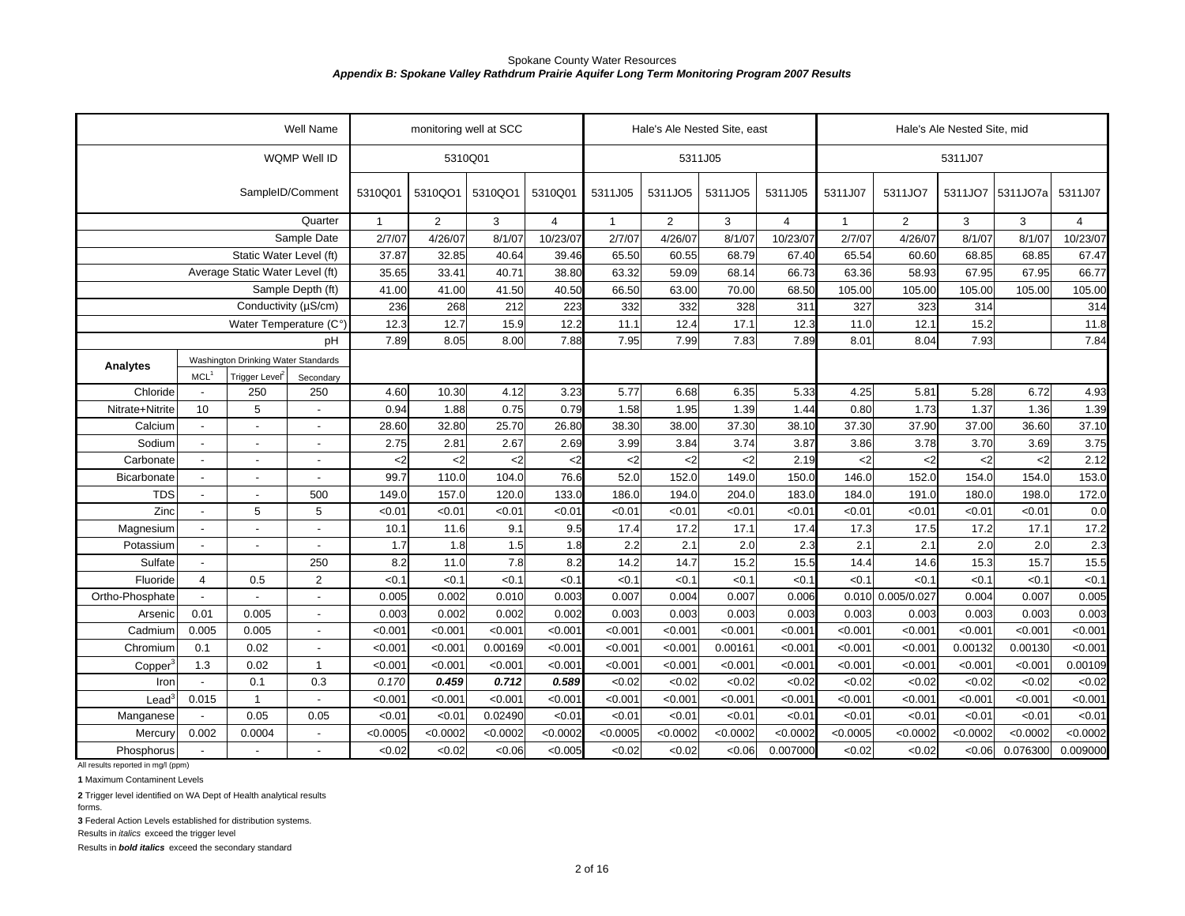| WQMP Well ID<br>5310Q01<br>5311J05<br>5311J07<br>SampleID/Comment<br>5310QO1<br>5311J05<br>5311J07<br>5310Q01<br>5310QO1<br>5310Q01<br>5311J05<br>5311JO5<br>5311JO5<br>5311JO7<br>5311JO7<br>5311JO7a<br>5311J07<br>Quarter<br>$\overline{2}$<br>$\overline{2}$<br>3<br>$\overline{4}$<br>3<br>$\overline{4}$<br>$\overline{2}$<br>3<br>3<br>$\mathbf{1}$<br>$\mathbf{1}$<br>4<br>$\mathbf 1$<br>Sample Date<br>2/7/07<br>4/26/07<br>8/1/07<br>10/23/07<br>2/7/07<br>4/26/07<br>8/1/07<br>10/23/07<br>2/7/07<br>4/26/07<br>8/1/07<br>8/1/07<br>10/23/07<br>Static Water Level (ft)<br>60.55<br>37.87<br>32.85<br>40.64<br>39.46<br>65.50<br>68.79<br>67.40<br>65.54<br>60.60<br>68.85<br>68.85<br>67.47<br>Average Static Water Level (ft)<br>35.65<br>33.41<br>40.71<br>38.80<br>63.32<br>59.09<br>68.14<br>66.73<br>58.93<br>67.95<br>67.95<br>66.77<br>63.36<br>Sample Depth (ft)<br>41.50<br>66.50<br>70.00<br>41.00<br>41.00<br>40.50<br>63.00<br>68.50<br>105.00<br>105.00<br>105.00<br>105.00<br>105.00<br>Conductivity (µS/cm)<br>236<br>268<br>212<br>332<br>328<br>323<br>223<br>332<br>311<br>327<br>314<br>314<br>12.3<br>12.7<br>15.9<br>12.2<br>11.1<br>17.1<br>12.3<br>12.1<br>15.2<br>11.8<br>Water Temperature (C°)<br>12.4<br>11.0<br>7.88<br>7.95<br>7.99<br>7.93<br>7.84<br>7.89<br>8.05<br>8.00<br>7.83<br>7.89<br>8.01<br>8.04<br>pH<br>Washington Drinking Water Standards<br>Analytes<br>MCL <sup>1</sup><br>Trigger Level <sup>2</sup><br>Secondary<br>Chloride<br>250<br>250<br>4.60<br>10.30<br>4.12<br>3.23<br>5.77<br>6.68<br>6.35<br>5.33<br>4.25<br>5.81<br>5.28<br>6.72<br>4.93<br>$\blacksquare$<br>0.75<br>1.73<br>1.37<br>1.39<br>10<br>5<br>0.94<br>1.88<br>0.79<br>1.58<br>1.95<br>1.39<br>0.80<br>1.36<br>Nitrate+Nitrite<br>1.44<br>32.80<br>25.70<br>26.80<br>38.30<br>38.00<br>37.30<br>38.10<br>37.30<br>37.90<br>37.00<br>36.60<br>37.10<br>Calcium<br>28.60<br>$\blacksquare$<br>$\blacksquare$<br>3.75<br>2.75<br>2.67<br>2.69<br>3.99<br>3.84<br>3.74<br>3.87<br>3.86<br>3.78<br>3.70<br>3.69<br>Sodium<br>2.81<br>$\blacksquare$<br>$\overline{a}$<br>$\overline{a}$<br>2.12<br>Carbonate<br>$2$<br>$2$<br>2.19<br>$2$<br>$<$ 2<br><2<br>$<$ 2<br>$\mathsf{<}2$<br>$<$ 2<br>$<$ 2<br>$2$<br>$<$ 2<br>$\blacksquare$<br>52.0<br>99.7<br>104.0<br>76.6<br>152.0<br>149.0<br>150.0<br>152.0<br>154.0<br>153.0<br>Bicarbonate<br>110.0<br>146.0<br>154.0<br>$\overline{a}$<br>$\overline{a}$<br>$\overline{a}$<br>204.0<br>172.0<br><b>TDS</b><br>500<br>149.0<br>157.0<br>120.0<br>133.0<br>186.0<br>194.0<br>183.0<br>191.0<br>180.0<br>198.0<br>184.0<br>$\overline{a}$<br>$\overline{a}$<br>Zinc<br>5<br>5<br>< 0.01<br>< 0.01<br>< 0.01<br>< 0.01<br>< 0.01<br>< 0.01<br>< 0.01<br><0.01<br>< 0.01<br>< 0.01<br>< 0.01<br>< 0.01<br>0.0<br>$\overline{\phantom{a}}$<br>17.2<br>10.1<br>11.6<br>9.1<br>9.5<br>17.4<br>17.2<br>17.1<br>17.4<br>17.3<br>17.5<br>17.2<br>17.1<br>Magnesium<br>$\overline{\phantom{a}}$<br>$\overline{a}$<br>$\overline{2.3}$<br>2.1<br>2.0<br>2.3<br>2.1<br>1.7<br>1.5<br>1.8<br>2.2<br>2.1<br>2.0<br>2.0<br>Potassium<br>1.8<br>$\blacksquare$<br>$\blacksquare$<br>$\overline{a}$<br>8.2<br>7.8<br>8.2<br>14.2<br>14.7<br>15.2<br>14.6<br>15.3<br>15.5<br>Sulfate<br>250<br>11.0<br>15.5<br>14.4<br>15.7<br>$\overline{\phantom{a}}$<br>Fluoride<br>$\overline{2}$<br>< 0.1<br>< 0.1<br>< 0.1<br>< 0.1<br><0.1<br>< 0.1<br>< 0.1<br>< 0.1<br><0.1<br>< 0.1<br><0.1<br>< 0.1<br>< 0.1<br>$\overline{4}$<br>0.5<br>0.005<br>0.010<br>0.003<br>0.007<br>0.004<br>0.007<br>0.010 0.005/0.027<br>0.007<br>0.005<br>Ortho-Phosphate<br>0.002<br>0.006<br>0.004<br>0.003<br>0.01<br>0.005<br>0.003<br>0.002<br>0.002<br>0.002<br>0.003<br>0.003<br>0.003<br>0.003<br>0.003<br>0.003<br>0.003<br>0.003<br>Arsenic<br>< 0.001<br>< 0.001<br>< 0.001<br>< 0.001<br>< 0.001<br>< 0.001<br>Cadmium<br>0.005<br>0.005<br>< 0.001<br>< 0.001<br>< 0.001<br>< 0.001<br>< 0.001<br>< 0.001<br>< 0.001<br>$\overline{a}$<br>0.02<br>< 0.001<br>< 0.001<br>< 0.001<br>0.00161<br>< 0.001<br>Chromium<br>0.1<br>< 0.001<br>< 0.001<br>0.00169<br>< 0.001<br>< 0.001<br>< 0.001<br>0.00132<br>0.00130<br>$\overline{a}$<br>1.3<br>0.02<br>< 0.001<br>< 0.001<br>< 0.001<br>< 0.001<br>< 0.001<br>< 0.001<br>< 0.001<br>< 0.001<br>< 0.001<br>< 0.001<br>0.00109<br>$\mathbf{1}$<br>< 0.001<br>< 0.001<br>Copper<br>0.3<br>0.170<br>0.459<br>0.712<br>0.589<br>< 0.02<br>< 0.02<br><0.02<br><0.02<br><0.02<br>< 0.02<br><0.02<br><0.02<br>Iron<br>0.1<br><0.02<br>< 0.001<br>< 0.001<br>< 0.001<br>< 0.001<br>< 0.001<br>< 0.001<br>< 0.001<br>< 0.001<br>0.015<br>$\mathbf{1}$<br>< 0.001<br>< 0.001<br>< 0.001<br>< 0.001<br>< 0.001<br>$\text{Lead}^3$<br>0.05<br>0.05<br>< 0.01<br>< 0.01<br>0.02490<br>< 0.01<br>< 0.01<br>< 0.01<br>< 0.01<br>< 0.01<br>< 0.01<br>< 0.01<br>< 0.01<br>< 0.01<br>< 0.01<br>Manganese<br>$\overline{\phantom{a}}$<br><0.0002<br>< 0.0005<br>< 0.0002<br>< 0.0002<br>< 0.0002<br><0.0002<br>< 0.0002<br>0.002<br>0.0004<br>< 0.0005<br>< 0.0002<br>< 0.0002<br>< 0.0005<br>< 0.0002<br>< 0.0002<br>Mercury<br>< 0.02<br><0.02<br><0.02<br><0.02<br><0.06<br>< 0.005<br><0.06<br>0.007000<br>< 0.02<br>< 0.02<br>&0.06<br>0.076300<br>0.009000<br>Phosphorus |  | Well Name | monitoring well at SCC |  |  | Hale's Ale Nested Site, east |  | Hale's Ale Nested Site, mid |  |
|----------------------------------------------------------------------------------------------------------------------------------------------------------------------------------------------------------------------------------------------------------------------------------------------------------------------------------------------------------------------------------------------------------------------------------------------------------------------------------------------------------------------------------------------------------------------------------------------------------------------------------------------------------------------------------------------------------------------------------------------------------------------------------------------------------------------------------------------------------------------------------------------------------------------------------------------------------------------------------------------------------------------------------------------------------------------------------------------------------------------------------------------------------------------------------------------------------------------------------------------------------------------------------------------------------------------------------------------------------------------------------------------------------------------------------------------------------------------------------------------------------------------------------------------------------------------------------------------------------------------------------------------------------------------------------------------------------------------------------------------------------------------------------------------------------------------------------------------------------------------------------------------------------------------------------------------------------------------------------------------------------------------------------------------------------------------------------------------------------------------------------------------------------------------------------------------------------------------------------------------------------------------------------------------------------------------------------------------------------------------------------------------------------------------------------------------------------------------------------------------------------------------------------------------------------------------------------------------------------------------------------------------------------------------------------------------------------------------------------------------------------------------------------------------------------------------------------------------------------------------------------------------------------------------------------------------------------------------------------------------------------------------------------------------------------------------------------------------------------------------------------------------------------------------------------------------------------------------------------------------------------------------------------------------------------------------------------------------------------------------------------------------------------------------------------------------------------------------------------------------------------------------------------------------------------------------------------------------------------------------------------------------------------------------------------------------------------------------------------------------------------------------------------------------------------------------------------------------------------------------------------------------------------------------------------------------------------------------------------------------------------------------------------------------------------------------------------------------------------------------------------------------------------------------------------------------------------------------------------------------------------------------------------------------------------------------------------------------------------------------------------------------------------------------------------------------------------------------------------------------------------------------------------------------------------------------------------------------------------------------------------------------------------------------------------------------------------------------------------------------------------------------------------------------------------------------------------------------------------------------------------------------------------------------------------------------------------------------------------------------------------------------------------------------------------------------------------------------------------------------------------------------------------------------------------------------------------------------------------------------------------|--|-----------|------------------------|--|--|------------------------------|--|-----------------------------|--|
|                                                                                                                                                                                                                                                                                                                                                                                                                                                                                                                                                                                                                                                                                                                                                                                                                                                                                                                                                                                                                                                                                                                                                                                                                                                                                                                                                                                                                                                                                                                                                                                                                                                                                                                                                                                                                                                                                                                                                                                                                                                                                                                                                                                                                                                                                                                                                                                                                                                                                                                                                                                                                                                                                                                                                                                                                                                                                                                                                                                                                                                                                                                                                                                                                                                                                                                                                                                                                                                                                                                                                                                                                                                                                                                                                                                                                                                                                                                                                                                                                                                                                                                                                                                                                                                                                                                                                                                                                                                                                                                                                                                                                                                                                                                                                                                                                                                                                                                                                                                                                                                                                                                                                                                                                                                          |  |           |                        |  |  |                              |  |                             |  |
|                                                                                                                                                                                                                                                                                                                                                                                                                                                                                                                                                                                                                                                                                                                                                                                                                                                                                                                                                                                                                                                                                                                                                                                                                                                                                                                                                                                                                                                                                                                                                                                                                                                                                                                                                                                                                                                                                                                                                                                                                                                                                                                                                                                                                                                                                                                                                                                                                                                                                                                                                                                                                                                                                                                                                                                                                                                                                                                                                                                                                                                                                                                                                                                                                                                                                                                                                                                                                                                                                                                                                                                                                                                                                                                                                                                                                                                                                                                                                                                                                                                                                                                                                                                                                                                                                                                                                                                                                                                                                                                                                                                                                                                                                                                                                                                                                                                                                                                                                                                                                                                                                                                                                                                                                                                          |  |           |                        |  |  |                              |  |                             |  |
|                                                                                                                                                                                                                                                                                                                                                                                                                                                                                                                                                                                                                                                                                                                                                                                                                                                                                                                                                                                                                                                                                                                                                                                                                                                                                                                                                                                                                                                                                                                                                                                                                                                                                                                                                                                                                                                                                                                                                                                                                                                                                                                                                                                                                                                                                                                                                                                                                                                                                                                                                                                                                                                                                                                                                                                                                                                                                                                                                                                                                                                                                                                                                                                                                                                                                                                                                                                                                                                                                                                                                                                                                                                                                                                                                                                                                                                                                                                                                                                                                                                                                                                                                                                                                                                                                                                                                                                                                                                                                                                                                                                                                                                                                                                                                                                                                                                                                                                                                                                                                                                                                                                                                                                                                                                          |  |           |                        |  |  |                              |  |                             |  |
|                                                                                                                                                                                                                                                                                                                                                                                                                                                                                                                                                                                                                                                                                                                                                                                                                                                                                                                                                                                                                                                                                                                                                                                                                                                                                                                                                                                                                                                                                                                                                                                                                                                                                                                                                                                                                                                                                                                                                                                                                                                                                                                                                                                                                                                                                                                                                                                                                                                                                                                                                                                                                                                                                                                                                                                                                                                                                                                                                                                                                                                                                                                                                                                                                                                                                                                                                                                                                                                                                                                                                                                                                                                                                                                                                                                                                                                                                                                                                                                                                                                                                                                                                                                                                                                                                                                                                                                                                                                                                                                                                                                                                                                                                                                                                                                                                                                                                                                                                                                                                                                                                                                                                                                                                                                          |  |           |                        |  |  |                              |  |                             |  |
|                                                                                                                                                                                                                                                                                                                                                                                                                                                                                                                                                                                                                                                                                                                                                                                                                                                                                                                                                                                                                                                                                                                                                                                                                                                                                                                                                                                                                                                                                                                                                                                                                                                                                                                                                                                                                                                                                                                                                                                                                                                                                                                                                                                                                                                                                                                                                                                                                                                                                                                                                                                                                                                                                                                                                                                                                                                                                                                                                                                                                                                                                                                                                                                                                                                                                                                                                                                                                                                                                                                                                                                                                                                                                                                                                                                                                                                                                                                                                                                                                                                                                                                                                                                                                                                                                                                                                                                                                                                                                                                                                                                                                                                                                                                                                                                                                                                                                                                                                                                                                                                                                                                                                                                                                                                          |  |           |                        |  |  |                              |  |                             |  |
|                                                                                                                                                                                                                                                                                                                                                                                                                                                                                                                                                                                                                                                                                                                                                                                                                                                                                                                                                                                                                                                                                                                                                                                                                                                                                                                                                                                                                                                                                                                                                                                                                                                                                                                                                                                                                                                                                                                                                                                                                                                                                                                                                                                                                                                                                                                                                                                                                                                                                                                                                                                                                                                                                                                                                                                                                                                                                                                                                                                                                                                                                                                                                                                                                                                                                                                                                                                                                                                                                                                                                                                                                                                                                                                                                                                                                                                                                                                                                                                                                                                                                                                                                                                                                                                                                                                                                                                                                                                                                                                                                                                                                                                                                                                                                                                                                                                                                                                                                                                                                                                                                                                                                                                                                                                          |  |           |                        |  |  |                              |  |                             |  |
|                                                                                                                                                                                                                                                                                                                                                                                                                                                                                                                                                                                                                                                                                                                                                                                                                                                                                                                                                                                                                                                                                                                                                                                                                                                                                                                                                                                                                                                                                                                                                                                                                                                                                                                                                                                                                                                                                                                                                                                                                                                                                                                                                                                                                                                                                                                                                                                                                                                                                                                                                                                                                                                                                                                                                                                                                                                                                                                                                                                                                                                                                                                                                                                                                                                                                                                                                                                                                                                                                                                                                                                                                                                                                                                                                                                                                                                                                                                                                                                                                                                                                                                                                                                                                                                                                                                                                                                                                                                                                                                                                                                                                                                                                                                                                                                                                                                                                                                                                                                                                                                                                                                                                                                                                                                          |  |           |                        |  |  |                              |  |                             |  |
|                                                                                                                                                                                                                                                                                                                                                                                                                                                                                                                                                                                                                                                                                                                                                                                                                                                                                                                                                                                                                                                                                                                                                                                                                                                                                                                                                                                                                                                                                                                                                                                                                                                                                                                                                                                                                                                                                                                                                                                                                                                                                                                                                                                                                                                                                                                                                                                                                                                                                                                                                                                                                                                                                                                                                                                                                                                                                                                                                                                                                                                                                                                                                                                                                                                                                                                                                                                                                                                                                                                                                                                                                                                                                                                                                                                                                                                                                                                                                                                                                                                                                                                                                                                                                                                                                                                                                                                                                                                                                                                                                                                                                                                                                                                                                                                                                                                                                                                                                                                                                                                                                                                                                                                                                                                          |  |           |                        |  |  |                              |  |                             |  |
|                                                                                                                                                                                                                                                                                                                                                                                                                                                                                                                                                                                                                                                                                                                                                                                                                                                                                                                                                                                                                                                                                                                                                                                                                                                                                                                                                                                                                                                                                                                                                                                                                                                                                                                                                                                                                                                                                                                                                                                                                                                                                                                                                                                                                                                                                                                                                                                                                                                                                                                                                                                                                                                                                                                                                                                                                                                                                                                                                                                                                                                                                                                                                                                                                                                                                                                                                                                                                                                                                                                                                                                                                                                                                                                                                                                                                                                                                                                                                                                                                                                                                                                                                                                                                                                                                                                                                                                                                                                                                                                                                                                                                                                                                                                                                                                                                                                                                                                                                                                                                                                                                                                                                                                                                                                          |  |           |                        |  |  |                              |  |                             |  |
|                                                                                                                                                                                                                                                                                                                                                                                                                                                                                                                                                                                                                                                                                                                                                                                                                                                                                                                                                                                                                                                                                                                                                                                                                                                                                                                                                                                                                                                                                                                                                                                                                                                                                                                                                                                                                                                                                                                                                                                                                                                                                                                                                                                                                                                                                                                                                                                                                                                                                                                                                                                                                                                                                                                                                                                                                                                                                                                                                                                                                                                                                                                                                                                                                                                                                                                                                                                                                                                                                                                                                                                                                                                                                                                                                                                                                                                                                                                                                                                                                                                                                                                                                                                                                                                                                                                                                                                                                                                                                                                                                                                                                                                                                                                                                                                                                                                                                                                                                                                                                                                                                                                                                                                                                                                          |  |           |                        |  |  |                              |  |                             |  |
|                                                                                                                                                                                                                                                                                                                                                                                                                                                                                                                                                                                                                                                                                                                                                                                                                                                                                                                                                                                                                                                                                                                                                                                                                                                                                                                                                                                                                                                                                                                                                                                                                                                                                                                                                                                                                                                                                                                                                                                                                                                                                                                                                                                                                                                                                                                                                                                                                                                                                                                                                                                                                                                                                                                                                                                                                                                                                                                                                                                                                                                                                                                                                                                                                                                                                                                                                                                                                                                                                                                                                                                                                                                                                                                                                                                                                                                                                                                                                                                                                                                                                                                                                                                                                                                                                                                                                                                                                                                                                                                                                                                                                                                                                                                                                                                                                                                                                                                                                                                                                                                                                                                                                                                                                                                          |  |           |                        |  |  |                              |  |                             |  |
|                                                                                                                                                                                                                                                                                                                                                                                                                                                                                                                                                                                                                                                                                                                                                                                                                                                                                                                                                                                                                                                                                                                                                                                                                                                                                                                                                                                                                                                                                                                                                                                                                                                                                                                                                                                                                                                                                                                                                                                                                                                                                                                                                                                                                                                                                                                                                                                                                                                                                                                                                                                                                                                                                                                                                                                                                                                                                                                                                                                                                                                                                                                                                                                                                                                                                                                                                                                                                                                                                                                                                                                                                                                                                                                                                                                                                                                                                                                                                                                                                                                                                                                                                                                                                                                                                                                                                                                                                                                                                                                                                                                                                                                                                                                                                                                                                                                                                                                                                                                                                                                                                                                                                                                                                                                          |  |           |                        |  |  |                              |  |                             |  |
|                                                                                                                                                                                                                                                                                                                                                                                                                                                                                                                                                                                                                                                                                                                                                                                                                                                                                                                                                                                                                                                                                                                                                                                                                                                                                                                                                                                                                                                                                                                                                                                                                                                                                                                                                                                                                                                                                                                                                                                                                                                                                                                                                                                                                                                                                                                                                                                                                                                                                                                                                                                                                                                                                                                                                                                                                                                                                                                                                                                                                                                                                                                                                                                                                                                                                                                                                                                                                                                                                                                                                                                                                                                                                                                                                                                                                                                                                                                                                                                                                                                                                                                                                                                                                                                                                                                                                                                                                                                                                                                                                                                                                                                                                                                                                                                                                                                                                                                                                                                                                                                                                                                                                                                                                                                          |  |           |                        |  |  |                              |  |                             |  |
|                                                                                                                                                                                                                                                                                                                                                                                                                                                                                                                                                                                                                                                                                                                                                                                                                                                                                                                                                                                                                                                                                                                                                                                                                                                                                                                                                                                                                                                                                                                                                                                                                                                                                                                                                                                                                                                                                                                                                                                                                                                                                                                                                                                                                                                                                                                                                                                                                                                                                                                                                                                                                                                                                                                                                                                                                                                                                                                                                                                                                                                                                                                                                                                                                                                                                                                                                                                                                                                                                                                                                                                                                                                                                                                                                                                                                                                                                                                                                                                                                                                                                                                                                                                                                                                                                                                                                                                                                                                                                                                                                                                                                                                                                                                                                                                                                                                                                                                                                                                                                                                                                                                                                                                                                                                          |  |           |                        |  |  |                              |  |                             |  |
|                                                                                                                                                                                                                                                                                                                                                                                                                                                                                                                                                                                                                                                                                                                                                                                                                                                                                                                                                                                                                                                                                                                                                                                                                                                                                                                                                                                                                                                                                                                                                                                                                                                                                                                                                                                                                                                                                                                                                                                                                                                                                                                                                                                                                                                                                                                                                                                                                                                                                                                                                                                                                                                                                                                                                                                                                                                                                                                                                                                                                                                                                                                                                                                                                                                                                                                                                                                                                                                                                                                                                                                                                                                                                                                                                                                                                                                                                                                                                                                                                                                                                                                                                                                                                                                                                                                                                                                                                                                                                                                                                                                                                                                                                                                                                                                                                                                                                                                                                                                                                                                                                                                                                                                                                                                          |  |           |                        |  |  |                              |  |                             |  |
|                                                                                                                                                                                                                                                                                                                                                                                                                                                                                                                                                                                                                                                                                                                                                                                                                                                                                                                                                                                                                                                                                                                                                                                                                                                                                                                                                                                                                                                                                                                                                                                                                                                                                                                                                                                                                                                                                                                                                                                                                                                                                                                                                                                                                                                                                                                                                                                                                                                                                                                                                                                                                                                                                                                                                                                                                                                                                                                                                                                                                                                                                                                                                                                                                                                                                                                                                                                                                                                                                                                                                                                                                                                                                                                                                                                                                                                                                                                                                                                                                                                                                                                                                                                                                                                                                                                                                                                                                                                                                                                                                                                                                                                                                                                                                                                                                                                                                                                                                                                                                                                                                                                                                                                                                                                          |  |           |                        |  |  |                              |  |                             |  |
|                                                                                                                                                                                                                                                                                                                                                                                                                                                                                                                                                                                                                                                                                                                                                                                                                                                                                                                                                                                                                                                                                                                                                                                                                                                                                                                                                                                                                                                                                                                                                                                                                                                                                                                                                                                                                                                                                                                                                                                                                                                                                                                                                                                                                                                                                                                                                                                                                                                                                                                                                                                                                                                                                                                                                                                                                                                                                                                                                                                                                                                                                                                                                                                                                                                                                                                                                                                                                                                                                                                                                                                                                                                                                                                                                                                                                                                                                                                                                                                                                                                                                                                                                                                                                                                                                                                                                                                                                                                                                                                                                                                                                                                                                                                                                                                                                                                                                                                                                                                                                                                                                                                                                                                                                                                          |  |           |                        |  |  |                              |  |                             |  |
|                                                                                                                                                                                                                                                                                                                                                                                                                                                                                                                                                                                                                                                                                                                                                                                                                                                                                                                                                                                                                                                                                                                                                                                                                                                                                                                                                                                                                                                                                                                                                                                                                                                                                                                                                                                                                                                                                                                                                                                                                                                                                                                                                                                                                                                                                                                                                                                                                                                                                                                                                                                                                                                                                                                                                                                                                                                                                                                                                                                                                                                                                                                                                                                                                                                                                                                                                                                                                                                                                                                                                                                                                                                                                                                                                                                                                                                                                                                                                                                                                                                                                                                                                                                                                                                                                                                                                                                                                                                                                                                                                                                                                                                                                                                                                                                                                                                                                                                                                                                                                                                                                                                                                                                                                                                          |  |           |                        |  |  |                              |  |                             |  |
|                                                                                                                                                                                                                                                                                                                                                                                                                                                                                                                                                                                                                                                                                                                                                                                                                                                                                                                                                                                                                                                                                                                                                                                                                                                                                                                                                                                                                                                                                                                                                                                                                                                                                                                                                                                                                                                                                                                                                                                                                                                                                                                                                                                                                                                                                                                                                                                                                                                                                                                                                                                                                                                                                                                                                                                                                                                                                                                                                                                                                                                                                                                                                                                                                                                                                                                                                                                                                                                                                                                                                                                                                                                                                                                                                                                                                                                                                                                                                                                                                                                                                                                                                                                                                                                                                                                                                                                                                                                                                                                                                                                                                                                                                                                                                                                                                                                                                                                                                                                                                                                                                                                                                                                                                                                          |  |           |                        |  |  |                              |  |                             |  |
|                                                                                                                                                                                                                                                                                                                                                                                                                                                                                                                                                                                                                                                                                                                                                                                                                                                                                                                                                                                                                                                                                                                                                                                                                                                                                                                                                                                                                                                                                                                                                                                                                                                                                                                                                                                                                                                                                                                                                                                                                                                                                                                                                                                                                                                                                                                                                                                                                                                                                                                                                                                                                                                                                                                                                                                                                                                                                                                                                                                                                                                                                                                                                                                                                                                                                                                                                                                                                                                                                                                                                                                                                                                                                                                                                                                                                                                                                                                                                                                                                                                                                                                                                                                                                                                                                                                                                                                                                                                                                                                                                                                                                                                                                                                                                                                                                                                                                                                                                                                                                                                                                                                                                                                                                                                          |  |           |                        |  |  |                              |  |                             |  |
|                                                                                                                                                                                                                                                                                                                                                                                                                                                                                                                                                                                                                                                                                                                                                                                                                                                                                                                                                                                                                                                                                                                                                                                                                                                                                                                                                                                                                                                                                                                                                                                                                                                                                                                                                                                                                                                                                                                                                                                                                                                                                                                                                                                                                                                                                                                                                                                                                                                                                                                                                                                                                                                                                                                                                                                                                                                                                                                                                                                                                                                                                                                                                                                                                                                                                                                                                                                                                                                                                                                                                                                                                                                                                                                                                                                                                                                                                                                                                                                                                                                                                                                                                                                                                                                                                                                                                                                                                                                                                                                                                                                                                                                                                                                                                                                                                                                                                                                                                                                                                                                                                                                                                                                                                                                          |  |           |                        |  |  |                              |  |                             |  |
|                                                                                                                                                                                                                                                                                                                                                                                                                                                                                                                                                                                                                                                                                                                                                                                                                                                                                                                                                                                                                                                                                                                                                                                                                                                                                                                                                                                                                                                                                                                                                                                                                                                                                                                                                                                                                                                                                                                                                                                                                                                                                                                                                                                                                                                                                                                                                                                                                                                                                                                                                                                                                                                                                                                                                                                                                                                                                                                                                                                                                                                                                                                                                                                                                                                                                                                                                                                                                                                                                                                                                                                                                                                                                                                                                                                                                                                                                                                                                                                                                                                                                                                                                                                                                                                                                                                                                                                                                                                                                                                                                                                                                                                                                                                                                                                                                                                                                                                                                                                                                                                                                                                                                                                                                                                          |  |           |                        |  |  |                              |  |                             |  |
|                                                                                                                                                                                                                                                                                                                                                                                                                                                                                                                                                                                                                                                                                                                                                                                                                                                                                                                                                                                                                                                                                                                                                                                                                                                                                                                                                                                                                                                                                                                                                                                                                                                                                                                                                                                                                                                                                                                                                                                                                                                                                                                                                                                                                                                                                                                                                                                                                                                                                                                                                                                                                                                                                                                                                                                                                                                                                                                                                                                                                                                                                                                                                                                                                                                                                                                                                                                                                                                                                                                                                                                                                                                                                                                                                                                                                                                                                                                                                                                                                                                                                                                                                                                                                                                                                                                                                                                                                                                                                                                                                                                                                                                                                                                                                                                                                                                                                                                                                                                                                                                                                                                                                                                                                                                          |  |           |                        |  |  |                              |  |                             |  |
|                                                                                                                                                                                                                                                                                                                                                                                                                                                                                                                                                                                                                                                                                                                                                                                                                                                                                                                                                                                                                                                                                                                                                                                                                                                                                                                                                                                                                                                                                                                                                                                                                                                                                                                                                                                                                                                                                                                                                                                                                                                                                                                                                                                                                                                                                                                                                                                                                                                                                                                                                                                                                                                                                                                                                                                                                                                                                                                                                                                                                                                                                                                                                                                                                                                                                                                                                                                                                                                                                                                                                                                                                                                                                                                                                                                                                                                                                                                                                                                                                                                                                                                                                                                                                                                                                                                                                                                                                                                                                                                                                                                                                                                                                                                                                                                                                                                                                                                                                                                                                                                                                                                                                                                                                                                          |  |           |                        |  |  |                              |  |                             |  |
|                                                                                                                                                                                                                                                                                                                                                                                                                                                                                                                                                                                                                                                                                                                                                                                                                                                                                                                                                                                                                                                                                                                                                                                                                                                                                                                                                                                                                                                                                                                                                                                                                                                                                                                                                                                                                                                                                                                                                                                                                                                                                                                                                                                                                                                                                                                                                                                                                                                                                                                                                                                                                                                                                                                                                                                                                                                                                                                                                                                                                                                                                                                                                                                                                                                                                                                                                                                                                                                                                                                                                                                                                                                                                                                                                                                                                                                                                                                                                                                                                                                                                                                                                                                                                                                                                                                                                                                                                                                                                                                                                                                                                                                                                                                                                                                                                                                                                                                                                                                                                                                                                                                                                                                                                                                          |  |           |                        |  |  |                              |  |                             |  |
|                                                                                                                                                                                                                                                                                                                                                                                                                                                                                                                                                                                                                                                                                                                                                                                                                                                                                                                                                                                                                                                                                                                                                                                                                                                                                                                                                                                                                                                                                                                                                                                                                                                                                                                                                                                                                                                                                                                                                                                                                                                                                                                                                                                                                                                                                                                                                                                                                                                                                                                                                                                                                                                                                                                                                                                                                                                                                                                                                                                                                                                                                                                                                                                                                                                                                                                                                                                                                                                                                                                                                                                                                                                                                                                                                                                                                                                                                                                                                                                                                                                                                                                                                                                                                                                                                                                                                                                                                                                                                                                                                                                                                                                                                                                                                                                                                                                                                                                                                                                                                                                                                                                                                                                                                                                          |  |           |                        |  |  |                              |  |                             |  |
|                                                                                                                                                                                                                                                                                                                                                                                                                                                                                                                                                                                                                                                                                                                                                                                                                                                                                                                                                                                                                                                                                                                                                                                                                                                                                                                                                                                                                                                                                                                                                                                                                                                                                                                                                                                                                                                                                                                                                                                                                                                                                                                                                                                                                                                                                                                                                                                                                                                                                                                                                                                                                                                                                                                                                                                                                                                                                                                                                                                                                                                                                                                                                                                                                                                                                                                                                                                                                                                                                                                                                                                                                                                                                                                                                                                                                                                                                                                                                                                                                                                                                                                                                                                                                                                                                                                                                                                                                                                                                                                                                                                                                                                                                                                                                                                                                                                                                                                                                                                                                                                                                                                                                                                                                                                          |  |           |                        |  |  |                              |  |                             |  |
|                                                                                                                                                                                                                                                                                                                                                                                                                                                                                                                                                                                                                                                                                                                                                                                                                                                                                                                                                                                                                                                                                                                                                                                                                                                                                                                                                                                                                                                                                                                                                                                                                                                                                                                                                                                                                                                                                                                                                                                                                                                                                                                                                                                                                                                                                                                                                                                                                                                                                                                                                                                                                                                                                                                                                                                                                                                                                                                                                                                                                                                                                                                                                                                                                                                                                                                                                                                                                                                                                                                                                                                                                                                                                                                                                                                                                                                                                                                                                                                                                                                                                                                                                                                                                                                                                                                                                                                                                                                                                                                                                                                                                                                                                                                                                                                                                                                                                                                                                                                                                                                                                                                                                                                                                                                          |  |           |                        |  |  |                              |  |                             |  |
|                                                                                                                                                                                                                                                                                                                                                                                                                                                                                                                                                                                                                                                                                                                                                                                                                                                                                                                                                                                                                                                                                                                                                                                                                                                                                                                                                                                                                                                                                                                                                                                                                                                                                                                                                                                                                                                                                                                                                                                                                                                                                                                                                                                                                                                                                                                                                                                                                                                                                                                                                                                                                                                                                                                                                                                                                                                                                                                                                                                                                                                                                                                                                                                                                                                                                                                                                                                                                                                                                                                                                                                                                                                                                                                                                                                                                                                                                                                                                                                                                                                                                                                                                                                                                                                                                                                                                                                                                                                                                                                                                                                                                                                                                                                                                                                                                                                                                                                                                                                                                                                                                                                                                                                                                                                          |  |           |                        |  |  |                              |  |                             |  |
|                                                                                                                                                                                                                                                                                                                                                                                                                                                                                                                                                                                                                                                                                                                                                                                                                                                                                                                                                                                                                                                                                                                                                                                                                                                                                                                                                                                                                                                                                                                                                                                                                                                                                                                                                                                                                                                                                                                                                                                                                                                                                                                                                                                                                                                                                                                                                                                                                                                                                                                                                                                                                                                                                                                                                                                                                                                                                                                                                                                                                                                                                                                                                                                                                                                                                                                                                                                                                                                                                                                                                                                                                                                                                                                                                                                                                                                                                                                                                                                                                                                                                                                                                                                                                                                                                                                                                                                                                                                                                                                                                                                                                                                                                                                                                                                                                                                                                                                                                                                                                                                                                                                                                                                                                                                          |  |           |                        |  |  |                              |  |                             |  |
|                                                                                                                                                                                                                                                                                                                                                                                                                                                                                                                                                                                                                                                                                                                                                                                                                                                                                                                                                                                                                                                                                                                                                                                                                                                                                                                                                                                                                                                                                                                                                                                                                                                                                                                                                                                                                                                                                                                                                                                                                                                                                                                                                                                                                                                                                                                                                                                                                                                                                                                                                                                                                                                                                                                                                                                                                                                                                                                                                                                                                                                                                                                                                                                                                                                                                                                                                                                                                                                                                                                                                                                                                                                                                                                                                                                                                                                                                                                                                                                                                                                                                                                                                                                                                                                                                                                                                                                                                                                                                                                                                                                                                                                                                                                                                                                                                                                                                                                                                                                                                                                                                                                                                                                                                                                          |  |           |                        |  |  |                              |  |                             |  |
|                                                                                                                                                                                                                                                                                                                                                                                                                                                                                                                                                                                                                                                                                                                                                                                                                                                                                                                                                                                                                                                                                                                                                                                                                                                                                                                                                                                                                                                                                                                                                                                                                                                                                                                                                                                                                                                                                                                                                                                                                                                                                                                                                                                                                                                                                                                                                                                                                                                                                                                                                                                                                                                                                                                                                                                                                                                                                                                                                                                                                                                                                                                                                                                                                                                                                                                                                                                                                                                                                                                                                                                                                                                                                                                                                                                                                                                                                                                                                                                                                                                                                                                                                                                                                                                                                                                                                                                                                                                                                                                                                                                                                                                                                                                                                                                                                                                                                                                                                                                                                                                                                                                                                                                                                                                          |  |           |                        |  |  |                              |  |                             |  |
|                                                                                                                                                                                                                                                                                                                                                                                                                                                                                                                                                                                                                                                                                                                                                                                                                                                                                                                                                                                                                                                                                                                                                                                                                                                                                                                                                                                                                                                                                                                                                                                                                                                                                                                                                                                                                                                                                                                                                                                                                                                                                                                                                                                                                                                                                                                                                                                                                                                                                                                                                                                                                                                                                                                                                                                                                                                                                                                                                                                                                                                                                                                                                                                                                                                                                                                                                                                                                                                                                                                                                                                                                                                                                                                                                                                                                                                                                                                                                                                                                                                                                                                                                                                                                                                                                                                                                                                                                                                                                                                                                                                                                                                                                                                                                                                                                                                                                                                                                                                                                                                                                                                                                                                                                                                          |  |           |                        |  |  |                              |  |                             |  |
|                                                                                                                                                                                                                                                                                                                                                                                                                                                                                                                                                                                                                                                                                                                                                                                                                                                                                                                                                                                                                                                                                                                                                                                                                                                                                                                                                                                                                                                                                                                                                                                                                                                                                                                                                                                                                                                                                                                                                                                                                                                                                                                                                                                                                                                                                                                                                                                                                                                                                                                                                                                                                                                                                                                                                                                                                                                                                                                                                                                                                                                                                                                                                                                                                                                                                                                                                                                                                                                                                                                                                                                                                                                                                                                                                                                                                                                                                                                                                                                                                                                                                                                                                                                                                                                                                                                                                                                                                                                                                                                                                                                                                                                                                                                                                                                                                                                                                                                                                                                                                                                                                                                                                                                                                                                          |  |           |                        |  |  |                              |  |                             |  |

**1** Maximum Contaminent Levels

**2** Trigger level identified on WA Dept of Health analytical results

forms.

**3** Federal Action Levels established for distribution systems.

Results in *italics* exceed the trigger level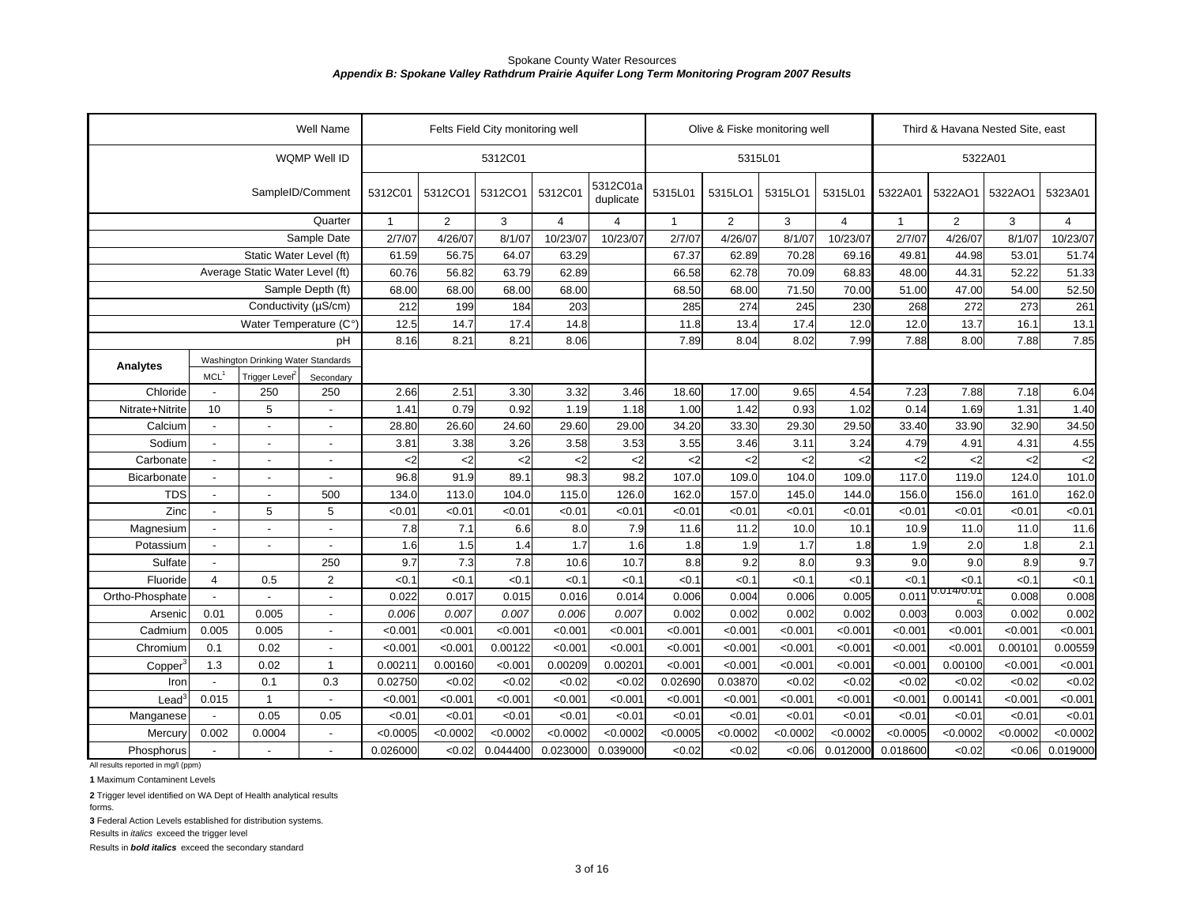|                                                  |                                    |                                     | Well Name         |               |                | Felts Field City monitoring well |                |                       |               | Olive & Fiske monitoring well |          |                |              | Third & Havana Nested Site, east |          |                |
|--------------------------------------------------|------------------------------------|-------------------------------------|-------------------|---------------|----------------|----------------------------------|----------------|-----------------------|---------------|-------------------------------|----------|----------------|--------------|----------------------------------|----------|----------------|
|                                                  |                                    |                                     | WQMP Well ID      |               |                | 5312C01                          |                |                       |               | 5315L01                       |          |                |              |                                  | 5322A01  |                |
|                                                  |                                    |                                     | SampleID/Comment  | 5312C01       | 5312CO1        | 5312CO1                          | 5312C01        | 5312C01a<br>duplicate | 5315L01       | 5315LO1                       | 5315LO1  | 5315L01        | 5322A01      | 5322AO1                          | 5322AO1  | 5323A01        |
|                                                  |                                    |                                     | Quarter           | $\mathbf{1}$  | $\overline{2}$ | 3                                | $\overline{4}$ | $\overline{4}$        | $\mathbf{1}$  | $\overline{2}$                | 3        | $\overline{4}$ | $\mathbf{1}$ | $\overline{2}$                   | 3        | $\overline{4}$ |
|                                                  |                                    |                                     | Sample Date       | 2/7/07        | 4/26/07        | 8/1/07                           | 10/23/07       | 10/23/07              | 2/7/07        | 4/26/07                       | 8/1/07   | 10/23/07       | 2/7/07       | 4/26/07                          | 8/1/07   | 10/23/07       |
|                                                  |                                    | Static Water Level (ft)             |                   | 61.59         | 56.75          | 64.07                            | 63.29          |                       | 67.37         | 62.89                         | 70.28    | 69.16          | 49.81        | 44.98                            | 53.01    | 51.74          |
|                                                  |                                    | Average Static Water Level (ft)     |                   | 60.76         | 56.82          | 63.79                            | 62.89          |                       | 66.58         | 62.78                         | 70.09    | 68.83          | 48.00        | 44.31                            | 52.22    | 51.33          |
|                                                  |                                    |                                     | Sample Depth (ft) | 68.00         | 68.00          | 68.00                            | 68.00          |                       | 68.50         | 68.00                         | 71.50    | 70.00          | 51.00        | 47.00                            | 54.00    | 52.50          |
|                                                  |                                    | Conductivity (µS/cm)                |                   | 212           | 199            | 184                              | 203            |                       | 285           | 274                           | 245      | 230            | 268          | 272                              | 273      | 261            |
|                                                  |                                    | Water Temperature (C°)              |                   | 12.5          | 14.7           | 17.4                             | 14.8           |                       | 11.8          | 13.4                          | 17.4     | 12.0           | 12.0         | 13.7                             | 16.1     | 13.1           |
|                                                  |                                    |                                     | рH                | 8.16          | 8.21           | 8.21                             | 8.06           |                       | 7.89          | 8.04                          | 8.02     | 7.99           | 7.88         | 8.00                             | 7.88     | 7.85           |
| Analytes                                         |                                    | Washington Drinking Water Standards |                   |               |                |                                  |                |                       |               |                               |          |                |              |                                  |          |                |
|                                                  | <b>MCL</b>                         | Trigger Level <sup>2</sup>          | Secondary         |               |                |                                  |                |                       |               |                               |          |                |              |                                  |          |                |
| Chloride                                         |                                    | 250                                 | 250               | 2.66          | 2.51           | 3.30                             | 3.32           | 3.46                  | 18.60         | 17.00                         | 9.65     | 4.54           | 7.23         | 7.88                             | 7.18     | 6.04           |
| Nitrate+Nitrite                                  | 10                                 | 5                                   |                   | 1.41          | 0.79           | 0.92                             | 1.19           | 1.18                  | 1.00          | 1.42                          | 0.93     | 1.02           | 0.14         | 1.69                             | 1.31     | 1.40           |
| Calcium                                          |                                    | $\overline{\phantom{a}}$            |                   | 28.80         | 26.60          | 24.60                            | 29.60          | 29.00                 | 34.20         | 33.30                         | 29.30    | 29.50          | 33.40        | 33.90                            | 32.90    | 34.50          |
| Sodium                                           |                                    | $\blacksquare$                      |                   | 3.81          | 3.38           | 3.26                             | 3.58           | 3.53                  | 3.55          | 3.46                          | 3.11     | 3.24           | 4.79         | 4.91                             | 4.31     | 4.55           |
| Carbonate                                        | $\sim$                             | $\overline{\phantom{a}}$            | $\overline{a}$    | $\mathsf{C}2$ | $\mathsf{<}2$  | $<$ 2                            | $2$            | <2                    | $\mathsf{c}2$ | $\leq$                        | $<$ 2    | $<$ 2          | $2$          | $2$                              | $2$      | $\leq$         |
| Bicarbonate                                      | $\overline{a}$                     | $\overline{\phantom{a}}$            | $\blacksquare$    | 96.8          | 91.9           | 89.1                             | 98.3           | 98.2                  | 107.0         | 109.0                         | 104.0    | 109.0          | 117.0        | 119.0                            | 124.0    | 101.0          |
| <b>TDS</b>                                       | $\overline{\phantom{0}}$           | $\overline{\phantom{a}}$            | 500               | 134.0         | 113.0          | 104.0                            | 115.0          | 126.0                 | 162.0         | 157.0                         | 145.0    | 144.0          | 156.0        | 156.0                            | 161.0    | 162.0          |
| Zinc                                             | $\overline{\phantom{a}}$           | 5                                   | 5                 | < 0.01        | < 0.0          | < 0.01                           | <0.01          | < 0.0                 | < 0.01        | < 0.01                        | <0.01    | < 0.01         | < 0.01       | < 0.01                           | < 0.01   | <0.01          |
| Magnesium                                        | ÷,                                 | $\overline{\phantom{a}}$            |                   | 7.8           | 7.1            | 6.6                              | 8.0            | 7.9                   | 11.6          | 11.2                          | 10.0     | 10.1           | 10.9         | 11.0                             | 11.0     | 11.6           |
| Potassium                                        | $\blacksquare$                     | $\blacksquare$                      | $\blacksquare$    | 1.6           | 1.5            | 1.4                              | 1.7            | 1.6                   | 1.8           | 1.9                           | 1.7      | 1.8            | 1.9          | 2.0                              | 1.8      | 2.1            |
| Sulfate                                          |                                    |                                     | 250               | 9.7           | 7.3            | 7.8                              | 10.6           | 10.7                  | 8.8           | 9.2                           | 8.0      | 9.3            | 9.0          | 9.0                              | 8.9      | 9.7            |
| Fluoride                                         | $\overline{4}$                     | 0.5                                 | $\sqrt{2}$        | < 0.1         | < 0.1          | < 0.1                            | <0.1           | < 0.1                 | < 0.1         | <0.1                          | < 0.1    | < 0.1          | <0.1         | < 0.1<br>0.014/0.0               | < 0.1    | < 0.1          |
| Ortho-Phosphate                                  |                                    |                                     |                   | 0.022         | 0.017          | 0.015                            | 0.016          | 0.014                 | 0.006         | 0.004                         | 0.006    | 0.005          | 0.011        |                                  | 0.008    | 0.008          |
| Arsenic                                          | 0.01                               | 0.005                               |                   | 0.006         | 0.007          | 0.007                            | 0.006          | 0.007                 | 0.002         | 0.002                         | 0.002    | 0.002          | 0.003        | 0.003                            | 0.002    | 0.002          |
| Cadmium                                          | 0.005                              | 0.005                               | $\overline{a}$    | < 0.001       | < 0.001        | < 0.001                          | < 0.001        | < 0.001               | < 0.001       | < 0.001                       | < 0.001  | < 0.001        | < 0.001      | < 0.001                          | < 0.001  | < 0.001        |
| Chromium                                         | 0.1<br>0.02                        |                                     |                   | < 0.001       | < 0.001        | 0.00122                          | < 0.001        | < 0.001               | < 0.001       | < 0.001                       | < 0.001  | < 0.001        | < 0.001      | < 0.001                          | 0.00101  | 0.00559        |
| Copper                                           | 1.3<br>0.02<br>$\mathbf{1}$<br>0.3 |                                     |                   | 0.00211       | 0.00160        | < 0.001                          | 0.00209        | 0.0020'               | < 0.001       | < 0.001                       | < 0.001  | < 0.001        | < 0.001      | 0.00100                          | < 0.001  | < 0.001        |
| Iron                                             | 0.1<br>0.015<br>$\mathbf{1}$       |                                     |                   | 0.02750       | <0.02          | < 0.02                           | <0.02          | <0.02                 | 0.02690       | 0.03870                       | <0.02    | < 0.02         | < 0.02       | <0.02                            | < 0.02   | <0.02          |
| $\text{Lead}^3$                                  | 0.05                               |                                     |                   | < 0.001       | < 0.001        | < 0.001                          | < 0.001        | < 0.001               | < 0.001       | < 0.001                       | < 0.001  | < 0.001        | < 0.001      | 0.00141                          | < 0.001  | < 0.001        |
| Manganese                                        |                                    |                                     | 0.05              | < 0.01        | < 0.01         | < 0.01                           | < 0.01         | < 0.01                | < 0.01        | < 0.01                        | < 0.01   | < 0.01         | < 0.01       | < 0.01                           | < 0.01   | < 0.01         |
| Mercury                                          | 0.002                              | 0.0004                              | $\blacksquare$    | < 0.0005      | < 0.0002       | < 0.0002                         | <0.0002        | < 0.0002              | < 0.0005      | < 0.0002                      | < 0.0002 | < 0.0002       | < 0.0005     | < 0.0002                         | < 0.0002 | < 0.0002       |
| Phosphorus<br>All results reported in mg/l (ppm) | $\overline{a}$                     |                                     |                   | 0.026000      | < 0.02         | 0.044400                         | 0.023000       | 0.039000              | < 0.02        | < 0.02                        | < 0.06   | 0.012000       | 0.018600     | <0.02                            | <0.06    | 0.019000       |

**1** Maximum Contaminent Levels

**2** Trigger level identified on WA Dept of Health analytical results

forms.

**3** Federal Action Levels established for distribution systems.

Results in *italics* exceed the trigger level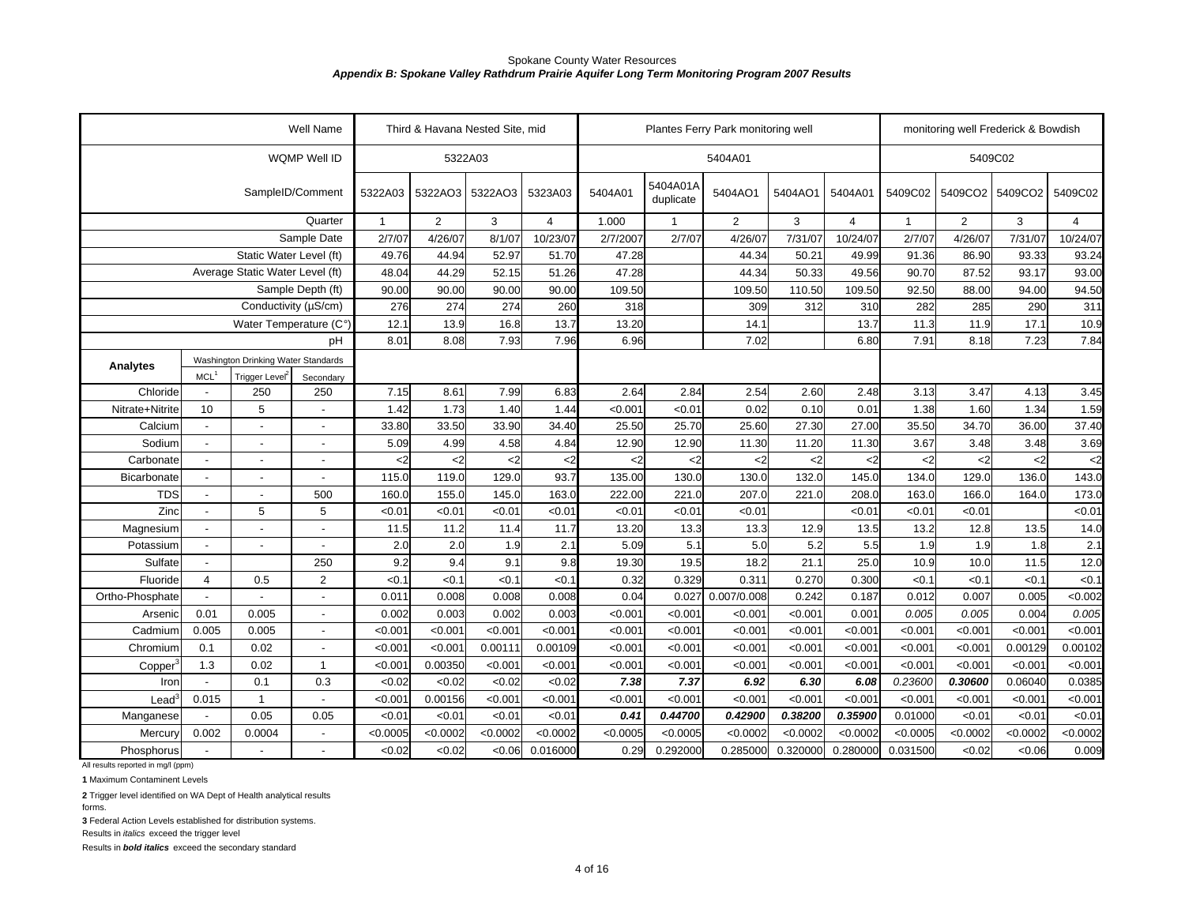|                                    |                          |                                     | <b>Well Name</b>  |              | Third & Havana Nested Site, mid |          |                |          |                       | Plantes Ferry Park monitoring well |               |          |              | monitoring well Frederick & Bowdish |               |          |
|------------------------------------|--------------------------|-------------------------------------|-------------------|--------------|---------------------------------|----------|----------------|----------|-----------------------|------------------------------------|---------------|----------|--------------|-------------------------------------|---------------|----------|
|                                    |                          |                                     | WQMP Well ID      |              | 5322A03                         |          |                |          |                       | 5404A01                            |               |          |              | 5409C02                             |               |          |
|                                    |                          |                                     | SampleID/Comment  | 5322A03      | 5322AO3                         | 5322AO3  | 5323A03        | 5404A01  | 5404A01A<br>duplicate | 5404AO1                            | 5404AO1       | 5404A01  | 5409C02      | 5409CO2                             | 5409CO2       | 5409C02  |
|                                    |                          |                                     | Quarter           | $\mathbf{1}$ | 2                               | 3        | $\overline{4}$ | 1.000    | $\mathbf{1}$          | $\overline{2}$                     | 3             | 4        | $\mathbf{1}$ | $\overline{2}$                      | 3             | 4        |
|                                    |                          |                                     | Sample Date       | 2/7/07       | 4/26/07                         | 8/1/07   | 10/23/07       | 2/7/2007 | 2/7/07                | 4/26/07                            | 7/31/07       | 10/24/07 | 2/7/07       | 4/26/07                             | 7/31/07       | 10/24/07 |
|                                    |                          | Static Water Level (ft)             |                   | 49.76        | 44.94                           | 52.97    | 51.70          | 47.28    |                       | 44.34                              | 50.21         | 49.99    | 91.36        | 86.90                               | 93.33         | 93.24    |
|                                    |                          | Average Static Water Level (ft)     |                   | 48.04        | 44.29                           | 52.15    | 51.26          | 47.28    |                       | 44.34                              | 50.33         | 49.56    | 90.70        | 87.52                               | 93.17         | 93.00    |
|                                    |                          |                                     | Sample Depth (ft) | 90.00        | 90.00                           | 90.00    | 90.00          | 109.50   |                       | 109.50                             | 110.50        | 109.50   | 92.50        | 88.00                               | 94.00         | 94.50    |
|                                    |                          | Conductivity (µS/cm)                |                   | 276          | 274                             | 274      | 260            | 318      |                       | 309                                | 312           | 310      | 282          | 285                                 | 290           | 311      |
|                                    |                          | Water Temperature (C°)              |                   | 12.1         | 13.9                            | 16.8     | 13.7           | 13.20    |                       | 14.1                               |               | 13.7     | 11.3         | 11.9                                | 17.1          | 10.9     |
|                                    |                          |                                     | pH                | 8.01         | 8.08                            | 7.93     | 7.96           | 6.96     |                       | 7.02                               |               | 6.80     | 7.91         | 8.18                                | 7.23          | 7.84     |
| Analytes                           |                          | Washington Drinking Water Standards |                   |              |                                 |          |                |          |                       |                                    |               |          |              |                                     |               |          |
|                                    | MCL <sup>1</sup>         | <b>Trigger Level</b>                | Secondary         |              |                                 |          |                |          |                       |                                    |               |          |              |                                     |               |          |
| Chloride                           | $\blacksquare$           | 250                                 | 250               | 7.15         | 8.61                            | 7.99     | 6.83           | 2.64     | 2.84                  | 2.54                               | 2.60          | 2.48     | 3.13         | 3.47                                | 4.13          | 3.45     |
| Nitrate+Nitrite                    | 10                       | 5                                   | $\overline{a}$    | 1.42         | 1.73                            | 1.40     | 1.44           | < 0.001  | < 0.01                | 0.02                               | 0.10          | 0.01     | 1.38         | 1.60                                | 1.34          | 1.59     |
| Calcium                            | $\blacksquare$           | $\blacksquare$                      |                   | 33.80        | 33.50                           | 33.90    | 34.40          | 25.50    | 25.70                 | 25.60                              | 27.30         | 27.00    | 35.50        | 34.70                               | 36.00         | 37.40    |
| Sodium                             | $\overline{a}$           | $\overline{a}$                      | $\overline{a}$    | 5.09         | 4.99                            | 4.58     | 4.84           | 12.90    | 12.90                 | 11.30                              | 11.20         | 11.30    | 3.67         | 3.48                                | 3.48          | 3.69     |
| Carbonate                          |                          |                                     |                   | <2           | $<$ 2                           | $<$ 2    | <2             | $<$ 2    | $2$                   | $<$ 2                              | $\mathbf{<}2$ | $<$ 2    | $2$          | $<$ 2                               | $\mathsf{<}2$ | $<$ 2    |
| Bicarbonate                        |                          | $\overline{a}$                      |                   | 115.0        | 119.0                           | 129.0    | 93.7           | 135.00   | 130.0                 | 130.0                              | 132.0         | 145.0    | 134.0        | 129.0                               | 136.0         | 143.0    |
| <b>TDS</b>                         |                          |                                     | 500               | 160.0        | 155.0                           | 145.0    | 163.0          | 222.00   | 221.0                 | 207.0                              | 221.0         | 208.0    | 163.0        | 166.0                               | 164.0         | 173.0    |
| Zinc                               | $\blacksquare$           | 5                                   | 5                 | < 0.01       | < 0.01                          | < 0.01   | < 0.0          | < 0.01   | < 0.01                | < 0.01                             |               | <0.01    | < 0.01       | < 0.01                              |               | < 0.01   |
| Magnesium                          | $\mathbf{r}$             | $\overline{a}$                      |                   | 11.5         | 11.2                            | 11.4     | 11.7           | 13.20    | 13.3                  | 13.3                               | 12.9          | 13.5     | 13.2         | 12.8                                | 13.5          | 14.0     |
| Potassium                          | $\blacksquare$           | $\blacksquare$                      | L,                | 2.0          | 2.0                             | 1.9      | 2.1            | 5.09     | 5.1                   | 5.0                                | 5.2           | 5.5      | 1.9          | 1.9                                 | 1.8           | 2.1      |
| Sulfate                            | $\overline{\phantom{a}}$ |                                     | 250               | 9.2          | 9.4                             | 9.1      | 9.8            | 19.30    | 19.5                  | 18.2                               | 21.1          | 25.0     | 10.9         | 10.0                                | 11.5          | 12.0     |
| Fluoride                           | 4                        | 0.5                                 | 2                 | < 0.1        | <0.1                            | <0.1     | <0.            | 0.32     | 0.329                 | 0.311                              | 0.270         | 0.300    | < 0.1        | < 0.1                               | < 0.1         | < 0.1    |
| Ortho-Phosphate                    |                          |                                     |                   | 0.011        | 0.008                           | 0.008    | 0.008          | 0.04     | 0.027                 | 0.007/0.008                        | 0.242         | 0.187    | 0.012        | 0.007                               | 0.005         | <0.002   |
| Arsenic                            | 0.01                     | 0.005                               |                   | 0.002        | 0.003                           | 0.002    | 0.003          | < 0.001  | < 0.001               | < 0.001                            | < 0.001       | 0.001    | 0.005        | 0.005                               | 0.004         | 0.005    |
| Cadmium                            | 0.005                    | 0.005                               |                   | < 0.001      | < 0.001                         | < 0.001  | < 0.001        | < 0.001  | < 0.001               | < 0.001                            | < 0.001       | < 0.001  | < 0.001      | < 0.001                             | < 0.001       | < 0.001  |
| Chromium                           | 0.1                      | 0.02                                |                   | < 0.001      | < 0.001                         | 0.00111  | 0.00109        | < 0.001  | < 0.001               | < 0.001                            | < 0.001       | < 0.001  | < 0.001      | < 0.001                             | 0.00129       | 0.00102  |
| Copper                             | 1.3                      | 0.02                                | $\overline{1}$    | < 0.001      | 0.00350                         | < 0.001  | < 0.00         | < 0.001  | < 0.001               | < 0.001                            | < 0.001       | < 0.001  | < 0.001      | < 0.001                             | < 0.001       | < 0.001  |
| Iron                               |                          | 0.1                                 | 0.3               | <0.02        | <0.02                           | <0.02    | < 0.02         | 7.38     | 7.37                  | 6.92                               | 6.30          | 6.08     | 0.23600      | 0.30600                             | 0.06040       | 0.0385   |
| $\text{Lead}^3$                    | 0.015                    | $\overline{1}$                      |                   | < 0.001      | 0.00156                         | < 0.001  | < 0.001        | < 0.001  | < 0.001               | < 0.001                            | < 0.001       | < 0.001  | < 0.001      | < 0.001                             | < 0.001       | < 0.001  |
| Manganese                          | $\overline{\phantom{a}}$ | 0.05                                | 0.05              | < 0.01       | < 0.01                          | < 0.01   | < 0.01         | 0.41     | 0.44700               | 0.42900                            | 0.38200       | 0.35900  | 0.01000      | < 0.01                              | < 0.01        | < 0.01   |
| Mercury                            | 0.002                    | 0.0004                              | $\blacksquare$    | < 0.0005     | < 0.0002                        | < 0.0002 | < 0.0002       | < 0.0005 | < 0.0005              | < 0.0002                           | < 0.0002      | < 0.0002 | < 0.0005     | < 0.0002                            | < 0.0002      | < 0.0002 |
| Phosphorus                         |                          |                                     |                   | <0.02        | <0.02                           | < 0.06   | 0.016000       | 0.29     | 0.292000              | 0.285000                           | 0.320000      | 0.280000 | 0.031500     | < 0.02                              | <0.06         | 0.009    |
| All results reported in mg/l (ppm) |                          |                                     |                   |              |                                 |          |                |          |                       |                                    |               |          |              |                                     |               |          |

**1** Maximum Contaminent Levels

**2** Trigger level identified on WA Dept of Health analytical results

forms.

**3** Federal Action Levels established for distribution systems.

Results in *italics* exceed the trigger level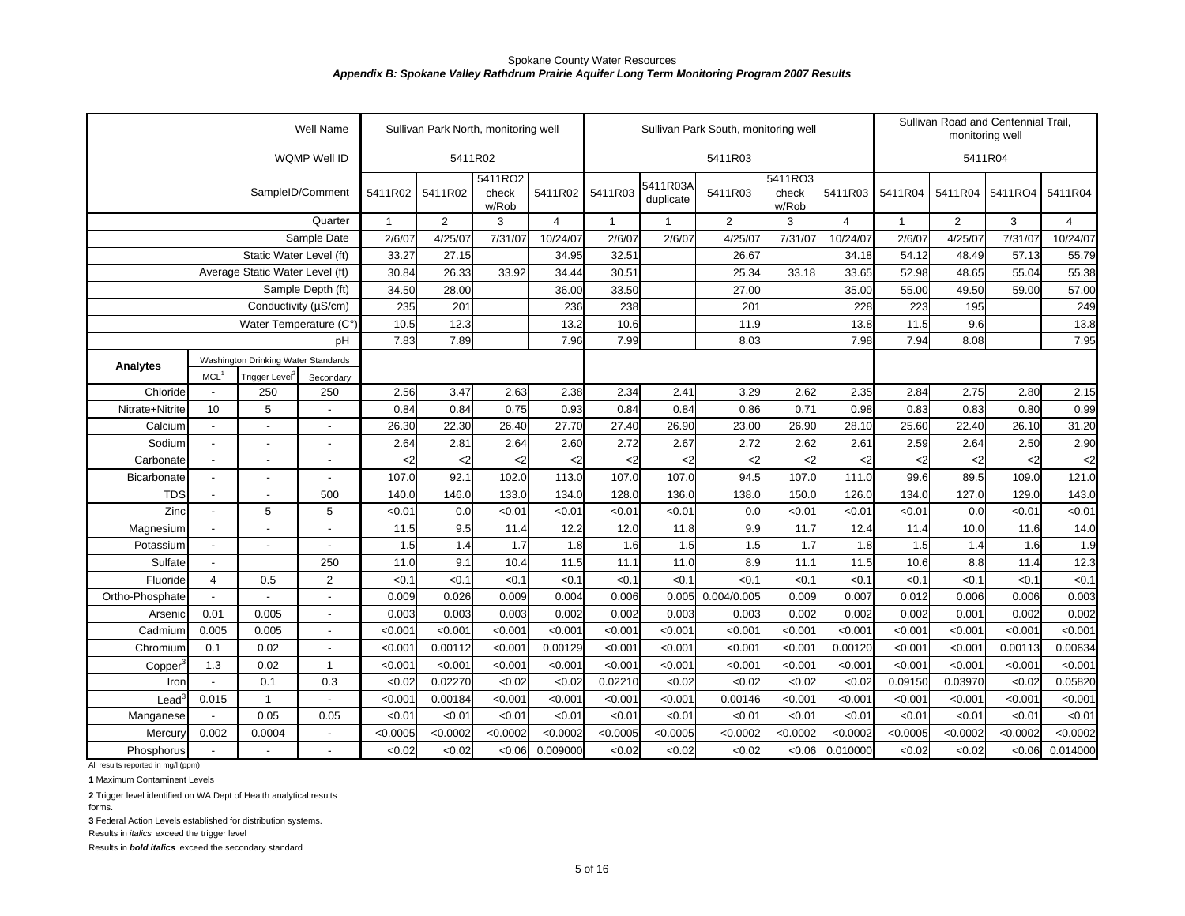| WQMP Well ID<br>5411R04<br>5411R02<br>5411R03<br>5411RO2<br>5411RO3<br>5411R03A<br>SampleID/Comment<br>5411R02<br>5411R02 5411R03<br>5411R03<br>5411R03<br>5411R04<br>5411R04<br>5411RO4<br>5411R04<br>5411R02<br>check<br>check<br>duplicate<br>w/Rob<br>w/Rob<br>2<br>2<br>$\overline{4}$<br>$\overline{2}$<br>3<br>Quarter<br>$\mathbf{1}$<br>3<br>$\overline{4}$<br>3<br>$\mathbf{1}$<br>4<br>$\mathbf{1}$<br>$\mathbf 1$<br>10/24/07<br>2/6/07<br>7/31/07<br>10/24/07<br>Sample Date<br>2/6/07<br>4/25/07<br>7/31/07<br>2/6/07<br>4/25/07<br>7/31/07<br>10/24/07<br>2/6/07<br>4/25/07<br>Static Water Level (ft)<br>27.15<br>54.12<br>55.79<br>33.27<br>34.95<br>32.51<br>26.67<br>34.18<br>48.49<br>57.13<br>26.33<br>55.04<br>55.38<br>Average Static Water Level (ft)<br>30.84<br>33.92<br>34.44<br>30.51<br>25.34<br>33.18<br>33.65<br>52.98<br>48.65<br>Sample Depth (ft)<br>34.50<br>28.00<br>36.00<br>33.50<br>27.00<br>35.00<br>55.00<br>49.50<br>57.00<br>59.00<br>Conductivity (µS/cm)<br>235<br>223<br>201<br>236<br>238<br>201<br>228<br>195<br>249<br>10.5<br>12.3<br>13.2<br>11.9<br>13.8<br>11.5<br>9.6<br>13.8<br>Water Temperature (C°<br>10.6<br>7.83<br>7.89<br>7.98<br>7.94<br>7.95<br>pH<br>7.96<br>7.99<br>8.03<br>8.08<br>Washington Drinking Water Standards<br>Analytes<br>MCL <sup>1</sup><br>Trigger Level<br>Secondary<br>250<br>250<br>2.56<br>3.47<br>2.63<br>2.34<br>2.62<br>2.35<br>2.75<br>2.80<br>Chloride<br>2.38<br>2.41<br>3.29<br>2.84<br>2.15<br>$\overline{\phantom{a}}$<br>5<br>0.75<br>0.71<br>0.99<br>10<br>0.84<br>0.84<br>0.93<br>0.84<br>0.84<br>0.86<br>0.98<br>0.83<br>0.83<br>0.80<br>Nitrate+Nitrite<br>$\overline{a}$<br>22.30<br>26.40<br>27.70<br>27.40<br>26.90<br>23.00<br>28.10<br>25.60<br>26.10<br>31.20<br>Calcium<br>26.30<br>26.90<br>22.40<br>÷.<br>$\overline{\phantom{a}}$<br>2.72<br>2.67<br>2.62<br>2.61<br>2.90<br>Sodium<br>2.64<br>2.81<br>2.64<br>2.60<br>2.72<br>2.59<br>2.64<br>2.50<br>$\overline{\phantom{a}}$<br>$\overline{\phantom{a}}$<br>$\overline{\phantom{a}}$<br>$\lt$ 2<br>$\mathsf{<}2$<br>$2$<br>Carbonate<br>$\mathsf{<}2$<br>$2$<br>$\mathsf{<}2$<br>$\mathsf{<}2$<br>$\mathsf{<}2$<br><2<br>$2$<br>$2$<br>$2$<br>$<$ 2<br>$\overline{a}$<br>$\blacksquare$<br>$\overline{a}$<br>92.1<br>121.0<br>107.0<br>102.0<br>113.0<br>107.0<br>107.0<br>94.5<br>107.0<br>99.6<br>89.5<br>109.0<br>111.0<br>Bicarbonate<br>$\overline{a}$<br>$\mathbf{r}$<br>143.0<br><b>TDS</b><br>500<br>133.0<br>134.0<br>127.0<br>129.0<br>140.0<br>146.0<br>128.0<br>136.0<br>138.0<br>150.0<br>126.0<br>134.0<br>$\blacksquare$<br>$\blacksquare$<br>Zinc<br>5<br>5<br>0.0<br>< 0.01<br>< 0.01<br>< 0.01<br>< 0.01<br>0.0<br>< 0.01<br>0.0<br>< 0.01<br>< 0.01<br>< 0.01<br>< 0.01<br>< 0.01<br>$\blacksquare$<br>11.5<br>9.5<br>11.4<br>12.2<br>12.0<br>11.8<br>9.9<br>12.4<br>11.6<br>14.0<br>Magnesium<br>11.7<br>11.4<br>10.0<br>$\overline{a}$<br>L,<br>$\blacksquare$<br>1.7<br>1.9<br>1.5<br>1.8<br>1.6<br>1.5<br>1.5<br>1.7<br>1.8<br>1.5<br>1.4<br>1.6<br>Potassium<br>1.4<br>$\overline{a}$<br>L,<br>$\blacksquare$<br>8.9<br>12.3<br>Sulfate<br>250<br>11.0<br>9.1<br>10.4<br>11.5<br>11.1<br>11.0<br>11.1<br>11.5<br>10.6<br>8.8<br>11.4<br>$\overline{\phantom{a}}$<br>$\overline{2}$<br><0.1<br>< 0.1<br><0.1<br><0.1<br>< 0.1<br>< 0.1<br>Fluoride<br>0.5<br>< 0.1<br><0.1<br>< 0.1<br>< 0.1<br>< 0.1<br><0.1<br><0.1<br>$\overline{4}$<br>0.007<br>Ortho-Phosphate<br>0.009<br>0.026<br>0.009<br>0.004<br>0.006<br>0.005<br>0.004/0.005<br>0.009<br>0.012<br>0.006<br>0.006<br>0.003<br>$\overline{a}$<br>0.005<br>0.003<br>0.003<br>0.002<br>0.002<br>0.003<br>0.002<br>0.002<br>0.002<br>0.001<br>0.002<br>0.002<br>0.01<br>0.003<br>0.003<br>Arsenic<br>$\blacksquare$<br>0.005<br>0.005<br>< 0.001<br>< 0.001<br>< 0.001<br>< 0.001<br>< 0.001<br>< 0.001<br>< 0.001<br>< 0.001<br>< 0.001<br>< 0.001<br>< 0.001<br>< 0.001<br>< 0.001<br>Cadmium<br>$\overline{\phantom{a}}$<br>0.1<br>0.02<br>< 0.001<br>0.00112<br>< 0.001<br>0.00129<br>< 0.001<br>< 0.001<br>< 0.001<br>< 0.001<br>0.00120<br>< 0.001<br>< 0.001<br>0.00113<br>0.00634<br>Chromium<br>$\overline{a}$<br>0.02<br>< 0.001<br>< 0.001<br>< 0.001<br>< 0.001<br>< 0.001<br>< 0.001<br>< 0.001<br>< 0.001<br>< 0.001<br>< 0.001<br>< 0.001<br>< 0.001<br>< 0.001<br>1.3<br>$\mathbf{1}$<br>Copper<br>0.02270<br>< 0.02<br>< 0.02<br>0.02210<br>< 0.02<br>< 0.02<br>< 0.02<br>0.09150<br>0.03970<br>0.05820<br>0.1<br>0.3<br><0.02<br><0.02<br>< 0.02<br>Iron<br>< 0.001<br>< 0.001<br>0.015<br>$\mathbf{1}$<br>< 0.001<br>0.00184<br>< 0.001<br>< 0.001<br>0.00146<br>< 0.001<br>< 0.001<br>< 0.001<br>< 0.001<br>< 0.001<br>< 0.001<br>$\text{Lead}^3$<br>0.05<br>0.05<br>< 0.01<br>< 0.01<br>< 0.01<br>< 0.01<br>< 0.01<br>< 0.01<br>< 0.01<br>< 0.01<br>< 0.01<br>< 0.01<br>< 0.01<br>< 0.01<br>< 0.01<br>Manganese<br>< 0.0002<br>< 0.0002<br>< 0.0005<br>< 0.0005<br>< 0.0002<br>< 0.0002<br>< 0.0002<br>0.002<br>0.0004<br>< 0.0005<br>< 0.0002<br>< 0.0002<br>< 0.0005<br>< 0.0002<br>< 0.0002<br>Mercury<br>$\blacksquare$<br>0.009000<br>< 0.02<br>< 0.02<br>< 0.02<br><0.02<br>< 0.02<br>&0.06<br>< 0.02<br><0.06<br>< 0.02<br><0.06<br>$\overline{a}$ |            |  |  | Well Name | Sullivan Park North, monitoring well |  |  | Sullivan Park South, monitoring well |          | Sullivan Road and Centennial Trail,<br>monitoring well |          |
|-------------------------------------------------------------------------------------------------------------------------------------------------------------------------------------------------------------------------------------------------------------------------------------------------------------------------------------------------------------------------------------------------------------------------------------------------------------------------------------------------------------------------------------------------------------------------------------------------------------------------------------------------------------------------------------------------------------------------------------------------------------------------------------------------------------------------------------------------------------------------------------------------------------------------------------------------------------------------------------------------------------------------------------------------------------------------------------------------------------------------------------------------------------------------------------------------------------------------------------------------------------------------------------------------------------------------------------------------------------------------------------------------------------------------------------------------------------------------------------------------------------------------------------------------------------------------------------------------------------------------------------------------------------------------------------------------------------------------------------------------------------------------------------------------------------------------------------------------------------------------------------------------------------------------------------------------------------------------------------------------------------------------------------------------------------------------------------------------------------------------------------------------------------------------------------------------------------------------------------------------------------------------------------------------------------------------------------------------------------------------------------------------------------------------------------------------------------------------------------------------------------------------------------------------------------------------------------------------------------------------------------------------------------------------------------------------------------------------------------------------------------------------------------------------------------------------------------------------------------------------------------------------------------------------------------------------------------------------------------------------------------------------------------------------------------------------------------------------------------------------------------------------------------------------------------------------------------------------------------------------------------------------------------------------------------------------------------------------------------------------------------------------------------------------------------------------------------------------------------------------------------------------------------------------------------------------------------------------------------------------------------------------------------------------------------------------------------------------------------------------------------------------------------------------------------------------------------------------------------------------------------------------------------------------------------------------------------------------------------------------------------------------------------------------------------------------------------------------------------------------------------------------------------------------------------------------------------------------------------------------------------------------------------------------------------------------------------------------------------------------------------------------------------------------------------------------------------------------------------------------------------------------------------------------------------------------------------------------------------------------------------------------------------------------------------------------------------------------------------------------------------------------------------------------------------------------------------------------------------------------------------------------------------------------------------------------------------------------------------------------------------------------------------------------------------------------------------------------------------------------------------------------------------------------------------------------------------------------------|------------|--|--|-----------|--------------------------------------|--|--|--------------------------------------|----------|--------------------------------------------------------|----------|
|                                                                                                                                                                                                                                                                                                                                                                                                                                                                                                                                                                                                                                                                                                                                                                                                                                                                                                                                                                                                                                                                                                                                                                                                                                                                                                                                                                                                                                                                                                                                                                                                                                                                                                                                                                                                                                                                                                                                                                                                                                                                                                                                                                                                                                                                                                                                                                                                                                                                                                                                                                                                                                                                                                                                                                                                                                                                                                                                                                                                                                                                                                                                                                                                                                                                                                                                                                                                                                                                                                                                                                                                                                                                                                                                                                                                                                                                                                                                                                                                                                                                                                                                                                                                                                                                                                                                                                                                                                                                                                                                                                                                                                                                                                                                                                                                                                                                                                                                                                                                                                                                                                                                                                                                                               |            |  |  |           |                                      |  |  |                                      |          |                                                        |          |
|                                                                                                                                                                                                                                                                                                                                                                                                                                                                                                                                                                                                                                                                                                                                                                                                                                                                                                                                                                                                                                                                                                                                                                                                                                                                                                                                                                                                                                                                                                                                                                                                                                                                                                                                                                                                                                                                                                                                                                                                                                                                                                                                                                                                                                                                                                                                                                                                                                                                                                                                                                                                                                                                                                                                                                                                                                                                                                                                                                                                                                                                                                                                                                                                                                                                                                                                                                                                                                                                                                                                                                                                                                                                                                                                                                                                                                                                                                                                                                                                                                                                                                                                                                                                                                                                                                                                                                                                                                                                                                                                                                                                                                                                                                                                                                                                                                                                                                                                                                                                                                                                                                                                                                                                                               |            |  |  |           |                                      |  |  |                                      |          |                                                        |          |
|                                                                                                                                                                                                                                                                                                                                                                                                                                                                                                                                                                                                                                                                                                                                                                                                                                                                                                                                                                                                                                                                                                                                                                                                                                                                                                                                                                                                                                                                                                                                                                                                                                                                                                                                                                                                                                                                                                                                                                                                                                                                                                                                                                                                                                                                                                                                                                                                                                                                                                                                                                                                                                                                                                                                                                                                                                                                                                                                                                                                                                                                                                                                                                                                                                                                                                                                                                                                                                                                                                                                                                                                                                                                                                                                                                                                                                                                                                                                                                                                                                                                                                                                                                                                                                                                                                                                                                                                                                                                                                                                                                                                                                                                                                                                                                                                                                                                                                                                                                                                                                                                                                                                                                                                                               |            |  |  |           |                                      |  |  |                                      |          |                                                        |          |
|                                                                                                                                                                                                                                                                                                                                                                                                                                                                                                                                                                                                                                                                                                                                                                                                                                                                                                                                                                                                                                                                                                                                                                                                                                                                                                                                                                                                                                                                                                                                                                                                                                                                                                                                                                                                                                                                                                                                                                                                                                                                                                                                                                                                                                                                                                                                                                                                                                                                                                                                                                                                                                                                                                                                                                                                                                                                                                                                                                                                                                                                                                                                                                                                                                                                                                                                                                                                                                                                                                                                                                                                                                                                                                                                                                                                                                                                                                                                                                                                                                                                                                                                                                                                                                                                                                                                                                                                                                                                                                                                                                                                                                                                                                                                                                                                                                                                                                                                                                                                                                                                                                                                                                                                                               |            |  |  |           |                                      |  |  |                                      |          |                                                        |          |
|                                                                                                                                                                                                                                                                                                                                                                                                                                                                                                                                                                                                                                                                                                                                                                                                                                                                                                                                                                                                                                                                                                                                                                                                                                                                                                                                                                                                                                                                                                                                                                                                                                                                                                                                                                                                                                                                                                                                                                                                                                                                                                                                                                                                                                                                                                                                                                                                                                                                                                                                                                                                                                                                                                                                                                                                                                                                                                                                                                                                                                                                                                                                                                                                                                                                                                                                                                                                                                                                                                                                                                                                                                                                                                                                                                                                                                                                                                                                                                                                                                                                                                                                                                                                                                                                                                                                                                                                                                                                                                                                                                                                                                                                                                                                                                                                                                                                                                                                                                                                                                                                                                                                                                                                                               |            |  |  |           |                                      |  |  |                                      |          |                                                        |          |
|                                                                                                                                                                                                                                                                                                                                                                                                                                                                                                                                                                                                                                                                                                                                                                                                                                                                                                                                                                                                                                                                                                                                                                                                                                                                                                                                                                                                                                                                                                                                                                                                                                                                                                                                                                                                                                                                                                                                                                                                                                                                                                                                                                                                                                                                                                                                                                                                                                                                                                                                                                                                                                                                                                                                                                                                                                                                                                                                                                                                                                                                                                                                                                                                                                                                                                                                                                                                                                                                                                                                                                                                                                                                                                                                                                                                                                                                                                                                                                                                                                                                                                                                                                                                                                                                                                                                                                                                                                                                                                                                                                                                                                                                                                                                                                                                                                                                                                                                                                                                                                                                                                                                                                                                                               |            |  |  |           |                                      |  |  |                                      |          |                                                        |          |
|                                                                                                                                                                                                                                                                                                                                                                                                                                                                                                                                                                                                                                                                                                                                                                                                                                                                                                                                                                                                                                                                                                                                                                                                                                                                                                                                                                                                                                                                                                                                                                                                                                                                                                                                                                                                                                                                                                                                                                                                                                                                                                                                                                                                                                                                                                                                                                                                                                                                                                                                                                                                                                                                                                                                                                                                                                                                                                                                                                                                                                                                                                                                                                                                                                                                                                                                                                                                                                                                                                                                                                                                                                                                                                                                                                                                                                                                                                                                                                                                                                                                                                                                                                                                                                                                                                                                                                                                                                                                                                                                                                                                                                                                                                                                                                                                                                                                                                                                                                                                                                                                                                                                                                                                                               |            |  |  |           |                                      |  |  |                                      |          |                                                        |          |
|                                                                                                                                                                                                                                                                                                                                                                                                                                                                                                                                                                                                                                                                                                                                                                                                                                                                                                                                                                                                                                                                                                                                                                                                                                                                                                                                                                                                                                                                                                                                                                                                                                                                                                                                                                                                                                                                                                                                                                                                                                                                                                                                                                                                                                                                                                                                                                                                                                                                                                                                                                                                                                                                                                                                                                                                                                                                                                                                                                                                                                                                                                                                                                                                                                                                                                                                                                                                                                                                                                                                                                                                                                                                                                                                                                                                                                                                                                                                                                                                                                                                                                                                                                                                                                                                                                                                                                                                                                                                                                                                                                                                                                                                                                                                                                                                                                                                                                                                                                                                                                                                                                                                                                                                                               |            |  |  |           |                                      |  |  |                                      |          |                                                        |          |
|                                                                                                                                                                                                                                                                                                                                                                                                                                                                                                                                                                                                                                                                                                                                                                                                                                                                                                                                                                                                                                                                                                                                                                                                                                                                                                                                                                                                                                                                                                                                                                                                                                                                                                                                                                                                                                                                                                                                                                                                                                                                                                                                                                                                                                                                                                                                                                                                                                                                                                                                                                                                                                                                                                                                                                                                                                                                                                                                                                                                                                                                                                                                                                                                                                                                                                                                                                                                                                                                                                                                                                                                                                                                                                                                                                                                                                                                                                                                                                                                                                                                                                                                                                                                                                                                                                                                                                                                                                                                                                                                                                                                                                                                                                                                                                                                                                                                                                                                                                                                                                                                                                                                                                                                                               |            |  |  |           |                                      |  |  |                                      |          |                                                        |          |
|                                                                                                                                                                                                                                                                                                                                                                                                                                                                                                                                                                                                                                                                                                                                                                                                                                                                                                                                                                                                                                                                                                                                                                                                                                                                                                                                                                                                                                                                                                                                                                                                                                                                                                                                                                                                                                                                                                                                                                                                                                                                                                                                                                                                                                                                                                                                                                                                                                                                                                                                                                                                                                                                                                                                                                                                                                                                                                                                                                                                                                                                                                                                                                                                                                                                                                                                                                                                                                                                                                                                                                                                                                                                                                                                                                                                                                                                                                                                                                                                                                                                                                                                                                                                                                                                                                                                                                                                                                                                                                                                                                                                                                                                                                                                                                                                                                                                                                                                                                                                                                                                                                                                                                                                                               |            |  |  |           |                                      |  |  |                                      |          |                                                        |          |
|                                                                                                                                                                                                                                                                                                                                                                                                                                                                                                                                                                                                                                                                                                                                                                                                                                                                                                                                                                                                                                                                                                                                                                                                                                                                                                                                                                                                                                                                                                                                                                                                                                                                                                                                                                                                                                                                                                                                                                                                                                                                                                                                                                                                                                                                                                                                                                                                                                                                                                                                                                                                                                                                                                                                                                                                                                                                                                                                                                                                                                                                                                                                                                                                                                                                                                                                                                                                                                                                                                                                                                                                                                                                                                                                                                                                                                                                                                                                                                                                                                                                                                                                                                                                                                                                                                                                                                                                                                                                                                                                                                                                                                                                                                                                                                                                                                                                                                                                                                                                                                                                                                                                                                                                                               |            |  |  |           |                                      |  |  |                                      |          |                                                        |          |
|                                                                                                                                                                                                                                                                                                                                                                                                                                                                                                                                                                                                                                                                                                                                                                                                                                                                                                                                                                                                                                                                                                                                                                                                                                                                                                                                                                                                                                                                                                                                                                                                                                                                                                                                                                                                                                                                                                                                                                                                                                                                                                                                                                                                                                                                                                                                                                                                                                                                                                                                                                                                                                                                                                                                                                                                                                                                                                                                                                                                                                                                                                                                                                                                                                                                                                                                                                                                                                                                                                                                                                                                                                                                                                                                                                                                                                                                                                                                                                                                                                                                                                                                                                                                                                                                                                                                                                                                                                                                                                                                                                                                                                                                                                                                                                                                                                                                                                                                                                                                                                                                                                                                                                                                                               |            |  |  |           |                                      |  |  |                                      |          |                                                        |          |
|                                                                                                                                                                                                                                                                                                                                                                                                                                                                                                                                                                                                                                                                                                                                                                                                                                                                                                                                                                                                                                                                                                                                                                                                                                                                                                                                                                                                                                                                                                                                                                                                                                                                                                                                                                                                                                                                                                                                                                                                                                                                                                                                                                                                                                                                                                                                                                                                                                                                                                                                                                                                                                                                                                                                                                                                                                                                                                                                                                                                                                                                                                                                                                                                                                                                                                                                                                                                                                                                                                                                                                                                                                                                                                                                                                                                                                                                                                                                                                                                                                                                                                                                                                                                                                                                                                                                                                                                                                                                                                                                                                                                                                                                                                                                                                                                                                                                                                                                                                                                                                                                                                                                                                                                                               |            |  |  |           |                                      |  |  |                                      |          |                                                        |          |
|                                                                                                                                                                                                                                                                                                                                                                                                                                                                                                                                                                                                                                                                                                                                                                                                                                                                                                                                                                                                                                                                                                                                                                                                                                                                                                                                                                                                                                                                                                                                                                                                                                                                                                                                                                                                                                                                                                                                                                                                                                                                                                                                                                                                                                                                                                                                                                                                                                                                                                                                                                                                                                                                                                                                                                                                                                                                                                                                                                                                                                                                                                                                                                                                                                                                                                                                                                                                                                                                                                                                                                                                                                                                                                                                                                                                                                                                                                                                                                                                                                                                                                                                                                                                                                                                                                                                                                                                                                                                                                                                                                                                                                                                                                                                                                                                                                                                                                                                                                                                                                                                                                                                                                                                                               |            |  |  |           |                                      |  |  |                                      |          |                                                        |          |
|                                                                                                                                                                                                                                                                                                                                                                                                                                                                                                                                                                                                                                                                                                                                                                                                                                                                                                                                                                                                                                                                                                                                                                                                                                                                                                                                                                                                                                                                                                                                                                                                                                                                                                                                                                                                                                                                                                                                                                                                                                                                                                                                                                                                                                                                                                                                                                                                                                                                                                                                                                                                                                                                                                                                                                                                                                                                                                                                                                                                                                                                                                                                                                                                                                                                                                                                                                                                                                                                                                                                                                                                                                                                                                                                                                                                                                                                                                                                                                                                                                                                                                                                                                                                                                                                                                                                                                                                                                                                                                                                                                                                                                                                                                                                                                                                                                                                                                                                                                                                                                                                                                                                                                                                                               |            |  |  |           |                                      |  |  |                                      |          |                                                        |          |
|                                                                                                                                                                                                                                                                                                                                                                                                                                                                                                                                                                                                                                                                                                                                                                                                                                                                                                                                                                                                                                                                                                                                                                                                                                                                                                                                                                                                                                                                                                                                                                                                                                                                                                                                                                                                                                                                                                                                                                                                                                                                                                                                                                                                                                                                                                                                                                                                                                                                                                                                                                                                                                                                                                                                                                                                                                                                                                                                                                                                                                                                                                                                                                                                                                                                                                                                                                                                                                                                                                                                                                                                                                                                                                                                                                                                                                                                                                                                                                                                                                                                                                                                                                                                                                                                                                                                                                                                                                                                                                                                                                                                                                                                                                                                                                                                                                                                                                                                                                                                                                                                                                                                                                                                                               |            |  |  |           |                                      |  |  |                                      |          |                                                        |          |
|                                                                                                                                                                                                                                                                                                                                                                                                                                                                                                                                                                                                                                                                                                                                                                                                                                                                                                                                                                                                                                                                                                                                                                                                                                                                                                                                                                                                                                                                                                                                                                                                                                                                                                                                                                                                                                                                                                                                                                                                                                                                                                                                                                                                                                                                                                                                                                                                                                                                                                                                                                                                                                                                                                                                                                                                                                                                                                                                                                                                                                                                                                                                                                                                                                                                                                                                                                                                                                                                                                                                                                                                                                                                                                                                                                                                                                                                                                                                                                                                                                                                                                                                                                                                                                                                                                                                                                                                                                                                                                                                                                                                                                                                                                                                                                                                                                                                                                                                                                                                                                                                                                                                                                                                                               |            |  |  |           |                                      |  |  |                                      |          |                                                        |          |
|                                                                                                                                                                                                                                                                                                                                                                                                                                                                                                                                                                                                                                                                                                                                                                                                                                                                                                                                                                                                                                                                                                                                                                                                                                                                                                                                                                                                                                                                                                                                                                                                                                                                                                                                                                                                                                                                                                                                                                                                                                                                                                                                                                                                                                                                                                                                                                                                                                                                                                                                                                                                                                                                                                                                                                                                                                                                                                                                                                                                                                                                                                                                                                                                                                                                                                                                                                                                                                                                                                                                                                                                                                                                                                                                                                                                                                                                                                                                                                                                                                                                                                                                                                                                                                                                                                                                                                                                                                                                                                                                                                                                                                                                                                                                                                                                                                                                                                                                                                                                                                                                                                                                                                                                                               |            |  |  |           |                                      |  |  |                                      |          |                                                        |          |
|                                                                                                                                                                                                                                                                                                                                                                                                                                                                                                                                                                                                                                                                                                                                                                                                                                                                                                                                                                                                                                                                                                                                                                                                                                                                                                                                                                                                                                                                                                                                                                                                                                                                                                                                                                                                                                                                                                                                                                                                                                                                                                                                                                                                                                                                                                                                                                                                                                                                                                                                                                                                                                                                                                                                                                                                                                                                                                                                                                                                                                                                                                                                                                                                                                                                                                                                                                                                                                                                                                                                                                                                                                                                                                                                                                                                                                                                                                                                                                                                                                                                                                                                                                                                                                                                                                                                                                                                                                                                                                                                                                                                                                                                                                                                                                                                                                                                                                                                                                                                                                                                                                                                                                                                                               |            |  |  |           |                                      |  |  |                                      |          |                                                        |          |
|                                                                                                                                                                                                                                                                                                                                                                                                                                                                                                                                                                                                                                                                                                                                                                                                                                                                                                                                                                                                                                                                                                                                                                                                                                                                                                                                                                                                                                                                                                                                                                                                                                                                                                                                                                                                                                                                                                                                                                                                                                                                                                                                                                                                                                                                                                                                                                                                                                                                                                                                                                                                                                                                                                                                                                                                                                                                                                                                                                                                                                                                                                                                                                                                                                                                                                                                                                                                                                                                                                                                                                                                                                                                                                                                                                                                                                                                                                                                                                                                                                                                                                                                                                                                                                                                                                                                                                                                                                                                                                                                                                                                                                                                                                                                                                                                                                                                                                                                                                                                                                                                                                                                                                                                                               |            |  |  |           |                                      |  |  |                                      |          |                                                        |          |
|                                                                                                                                                                                                                                                                                                                                                                                                                                                                                                                                                                                                                                                                                                                                                                                                                                                                                                                                                                                                                                                                                                                                                                                                                                                                                                                                                                                                                                                                                                                                                                                                                                                                                                                                                                                                                                                                                                                                                                                                                                                                                                                                                                                                                                                                                                                                                                                                                                                                                                                                                                                                                                                                                                                                                                                                                                                                                                                                                                                                                                                                                                                                                                                                                                                                                                                                                                                                                                                                                                                                                                                                                                                                                                                                                                                                                                                                                                                                                                                                                                                                                                                                                                                                                                                                                                                                                                                                                                                                                                                                                                                                                                                                                                                                                                                                                                                                                                                                                                                                                                                                                                                                                                                                                               |            |  |  |           |                                      |  |  |                                      |          |                                                        |          |
|                                                                                                                                                                                                                                                                                                                                                                                                                                                                                                                                                                                                                                                                                                                                                                                                                                                                                                                                                                                                                                                                                                                                                                                                                                                                                                                                                                                                                                                                                                                                                                                                                                                                                                                                                                                                                                                                                                                                                                                                                                                                                                                                                                                                                                                                                                                                                                                                                                                                                                                                                                                                                                                                                                                                                                                                                                                                                                                                                                                                                                                                                                                                                                                                                                                                                                                                                                                                                                                                                                                                                                                                                                                                                                                                                                                                                                                                                                                                                                                                                                                                                                                                                                                                                                                                                                                                                                                                                                                                                                                                                                                                                                                                                                                                                                                                                                                                                                                                                                                                                                                                                                                                                                                                                               |            |  |  |           |                                      |  |  |                                      |          |                                                        |          |
|                                                                                                                                                                                                                                                                                                                                                                                                                                                                                                                                                                                                                                                                                                                                                                                                                                                                                                                                                                                                                                                                                                                                                                                                                                                                                                                                                                                                                                                                                                                                                                                                                                                                                                                                                                                                                                                                                                                                                                                                                                                                                                                                                                                                                                                                                                                                                                                                                                                                                                                                                                                                                                                                                                                                                                                                                                                                                                                                                                                                                                                                                                                                                                                                                                                                                                                                                                                                                                                                                                                                                                                                                                                                                                                                                                                                                                                                                                                                                                                                                                                                                                                                                                                                                                                                                                                                                                                                                                                                                                                                                                                                                                                                                                                                                                                                                                                                                                                                                                                                                                                                                                                                                                                                                               |            |  |  |           |                                      |  |  |                                      |          |                                                        |          |
|                                                                                                                                                                                                                                                                                                                                                                                                                                                                                                                                                                                                                                                                                                                                                                                                                                                                                                                                                                                                                                                                                                                                                                                                                                                                                                                                                                                                                                                                                                                                                                                                                                                                                                                                                                                                                                                                                                                                                                                                                                                                                                                                                                                                                                                                                                                                                                                                                                                                                                                                                                                                                                                                                                                                                                                                                                                                                                                                                                                                                                                                                                                                                                                                                                                                                                                                                                                                                                                                                                                                                                                                                                                                                                                                                                                                                                                                                                                                                                                                                                                                                                                                                                                                                                                                                                                                                                                                                                                                                                                                                                                                                                                                                                                                                                                                                                                                                                                                                                                                                                                                                                                                                                                                                               |            |  |  |           |                                      |  |  |                                      |          |                                                        |          |
|                                                                                                                                                                                                                                                                                                                                                                                                                                                                                                                                                                                                                                                                                                                                                                                                                                                                                                                                                                                                                                                                                                                                                                                                                                                                                                                                                                                                                                                                                                                                                                                                                                                                                                                                                                                                                                                                                                                                                                                                                                                                                                                                                                                                                                                                                                                                                                                                                                                                                                                                                                                                                                                                                                                                                                                                                                                                                                                                                                                                                                                                                                                                                                                                                                                                                                                                                                                                                                                                                                                                                                                                                                                                                                                                                                                                                                                                                                                                                                                                                                                                                                                                                                                                                                                                                                                                                                                                                                                                                                                                                                                                                                                                                                                                                                                                                                                                                                                                                                                                                                                                                                                                                                                                                               |            |  |  |           |                                      |  |  |                                      |          |                                                        |          |
|                                                                                                                                                                                                                                                                                                                                                                                                                                                                                                                                                                                                                                                                                                                                                                                                                                                                                                                                                                                                                                                                                                                                                                                                                                                                                                                                                                                                                                                                                                                                                                                                                                                                                                                                                                                                                                                                                                                                                                                                                                                                                                                                                                                                                                                                                                                                                                                                                                                                                                                                                                                                                                                                                                                                                                                                                                                                                                                                                                                                                                                                                                                                                                                                                                                                                                                                                                                                                                                                                                                                                                                                                                                                                                                                                                                                                                                                                                                                                                                                                                                                                                                                                                                                                                                                                                                                                                                                                                                                                                                                                                                                                                                                                                                                                                                                                                                                                                                                                                                                                                                                                                                                                                                                                               |            |  |  |           |                                      |  |  |                                      |          |                                                        |          |
|                                                                                                                                                                                                                                                                                                                                                                                                                                                                                                                                                                                                                                                                                                                                                                                                                                                                                                                                                                                                                                                                                                                                                                                                                                                                                                                                                                                                                                                                                                                                                                                                                                                                                                                                                                                                                                                                                                                                                                                                                                                                                                                                                                                                                                                                                                                                                                                                                                                                                                                                                                                                                                                                                                                                                                                                                                                                                                                                                                                                                                                                                                                                                                                                                                                                                                                                                                                                                                                                                                                                                                                                                                                                                                                                                                                                                                                                                                                                                                                                                                                                                                                                                                                                                                                                                                                                                                                                                                                                                                                                                                                                                                                                                                                                                                                                                                                                                                                                                                                                                                                                                                                                                                                                                               |            |  |  |           |                                      |  |  |                                      |          |                                                        |          |
|                                                                                                                                                                                                                                                                                                                                                                                                                                                                                                                                                                                                                                                                                                                                                                                                                                                                                                                                                                                                                                                                                                                                                                                                                                                                                                                                                                                                                                                                                                                                                                                                                                                                                                                                                                                                                                                                                                                                                                                                                                                                                                                                                                                                                                                                                                                                                                                                                                                                                                                                                                                                                                                                                                                                                                                                                                                                                                                                                                                                                                                                                                                                                                                                                                                                                                                                                                                                                                                                                                                                                                                                                                                                                                                                                                                                                                                                                                                                                                                                                                                                                                                                                                                                                                                                                                                                                                                                                                                                                                                                                                                                                                                                                                                                                                                                                                                                                                                                                                                                                                                                                                                                                                                                                               |            |  |  |           |                                      |  |  |                                      |          |                                                        |          |
|                                                                                                                                                                                                                                                                                                                                                                                                                                                                                                                                                                                                                                                                                                                                                                                                                                                                                                                                                                                                                                                                                                                                                                                                                                                                                                                                                                                                                                                                                                                                                                                                                                                                                                                                                                                                                                                                                                                                                                                                                                                                                                                                                                                                                                                                                                                                                                                                                                                                                                                                                                                                                                                                                                                                                                                                                                                                                                                                                                                                                                                                                                                                                                                                                                                                                                                                                                                                                                                                                                                                                                                                                                                                                                                                                                                                                                                                                                                                                                                                                                                                                                                                                                                                                                                                                                                                                                                                                                                                                                                                                                                                                                                                                                                                                                                                                                                                                                                                                                                                                                                                                                                                                                                                                               |            |  |  |           |                                      |  |  |                                      |          |                                                        |          |
|                                                                                                                                                                                                                                                                                                                                                                                                                                                                                                                                                                                                                                                                                                                                                                                                                                                                                                                                                                                                                                                                                                                                                                                                                                                                                                                                                                                                                                                                                                                                                                                                                                                                                                                                                                                                                                                                                                                                                                                                                                                                                                                                                                                                                                                                                                                                                                                                                                                                                                                                                                                                                                                                                                                                                                                                                                                                                                                                                                                                                                                                                                                                                                                                                                                                                                                                                                                                                                                                                                                                                                                                                                                                                                                                                                                                                                                                                                                                                                                                                                                                                                                                                                                                                                                                                                                                                                                                                                                                                                                                                                                                                                                                                                                                                                                                                                                                                                                                                                                                                                                                                                                                                                                                                               |            |  |  |           |                                      |  |  |                                      |          |                                                        |          |
|                                                                                                                                                                                                                                                                                                                                                                                                                                                                                                                                                                                                                                                                                                                                                                                                                                                                                                                                                                                                                                                                                                                                                                                                                                                                                                                                                                                                                                                                                                                                                                                                                                                                                                                                                                                                                                                                                                                                                                                                                                                                                                                                                                                                                                                                                                                                                                                                                                                                                                                                                                                                                                                                                                                                                                                                                                                                                                                                                                                                                                                                                                                                                                                                                                                                                                                                                                                                                                                                                                                                                                                                                                                                                                                                                                                                                                                                                                                                                                                                                                                                                                                                                                                                                                                                                                                                                                                                                                                                                                                                                                                                                                                                                                                                                                                                                                                                                                                                                                                                                                                                                                                                                                                                                               |            |  |  |           |                                      |  |  |                                      |          |                                                        |          |
|                                                                                                                                                                                                                                                                                                                                                                                                                                                                                                                                                                                                                                                                                                                                                                                                                                                                                                                                                                                                                                                                                                                                                                                                                                                                                                                                                                                                                                                                                                                                                                                                                                                                                                                                                                                                                                                                                                                                                                                                                                                                                                                                                                                                                                                                                                                                                                                                                                                                                                                                                                                                                                                                                                                                                                                                                                                                                                                                                                                                                                                                                                                                                                                                                                                                                                                                                                                                                                                                                                                                                                                                                                                                                                                                                                                                                                                                                                                                                                                                                                                                                                                                                                                                                                                                                                                                                                                                                                                                                                                                                                                                                                                                                                                                                                                                                                                                                                                                                                                                                                                                                                                                                                                                                               |            |  |  |           |                                      |  |  |                                      |          |                                                        |          |
|                                                                                                                                                                                                                                                                                                                                                                                                                                                                                                                                                                                                                                                                                                                                                                                                                                                                                                                                                                                                                                                                                                                                                                                                                                                                                                                                                                                                                                                                                                                                                                                                                                                                                                                                                                                                                                                                                                                                                                                                                                                                                                                                                                                                                                                                                                                                                                                                                                                                                                                                                                                                                                                                                                                                                                                                                                                                                                                                                                                                                                                                                                                                                                                                                                                                                                                                                                                                                                                                                                                                                                                                                                                                                                                                                                                                                                                                                                                                                                                                                                                                                                                                                                                                                                                                                                                                                                                                                                                                                                                                                                                                                                                                                                                                                                                                                                                                                                                                                                                                                                                                                                                                                                                                                               |            |  |  |           |                                      |  |  |                                      |          |                                                        |          |
|                                                                                                                                                                                                                                                                                                                                                                                                                                                                                                                                                                                                                                                                                                                                                                                                                                                                                                                                                                                                                                                                                                                                                                                                                                                                                                                                                                                                                                                                                                                                                                                                                                                                                                                                                                                                                                                                                                                                                                                                                                                                                                                                                                                                                                                                                                                                                                                                                                                                                                                                                                                                                                                                                                                                                                                                                                                                                                                                                                                                                                                                                                                                                                                                                                                                                                                                                                                                                                                                                                                                                                                                                                                                                                                                                                                                                                                                                                                                                                                                                                                                                                                                                                                                                                                                                                                                                                                                                                                                                                                                                                                                                                                                                                                                                                                                                                                                                                                                                                                                                                                                                                                                                                                                                               | Phosphorus |  |  |           |                                      |  |  |                                      | 0.010000 |                                                        | 0.014000 |

**1** Maximum Contaminent Levels

**2** Trigger level identified on WA Dept of Health analytical results

forms.

**3** Federal Action Levels established for distribution systems.

Results in *italics* exceed the trigger level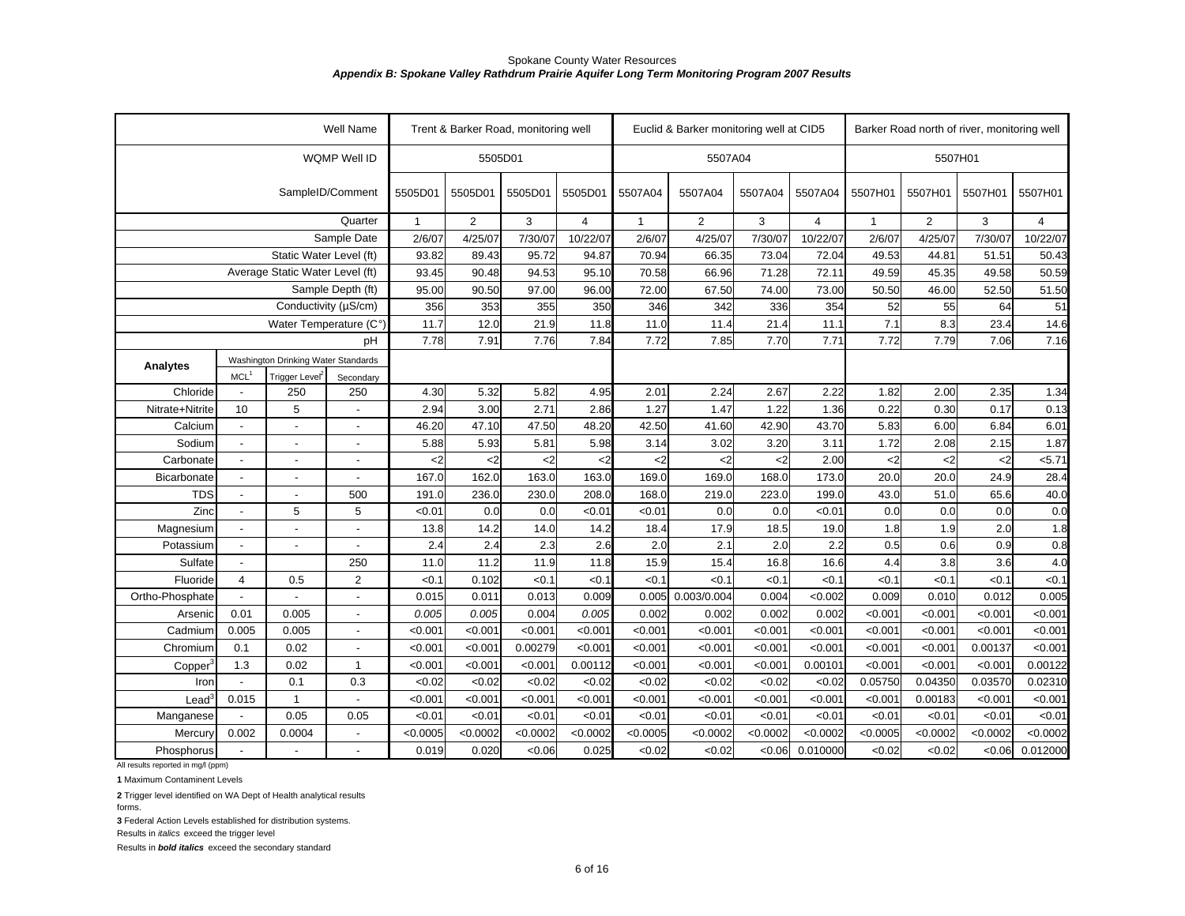| WQMP Well ID<br>5505D01<br>5507A04<br>5507H01<br>SampleID/Comment<br>5505D01<br>5505D01<br>5505D01<br>5505D01<br>5507A04<br>5507A04<br>5507A04<br>5507A04<br>5507H01<br>5507H01<br>5507H01<br>5507H01<br>Quarter<br>$\overline{2}$<br>3<br>$\overline{2}$<br>3<br>4<br>2<br>3<br>$\overline{4}$<br>$\mathbf{1}$<br>4<br>$\mathbf{1}$<br>$\mathbf{1}$<br>Sample Date<br>2/6/07<br>4/25/07<br>7/30/07<br>10/22/07<br>2/6/07<br>4/25/07<br>7/30/07<br>10/22/07<br>2/6/07<br>4/25/07<br>7/30/07<br>10/22/07<br>Static Water Level (ft)<br>93.82<br>89.43<br>95.72<br>94.87<br>70.94<br>66.35<br>73.04<br>72.04<br>49.53<br>44.81<br>51.51<br>50.43<br>Average Static Water Level (ft)<br>71.28<br>93.45<br>90.48<br>94.53<br>95.10<br>70.58<br>66.96<br>72.11<br>49.59<br>45.35<br>49.58<br>50.59<br>Sample Depth (ft)<br>51.50<br>95.00<br>90.50<br>97.00<br>96.00<br>72.00<br>67.50<br>74.00<br>73.00<br>50.50<br>46.00<br>52.50<br>Conductivity (µS/cm)<br>356<br>52<br>55<br>64<br>353<br>355<br>350<br>346<br>342<br>336<br>354<br>51<br>14.6<br>11.7<br>21.9<br>7.1<br>8.3<br>23.4<br>12.0<br>11.8<br>11.4<br>21.4<br>11.1<br>Water Temperature (C°)<br>11.0<br>7.91<br>7.76<br>7.84<br>7.85<br>7.70<br>7.71<br>7.72<br>7.79<br>7.06<br>7.16<br>7.78<br>7.72<br>pH<br>Washington Drinking Water Standards<br><b>Analytes</b><br>Trigger Level <sup>2</sup><br>MCL <sup>1</sup><br>Secondary<br>5.32<br>250<br>4.30<br>5.82<br>2.24<br>2.67<br>2.22<br>1.82<br>2.00<br>2.35<br>Chloride<br>250<br>4.95<br>2.01<br>1.34<br>$\blacksquare$<br>5<br>2.71<br>0.13<br>10<br>2.94<br>3.00<br>2.86<br>1.27<br>1.47<br>1.22<br>1.36<br>0.22<br>0.30<br>Nitrate+Nitrite<br>0.17<br>47.50<br>48.20<br>42.50<br>42.90<br>43.70<br>6.00<br>6.01<br>Calcium<br>46.20<br>47.10<br>41.60<br>5.83<br>6.84<br>$\blacksquare$<br>$\blacksquare$<br>5.88<br>5.93<br>5.81<br>5.98<br>3.02<br>3.20<br>3.11<br>1.72<br>2.08<br>2.15<br>1.87<br>Sodium<br>3.14<br>$\overline{a}$<br>$\overline{\phantom{a}}$<br>5.71<br>$\mathsf{C}2$<br>$\mathsf{<}2$<br>$\mathbf{<}2$<br>$\mathbf{<}2$<br>2.00<br>$\mathsf{C}2$<br>$2$<br>Carbonate<br>$\leq$<br>$<$ 2<br>$\mathbf{<}2$<br><2<br>163.0<br>163.0<br>168.0<br>173.0<br>20.0<br>28.4<br>167.0<br>162.0<br>169.0<br>169.0<br>20.0<br>24.9<br>Bicarbonate<br>$\overline{a}$<br>$\overline{a}$<br>$\overline{a}$<br>500<br>236.0<br>230.0<br>208.0<br>168.0<br>219.0<br>223.0<br>199.0<br>51.0<br>40.0<br>TDS<br>191.0<br>43.0<br>65.6<br>$\overline{a}$<br>$\overline{a}$<br>Zinc<br>5<br>5<br>< 0.01<br>0.0<br>0.0<br>< 0.01<br>< 0.01<br>0.0<br>0.0<br>< 0.01<br>0.0<br>0.0<br>0.0<br>0.0<br>$\blacksquare$<br>1.8<br>14.2<br>14.0<br>14.2<br>18.4<br>17.9<br>18.5<br>19.0<br>1.8<br>1.9<br>2.0<br>Magnesium<br>13.8<br>$\overline{a}$<br>$\overline{a}$<br>$\overline{a}$<br>2.4<br>2.3<br>2.1<br>2.2<br>0.8<br>2.4<br>2.6<br>2.0<br>2.0<br>0.5<br>0.6<br>0.9<br>Potassium<br>$\overline{a}$<br>$\overline{a}$<br>$\blacksquare$<br>16.8<br>3.8<br>4.0<br>Sulfate<br>250<br>11.0<br>11.2<br>11.9<br>11.8<br>15.9<br>15.4<br>16.6<br>4.4<br>3.6<br>$\overline{\phantom{a}}$<br>$\overline{2}$<br>< 0.1<br>0.102<br>< 0.1<br>< 0.1<br>< 0.1<br>< 0.1<br>< 0.1<br>< 0.1<br>< 0.1<br>< 0.1<br>< 0.1<br>Fluoride<br>0.5<br>< 0.1<br>4<br>0.015<br><0.002<br>0.005<br>Ortho-Phosphate<br>0.011<br>0.013<br>0.009<br>0.005<br>0.003/0.004<br>0.004<br>0.009<br>0.010<br>0.012<br>$\sim$<br>0.005<br>0.005<br>0.004<br>0.005<br>0.002<br>0.002<br>0.002<br>< 0.001<br>< 0.001<br>0.01<br>0.005<br>0.002<br>< 0.001<br>< 0.001<br>Arsenic<br>0.005<br>0.005<br>< 0.001<br>< 0.001<br>< 0.001<br>< 0.001<br>< 0.001<br>< 0.001<br>< 0.001<br>< 0.001<br>< 0.001<br>< 0.001<br>< 0.001<br>Cadmium<br>< 0.001<br>0.00279<br>< 0.001<br>< 0.001<br>0.1<br>0.02<br>< 0.001<br>< 0.001<br>< 0.001<br>< 0.001<br>< 0.001<br>< 0.001<br>< 0.001<br>0.00137<br>< 0.001<br>Chromium<br>< 0.001<br>0.00112<br>< 0.001<br>< 0.001<br>0.00101<br>< 0.001<br>< 0.001<br>0.00122<br>1.3<br>0.02<br>$\mathbf{1}$<br>< 0.001<br>< 0.001<br>< 0.001<br>< 0.001<br>Copper<br>0.3<br><0.02<br><0.02<br><0.02<br>0.05750<br>0.02310<br>0.1<br><0.02<br>< 0.02<br>< 0.02<br>< 0.02<br>< 0.02<br>0.04350<br>0.03570<br>Iron<br>< 0.001<br>< 0.001<br>< 0.001<br>< 0.001<br>< 0.001<br>< 0.001<br>0.00183<br>0.015<br>$\mathbf{1}$<br>< 0.001<br>< 0.001<br>< 0.001<br>< 0.001<br>< 0.001<br>$\text{Lead}^3$<br>0.05<br>0.05<br>< 0.01<br>< 0.01<br>< 0.01<br>< 0.01<br>< 0.01<br>< 0.01<br>< 0.01<br>< 0.01<br>< 0.01<br>< 0.01<br>< 0.01<br>< 0.01<br>Manganese<br>< 0.0002<br>< 0.0002<br>< 0.0005<br>< 0.0002<br>< 0.0002<br>< 0.0005<br>< 0.0002<br>0.002<br>0.0004<br>< 0.0005<br>< 0.0002<br>< 0.0002<br>< 0.0002<br>< 0.0002<br>Mercury<br>0.019<br>0.020<br>< 0.06<br>0.025<br><0.02<br><0.02<br>0.06<br>0.010000<br><0.02<br><0.02<br><0.06<br>0.012000<br>Phosphorus<br>$\mathbf{r}$ |  | Well Name |  | Trent & Barker Road, monitoring well |  | Euclid & Barker monitoring well at CID5 |  | Barker Road north of river, monitoring well |  |
|------------------------------------------------------------------------------------------------------------------------------------------------------------------------------------------------------------------------------------------------------------------------------------------------------------------------------------------------------------------------------------------------------------------------------------------------------------------------------------------------------------------------------------------------------------------------------------------------------------------------------------------------------------------------------------------------------------------------------------------------------------------------------------------------------------------------------------------------------------------------------------------------------------------------------------------------------------------------------------------------------------------------------------------------------------------------------------------------------------------------------------------------------------------------------------------------------------------------------------------------------------------------------------------------------------------------------------------------------------------------------------------------------------------------------------------------------------------------------------------------------------------------------------------------------------------------------------------------------------------------------------------------------------------------------------------------------------------------------------------------------------------------------------------------------------------------------------------------------------------------------------------------------------------------------------------------------------------------------------------------------------------------------------------------------------------------------------------------------------------------------------------------------------------------------------------------------------------------------------------------------------------------------------------------------------------------------------------------------------------------------------------------------------------------------------------------------------------------------------------------------------------------------------------------------------------------------------------------------------------------------------------------------------------------------------------------------------------------------------------------------------------------------------------------------------------------------------------------------------------------------------------------------------------------------------------------------------------------------------------------------------------------------------------------------------------------------------------------------------------------------------------------------------------------------------------------------------------------------------------------------------------------------------------------------------------------------------------------------------------------------------------------------------------------------------------------------------------------------------------------------------------------------------------------------------------------------------------------------------------------------------------------------------------------------------------------------------------------------------------------------------------------------------------------------------------------------------------------------------------------------------------------------------------------------------------------------------------------------------------------------------------------------------------------------------------------------------------------------------------------------------------------------------------------------------------------------------------------------------------------------------------------------------------------------------------------------------------------------------------------------------------------------------------------------------------------------------------------------------------------------------------------------------------------------------------------------------------------------------------------------------------------------------------------------------------------------------------------------------------------------------------------------------------------------------------------------------------------------------------------------------------|--|-----------|--|--------------------------------------|--|-----------------------------------------|--|---------------------------------------------|--|
|                                                                                                                                                                                                                                                                                                                                                                                                                                                                                                                                                                                                                                                                                                                                                                                                                                                                                                                                                                                                                                                                                                                                                                                                                                                                                                                                                                                                                                                                                                                                                                                                                                                                                                                                                                                                                                                                                                                                                                                                                                                                                                                                                                                                                                                                                                                                                                                                                                                                                                                                                                                                                                                                                                                                                                                                                                                                                                                                                                                                                                                                                                                                                                                                                                                                                                                                                                                                                                                                                                                                                                                                                                                                                                                                                                                                                                                                                                                                                                                                                                                                                                                                                                                                                                                                                                                                                                                                                                                                                                                                                                                                                                                                                                                                                                                                                                                                                          |  |           |  |                                      |  |                                         |  |                                             |  |
|                                                                                                                                                                                                                                                                                                                                                                                                                                                                                                                                                                                                                                                                                                                                                                                                                                                                                                                                                                                                                                                                                                                                                                                                                                                                                                                                                                                                                                                                                                                                                                                                                                                                                                                                                                                                                                                                                                                                                                                                                                                                                                                                                                                                                                                                                                                                                                                                                                                                                                                                                                                                                                                                                                                                                                                                                                                                                                                                                                                                                                                                                                                                                                                                                                                                                                                                                                                                                                                                                                                                                                                                                                                                                                                                                                                                                                                                                                                                                                                                                                                                                                                                                                                                                                                                                                                                                                                                                                                                                                                                                                                                                                                                                                                                                                                                                                                                                          |  |           |  |                                      |  |                                         |  |                                             |  |
|                                                                                                                                                                                                                                                                                                                                                                                                                                                                                                                                                                                                                                                                                                                                                                                                                                                                                                                                                                                                                                                                                                                                                                                                                                                                                                                                                                                                                                                                                                                                                                                                                                                                                                                                                                                                                                                                                                                                                                                                                                                                                                                                                                                                                                                                                                                                                                                                                                                                                                                                                                                                                                                                                                                                                                                                                                                                                                                                                                                                                                                                                                                                                                                                                                                                                                                                                                                                                                                                                                                                                                                                                                                                                                                                                                                                                                                                                                                                                                                                                                                                                                                                                                                                                                                                                                                                                                                                                                                                                                                                                                                                                                                                                                                                                                                                                                                                                          |  |           |  |                                      |  |                                         |  |                                             |  |
|                                                                                                                                                                                                                                                                                                                                                                                                                                                                                                                                                                                                                                                                                                                                                                                                                                                                                                                                                                                                                                                                                                                                                                                                                                                                                                                                                                                                                                                                                                                                                                                                                                                                                                                                                                                                                                                                                                                                                                                                                                                                                                                                                                                                                                                                                                                                                                                                                                                                                                                                                                                                                                                                                                                                                                                                                                                                                                                                                                                                                                                                                                                                                                                                                                                                                                                                                                                                                                                                                                                                                                                                                                                                                                                                                                                                                                                                                                                                                                                                                                                                                                                                                                                                                                                                                                                                                                                                                                                                                                                                                                                                                                                                                                                                                                                                                                                                                          |  |           |  |                                      |  |                                         |  |                                             |  |
|                                                                                                                                                                                                                                                                                                                                                                                                                                                                                                                                                                                                                                                                                                                                                                                                                                                                                                                                                                                                                                                                                                                                                                                                                                                                                                                                                                                                                                                                                                                                                                                                                                                                                                                                                                                                                                                                                                                                                                                                                                                                                                                                                                                                                                                                                                                                                                                                                                                                                                                                                                                                                                                                                                                                                                                                                                                                                                                                                                                                                                                                                                                                                                                                                                                                                                                                                                                                                                                                                                                                                                                                                                                                                                                                                                                                                                                                                                                                                                                                                                                                                                                                                                                                                                                                                                                                                                                                                                                                                                                                                                                                                                                                                                                                                                                                                                                                                          |  |           |  |                                      |  |                                         |  |                                             |  |
|                                                                                                                                                                                                                                                                                                                                                                                                                                                                                                                                                                                                                                                                                                                                                                                                                                                                                                                                                                                                                                                                                                                                                                                                                                                                                                                                                                                                                                                                                                                                                                                                                                                                                                                                                                                                                                                                                                                                                                                                                                                                                                                                                                                                                                                                                                                                                                                                                                                                                                                                                                                                                                                                                                                                                                                                                                                                                                                                                                                                                                                                                                                                                                                                                                                                                                                                                                                                                                                                                                                                                                                                                                                                                                                                                                                                                                                                                                                                                                                                                                                                                                                                                                                                                                                                                                                                                                                                                                                                                                                                                                                                                                                                                                                                                                                                                                                                                          |  |           |  |                                      |  |                                         |  |                                             |  |
|                                                                                                                                                                                                                                                                                                                                                                                                                                                                                                                                                                                                                                                                                                                                                                                                                                                                                                                                                                                                                                                                                                                                                                                                                                                                                                                                                                                                                                                                                                                                                                                                                                                                                                                                                                                                                                                                                                                                                                                                                                                                                                                                                                                                                                                                                                                                                                                                                                                                                                                                                                                                                                                                                                                                                                                                                                                                                                                                                                                                                                                                                                                                                                                                                                                                                                                                                                                                                                                                                                                                                                                                                                                                                                                                                                                                                                                                                                                                                                                                                                                                                                                                                                                                                                                                                                                                                                                                                                                                                                                                                                                                                                                                                                                                                                                                                                                                                          |  |           |  |                                      |  |                                         |  |                                             |  |
|                                                                                                                                                                                                                                                                                                                                                                                                                                                                                                                                                                                                                                                                                                                                                                                                                                                                                                                                                                                                                                                                                                                                                                                                                                                                                                                                                                                                                                                                                                                                                                                                                                                                                                                                                                                                                                                                                                                                                                                                                                                                                                                                                                                                                                                                                                                                                                                                                                                                                                                                                                                                                                                                                                                                                                                                                                                                                                                                                                                                                                                                                                                                                                                                                                                                                                                                                                                                                                                                                                                                                                                                                                                                                                                                                                                                                                                                                                                                                                                                                                                                                                                                                                                                                                                                                                                                                                                                                                                                                                                                                                                                                                                                                                                                                                                                                                                                                          |  |           |  |                                      |  |                                         |  |                                             |  |
|                                                                                                                                                                                                                                                                                                                                                                                                                                                                                                                                                                                                                                                                                                                                                                                                                                                                                                                                                                                                                                                                                                                                                                                                                                                                                                                                                                                                                                                                                                                                                                                                                                                                                                                                                                                                                                                                                                                                                                                                                                                                                                                                                                                                                                                                                                                                                                                                                                                                                                                                                                                                                                                                                                                                                                                                                                                                                                                                                                                                                                                                                                                                                                                                                                                                                                                                                                                                                                                                                                                                                                                                                                                                                                                                                                                                                                                                                                                                                                                                                                                                                                                                                                                                                                                                                                                                                                                                                                                                                                                                                                                                                                                                                                                                                                                                                                                                                          |  |           |  |                                      |  |                                         |  |                                             |  |
|                                                                                                                                                                                                                                                                                                                                                                                                                                                                                                                                                                                                                                                                                                                                                                                                                                                                                                                                                                                                                                                                                                                                                                                                                                                                                                                                                                                                                                                                                                                                                                                                                                                                                                                                                                                                                                                                                                                                                                                                                                                                                                                                                                                                                                                                                                                                                                                                                                                                                                                                                                                                                                                                                                                                                                                                                                                                                                                                                                                                                                                                                                                                                                                                                                                                                                                                                                                                                                                                                                                                                                                                                                                                                                                                                                                                                                                                                                                                                                                                                                                                                                                                                                                                                                                                                                                                                                                                                                                                                                                                                                                                                                                                                                                                                                                                                                                                                          |  |           |  |                                      |  |                                         |  |                                             |  |
|                                                                                                                                                                                                                                                                                                                                                                                                                                                                                                                                                                                                                                                                                                                                                                                                                                                                                                                                                                                                                                                                                                                                                                                                                                                                                                                                                                                                                                                                                                                                                                                                                                                                                                                                                                                                                                                                                                                                                                                                                                                                                                                                                                                                                                                                                                                                                                                                                                                                                                                                                                                                                                                                                                                                                                                                                                                                                                                                                                                                                                                                                                                                                                                                                                                                                                                                                                                                                                                                                                                                                                                                                                                                                                                                                                                                                                                                                                                                                                                                                                                                                                                                                                                                                                                                                                                                                                                                                                                                                                                                                                                                                                                                                                                                                                                                                                                                                          |  |           |  |                                      |  |                                         |  |                                             |  |
|                                                                                                                                                                                                                                                                                                                                                                                                                                                                                                                                                                                                                                                                                                                                                                                                                                                                                                                                                                                                                                                                                                                                                                                                                                                                                                                                                                                                                                                                                                                                                                                                                                                                                                                                                                                                                                                                                                                                                                                                                                                                                                                                                                                                                                                                                                                                                                                                                                                                                                                                                                                                                                                                                                                                                                                                                                                                                                                                                                                                                                                                                                                                                                                                                                                                                                                                                                                                                                                                                                                                                                                                                                                                                                                                                                                                                                                                                                                                                                                                                                                                                                                                                                                                                                                                                                                                                                                                                                                                                                                                                                                                                                                                                                                                                                                                                                                                                          |  |           |  |                                      |  |                                         |  |                                             |  |
|                                                                                                                                                                                                                                                                                                                                                                                                                                                                                                                                                                                                                                                                                                                                                                                                                                                                                                                                                                                                                                                                                                                                                                                                                                                                                                                                                                                                                                                                                                                                                                                                                                                                                                                                                                                                                                                                                                                                                                                                                                                                                                                                                                                                                                                                                                                                                                                                                                                                                                                                                                                                                                                                                                                                                                                                                                                                                                                                                                                                                                                                                                                                                                                                                                                                                                                                                                                                                                                                                                                                                                                                                                                                                                                                                                                                                                                                                                                                                                                                                                                                                                                                                                                                                                                                                                                                                                                                                                                                                                                                                                                                                                                                                                                                                                                                                                                                                          |  |           |  |                                      |  |                                         |  |                                             |  |
|                                                                                                                                                                                                                                                                                                                                                                                                                                                                                                                                                                                                                                                                                                                                                                                                                                                                                                                                                                                                                                                                                                                                                                                                                                                                                                                                                                                                                                                                                                                                                                                                                                                                                                                                                                                                                                                                                                                                                                                                                                                                                                                                                                                                                                                                                                                                                                                                                                                                                                                                                                                                                                                                                                                                                                                                                                                                                                                                                                                                                                                                                                                                                                                                                                                                                                                                                                                                                                                                                                                                                                                                                                                                                                                                                                                                                                                                                                                                                                                                                                                                                                                                                                                                                                                                                                                                                                                                                                                                                                                                                                                                                                                                                                                                                                                                                                                                                          |  |           |  |                                      |  |                                         |  |                                             |  |
|                                                                                                                                                                                                                                                                                                                                                                                                                                                                                                                                                                                                                                                                                                                                                                                                                                                                                                                                                                                                                                                                                                                                                                                                                                                                                                                                                                                                                                                                                                                                                                                                                                                                                                                                                                                                                                                                                                                                                                                                                                                                                                                                                                                                                                                                                                                                                                                                                                                                                                                                                                                                                                                                                                                                                                                                                                                                                                                                                                                                                                                                                                                                                                                                                                                                                                                                                                                                                                                                                                                                                                                                                                                                                                                                                                                                                                                                                                                                                                                                                                                                                                                                                                                                                                                                                                                                                                                                                                                                                                                                                                                                                                                                                                                                                                                                                                                                                          |  |           |  |                                      |  |                                         |  |                                             |  |
|                                                                                                                                                                                                                                                                                                                                                                                                                                                                                                                                                                                                                                                                                                                                                                                                                                                                                                                                                                                                                                                                                                                                                                                                                                                                                                                                                                                                                                                                                                                                                                                                                                                                                                                                                                                                                                                                                                                                                                                                                                                                                                                                                                                                                                                                                                                                                                                                                                                                                                                                                                                                                                                                                                                                                                                                                                                                                                                                                                                                                                                                                                                                                                                                                                                                                                                                                                                                                                                                                                                                                                                                                                                                                                                                                                                                                                                                                                                                                                                                                                                                                                                                                                                                                                                                                                                                                                                                                                                                                                                                                                                                                                                                                                                                                                                                                                                                                          |  |           |  |                                      |  |                                         |  |                                             |  |
|                                                                                                                                                                                                                                                                                                                                                                                                                                                                                                                                                                                                                                                                                                                                                                                                                                                                                                                                                                                                                                                                                                                                                                                                                                                                                                                                                                                                                                                                                                                                                                                                                                                                                                                                                                                                                                                                                                                                                                                                                                                                                                                                                                                                                                                                                                                                                                                                                                                                                                                                                                                                                                                                                                                                                                                                                                                                                                                                                                                                                                                                                                                                                                                                                                                                                                                                                                                                                                                                                                                                                                                                                                                                                                                                                                                                                                                                                                                                                                                                                                                                                                                                                                                                                                                                                                                                                                                                                                                                                                                                                                                                                                                                                                                                                                                                                                                                                          |  |           |  |                                      |  |                                         |  |                                             |  |
|                                                                                                                                                                                                                                                                                                                                                                                                                                                                                                                                                                                                                                                                                                                                                                                                                                                                                                                                                                                                                                                                                                                                                                                                                                                                                                                                                                                                                                                                                                                                                                                                                                                                                                                                                                                                                                                                                                                                                                                                                                                                                                                                                                                                                                                                                                                                                                                                                                                                                                                                                                                                                                                                                                                                                                                                                                                                                                                                                                                                                                                                                                                                                                                                                                                                                                                                                                                                                                                                                                                                                                                                                                                                                                                                                                                                                                                                                                                                                                                                                                                                                                                                                                                                                                                                                                                                                                                                                                                                                                                                                                                                                                                                                                                                                                                                                                                                                          |  |           |  |                                      |  |                                         |  |                                             |  |
|                                                                                                                                                                                                                                                                                                                                                                                                                                                                                                                                                                                                                                                                                                                                                                                                                                                                                                                                                                                                                                                                                                                                                                                                                                                                                                                                                                                                                                                                                                                                                                                                                                                                                                                                                                                                                                                                                                                                                                                                                                                                                                                                                                                                                                                                                                                                                                                                                                                                                                                                                                                                                                                                                                                                                                                                                                                                                                                                                                                                                                                                                                                                                                                                                                                                                                                                                                                                                                                                                                                                                                                                                                                                                                                                                                                                                                                                                                                                                                                                                                                                                                                                                                                                                                                                                                                                                                                                                                                                                                                                                                                                                                                                                                                                                                                                                                                                                          |  |           |  |                                      |  |                                         |  |                                             |  |
|                                                                                                                                                                                                                                                                                                                                                                                                                                                                                                                                                                                                                                                                                                                                                                                                                                                                                                                                                                                                                                                                                                                                                                                                                                                                                                                                                                                                                                                                                                                                                                                                                                                                                                                                                                                                                                                                                                                                                                                                                                                                                                                                                                                                                                                                                                                                                                                                                                                                                                                                                                                                                                                                                                                                                                                                                                                                                                                                                                                                                                                                                                                                                                                                                                                                                                                                                                                                                                                                                                                                                                                                                                                                                                                                                                                                                                                                                                                                                                                                                                                                                                                                                                                                                                                                                                                                                                                                                                                                                                                                                                                                                                                                                                                                                                                                                                                                                          |  |           |  |                                      |  |                                         |  |                                             |  |
|                                                                                                                                                                                                                                                                                                                                                                                                                                                                                                                                                                                                                                                                                                                                                                                                                                                                                                                                                                                                                                                                                                                                                                                                                                                                                                                                                                                                                                                                                                                                                                                                                                                                                                                                                                                                                                                                                                                                                                                                                                                                                                                                                                                                                                                                                                                                                                                                                                                                                                                                                                                                                                                                                                                                                                                                                                                                                                                                                                                                                                                                                                                                                                                                                                                                                                                                                                                                                                                                                                                                                                                                                                                                                                                                                                                                                                                                                                                                                                                                                                                                                                                                                                                                                                                                                                                                                                                                                                                                                                                                                                                                                                                                                                                                                                                                                                                                                          |  |           |  |                                      |  |                                         |  |                                             |  |
|                                                                                                                                                                                                                                                                                                                                                                                                                                                                                                                                                                                                                                                                                                                                                                                                                                                                                                                                                                                                                                                                                                                                                                                                                                                                                                                                                                                                                                                                                                                                                                                                                                                                                                                                                                                                                                                                                                                                                                                                                                                                                                                                                                                                                                                                                                                                                                                                                                                                                                                                                                                                                                                                                                                                                                                                                                                                                                                                                                                                                                                                                                                                                                                                                                                                                                                                                                                                                                                                                                                                                                                                                                                                                                                                                                                                                                                                                                                                                                                                                                                                                                                                                                                                                                                                                                                                                                                                                                                                                                                                                                                                                                                                                                                                                                                                                                                                                          |  |           |  |                                      |  |                                         |  |                                             |  |
|                                                                                                                                                                                                                                                                                                                                                                                                                                                                                                                                                                                                                                                                                                                                                                                                                                                                                                                                                                                                                                                                                                                                                                                                                                                                                                                                                                                                                                                                                                                                                                                                                                                                                                                                                                                                                                                                                                                                                                                                                                                                                                                                                                                                                                                                                                                                                                                                                                                                                                                                                                                                                                                                                                                                                                                                                                                                                                                                                                                                                                                                                                                                                                                                                                                                                                                                                                                                                                                                                                                                                                                                                                                                                                                                                                                                                                                                                                                                                                                                                                                                                                                                                                                                                                                                                                                                                                                                                                                                                                                                                                                                                                                                                                                                                                                                                                                                                          |  |           |  |                                      |  |                                         |  |                                             |  |
|                                                                                                                                                                                                                                                                                                                                                                                                                                                                                                                                                                                                                                                                                                                                                                                                                                                                                                                                                                                                                                                                                                                                                                                                                                                                                                                                                                                                                                                                                                                                                                                                                                                                                                                                                                                                                                                                                                                                                                                                                                                                                                                                                                                                                                                                                                                                                                                                                                                                                                                                                                                                                                                                                                                                                                                                                                                                                                                                                                                                                                                                                                                                                                                                                                                                                                                                                                                                                                                                                                                                                                                                                                                                                                                                                                                                                                                                                                                                                                                                                                                                                                                                                                                                                                                                                                                                                                                                                                                                                                                                                                                                                                                                                                                                                                                                                                                                                          |  |           |  |                                      |  |                                         |  |                                             |  |
|                                                                                                                                                                                                                                                                                                                                                                                                                                                                                                                                                                                                                                                                                                                                                                                                                                                                                                                                                                                                                                                                                                                                                                                                                                                                                                                                                                                                                                                                                                                                                                                                                                                                                                                                                                                                                                                                                                                                                                                                                                                                                                                                                                                                                                                                                                                                                                                                                                                                                                                                                                                                                                                                                                                                                                                                                                                                                                                                                                                                                                                                                                                                                                                                                                                                                                                                                                                                                                                                                                                                                                                                                                                                                                                                                                                                                                                                                                                                                                                                                                                                                                                                                                                                                                                                                                                                                                                                                                                                                                                                                                                                                                                                                                                                                                                                                                                                                          |  |           |  |                                      |  |                                         |  |                                             |  |
|                                                                                                                                                                                                                                                                                                                                                                                                                                                                                                                                                                                                                                                                                                                                                                                                                                                                                                                                                                                                                                                                                                                                                                                                                                                                                                                                                                                                                                                                                                                                                                                                                                                                                                                                                                                                                                                                                                                                                                                                                                                                                                                                                                                                                                                                                                                                                                                                                                                                                                                                                                                                                                                                                                                                                                                                                                                                                                                                                                                                                                                                                                                                                                                                                                                                                                                                                                                                                                                                                                                                                                                                                                                                                                                                                                                                                                                                                                                                                                                                                                                                                                                                                                                                                                                                                                                                                                                                                                                                                                                                                                                                                                                                                                                                                                                                                                                                                          |  |           |  |                                      |  |                                         |  |                                             |  |
|                                                                                                                                                                                                                                                                                                                                                                                                                                                                                                                                                                                                                                                                                                                                                                                                                                                                                                                                                                                                                                                                                                                                                                                                                                                                                                                                                                                                                                                                                                                                                                                                                                                                                                                                                                                                                                                                                                                                                                                                                                                                                                                                                                                                                                                                                                                                                                                                                                                                                                                                                                                                                                                                                                                                                                                                                                                                                                                                                                                                                                                                                                                                                                                                                                                                                                                                                                                                                                                                                                                                                                                                                                                                                                                                                                                                                                                                                                                                                                                                                                                                                                                                                                                                                                                                                                                                                                                                                                                                                                                                                                                                                                                                                                                                                                                                                                                                                          |  |           |  |                                      |  |                                         |  |                                             |  |
|                                                                                                                                                                                                                                                                                                                                                                                                                                                                                                                                                                                                                                                                                                                                                                                                                                                                                                                                                                                                                                                                                                                                                                                                                                                                                                                                                                                                                                                                                                                                                                                                                                                                                                                                                                                                                                                                                                                                                                                                                                                                                                                                                                                                                                                                                                                                                                                                                                                                                                                                                                                                                                                                                                                                                                                                                                                                                                                                                                                                                                                                                                                                                                                                                                                                                                                                                                                                                                                                                                                                                                                                                                                                                                                                                                                                                                                                                                                                                                                                                                                                                                                                                                                                                                                                                                                                                                                                                                                                                                                                                                                                                                                                                                                                                                                                                                                                                          |  |           |  |                                      |  |                                         |  |                                             |  |
|                                                                                                                                                                                                                                                                                                                                                                                                                                                                                                                                                                                                                                                                                                                                                                                                                                                                                                                                                                                                                                                                                                                                                                                                                                                                                                                                                                                                                                                                                                                                                                                                                                                                                                                                                                                                                                                                                                                                                                                                                                                                                                                                                                                                                                                                                                                                                                                                                                                                                                                                                                                                                                                                                                                                                                                                                                                                                                                                                                                                                                                                                                                                                                                                                                                                                                                                                                                                                                                                                                                                                                                                                                                                                                                                                                                                                                                                                                                                                                                                                                                                                                                                                                                                                                                                                                                                                                                                                                                                                                                                                                                                                                                                                                                                                                                                                                                                                          |  |           |  |                                      |  |                                         |  |                                             |  |
|                                                                                                                                                                                                                                                                                                                                                                                                                                                                                                                                                                                                                                                                                                                                                                                                                                                                                                                                                                                                                                                                                                                                                                                                                                                                                                                                                                                                                                                                                                                                                                                                                                                                                                                                                                                                                                                                                                                                                                                                                                                                                                                                                                                                                                                                                                                                                                                                                                                                                                                                                                                                                                                                                                                                                                                                                                                                                                                                                                                                                                                                                                                                                                                                                                                                                                                                                                                                                                                                                                                                                                                                                                                                                                                                                                                                                                                                                                                                                                                                                                                                                                                                                                                                                                                                                                                                                                                                                                                                                                                                                                                                                                                                                                                                                                                                                                                                                          |  |           |  |                                      |  |                                         |  |                                             |  |
|                                                                                                                                                                                                                                                                                                                                                                                                                                                                                                                                                                                                                                                                                                                                                                                                                                                                                                                                                                                                                                                                                                                                                                                                                                                                                                                                                                                                                                                                                                                                                                                                                                                                                                                                                                                                                                                                                                                                                                                                                                                                                                                                                                                                                                                                                                                                                                                                                                                                                                                                                                                                                                                                                                                                                                                                                                                                                                                                                                                                                                                                                                                                                                                                                                                                                                                                                                                                                                                                                                                                                                                                                                                                                                                                                                                                                                                                                                                                                                                                                                                                                                                                                                                                                                                                                                                                                                                                                                                                                                                                                                                                                                                                                                                                                                                                                                                                                          |  |           |  |                                      |  |                                         |  |                                             |  |
|                                                                                                                                                                                                                                                                                                                                                                                                                                                                                                                                                                                                                                                                                                                                                                                                                                                                                                                                                                                                                                                                                                                                                                                                                                                                                                                                                                                                                                                                                                                                                                                                                                                                                                                                                                                                                                                                                                                                                                                                                                                                                                                                                                                                                                                                                                                                                                                                                                                                                                                                                                                                                                                                                                                                                                                                                                                                                                                                                                                                                                                                                                                                                                                                                                                                                                                                                                                                                                                                                                                                                                                                                                                                                                                                                                                                                                                                                                                                                                                                                                                                                                                                                                                                                                                                                                                                                                                                                                                                                                                                                                                                                                                                                                                                                                                                                                                                                          |  |           |  |                                      |  |                                         |  |                                             |  |
|                                                                                                                                                                                                                                                                                                                                                                                                                                                                                                                                                                                                                                                                                                                                                                                                                                                                                                                                                                                                                                                                                                                                                                                                                                                                                                                                                                                                                                                                                                                                                                                                                                                                                                                                                                                                                                                                                                                                                                                                                                                                                                                                                                                                                                                                                                                                                                                                                                                                                                                                                                                                                                                                                                                                                                                                                                                                                                                                                                                                                                                                                                                                                                                                                                                                                                                                                                                                                                                                                                                                                                                                                                                                                                                                                                                                                                                                                                                                                                                                                                                                                                                                                                                                                                                                                                                                                                                                                                                                                                                                                                                                                                                                                                                                                                                                                                                                                          |  |           |  |                                      |  |                                         |  |                                             |  |
|                                                                                                                                                                                                                                                                                                                                                                                                                                                                                                                                                                                                                                                                                                                                                                                                                                                                                                                                                                                                                                                                                                                                                                                                                                                                                                                                                                                                                                                                                                                                                                                                                                                                                                                                                                                                                                                                                                                                                                                                                                                                                                                                                                                                                                                                                                                                                                                                                                                                                                                                                                                                                                                                                                                                                                                                                                                                                                                                                                                                                                                                                                                                                                                                                                                                                                                                                                                                                                                                                                                                                                                                                                                                                                                                                                                                                                                                                                                                                                                                                                                                                                                                                                                                                                                                                                                                                                                                                                                                                                                                                                                                                                                                                                                                                                                                                                                                                          |  |           |  |                                      |  |                                         |  |                                             |  |

**1** Maximum Contaminent Levels

**2** Trigger level identified on WA Dept of Health analytical results

forms.

**3** Federal Action Levels established for distribution systems.

Results in *italics* exceed the trigger level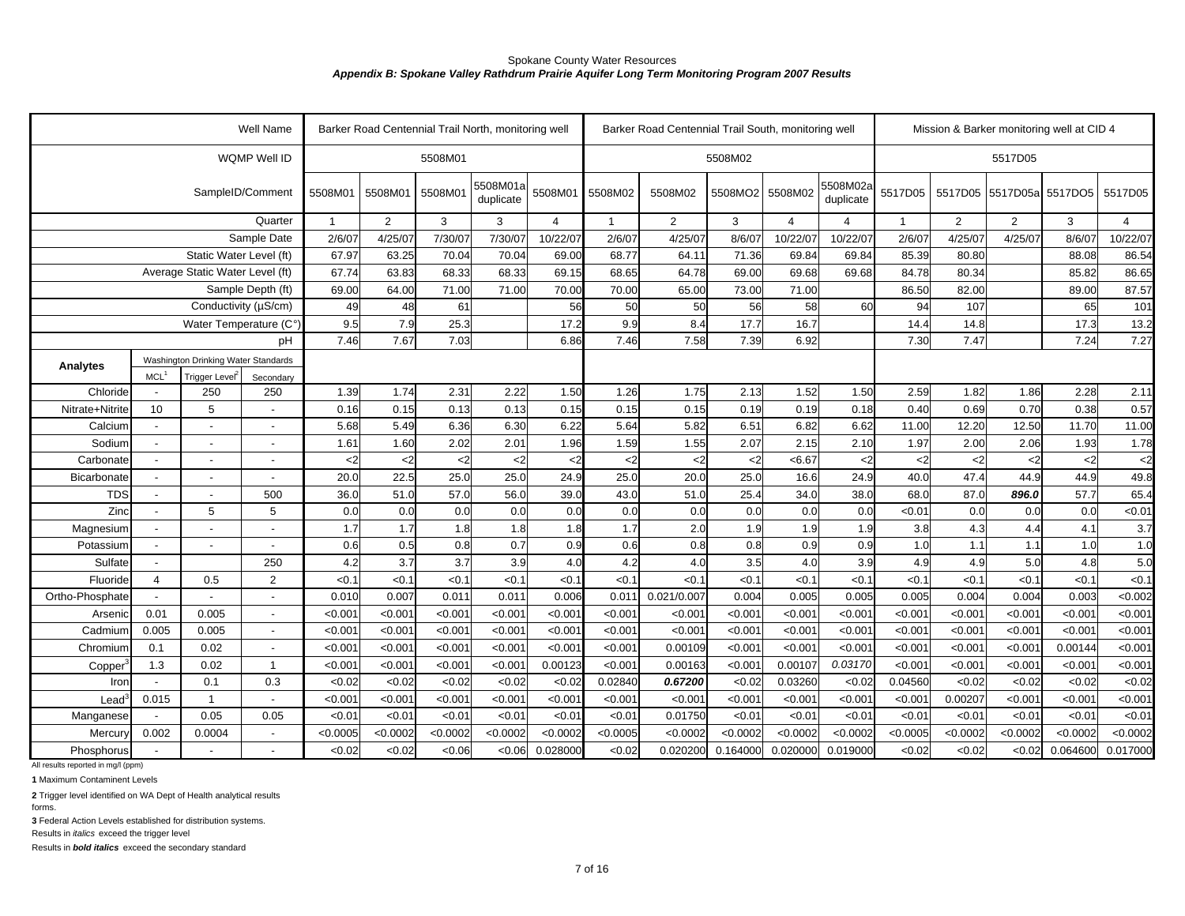|                                    |                                            |                                     | Well Name                |              |                |             | Barker Road Centennial Trail North, monitoring well |                 |               | Barker Road Centennial Trail South, monitoring well |            |                |                       |               |                | Mission & Barker monitoring well at CID 4 |             |                |
|------------------------------------|--------------------------------------------|-------------------------------------|--------------------------|--------------|----------------|-------------|-----------------------------------------------------|-----------------|---------------|-----------------------------------------------------|------------|----------------|-----------------------|---------------|----------------|-------------------------------------------|-------------|----------------|
|                                    |                                            |                                     | WQMP Well ID             |              |                | 5508M01     |                                                     |                 |               |                                                     | 5508M02    |                |                       |               |                | 5517D05                                   |             |                |
|                                    |                                            |                                     | SampleID/Comment         | 5508M01      | 5508M01        | 5508M01     | 5508M01a<br>duplicate                               | 5508M01         | 5508M02       | 5508M02                                             | 5508MO2    | 5508M02        | 5508M02a<br>duplicate | 5517D05       | 5517D05        | 5517D05a                                  | 5517DO5     | 5517D05        |
|                                    |                                            |                                     | Quarter                  | $\mathbf{1}$ | $\overline{2}$ | 3           | 3                                                   | $\overline{4}$  | $\mathbf{1}$  | $\overline{2}$                                      | 3          | $\overline{4}$ | 4                     | $\mathbf{1}$  | $\overline{2}$ | 2                                         | 3           | $\overline{4}$ |
|                                    |                                            |                                     | Sample Date              | 2/6/07       | 4/25/07        | 7/30/07     | 7/30/07                                             | 10/22/07        | 2/6/07        | 4/25/07                                             | 8/6/07     | 10/22/07       | 10/22/07              | 2/6/07        | 4/25/07        | 4/25/07                                   | 8/6/07      | 10/22/07       |
|                                    |                                            | Static Water Level (ft)             |                          | 67.97        | 63.25          | 70.04       | 70.04                                               | 69.00           | 68.77         | 64.11                                               | 71.36      | 69.84          | 69.84                 | 85.39         | 80.80          |                                           | 88.08       | 86.54          |
|                                    |                                            | Average Static Water Level (ft)     |                          | 67.74        | 63.83          | 68.33       | 68.33                                               | 69.15           | 68.65         | 64.78                                               | 69.00      | 69.68          | 69.68                 | 84.78         | 80.34          |                                           | 85.82       | 86.65          |
|                                    |                                            |                                     | Sample Depth (ft)        | 69.00        | 64.00          | 71.00       | 71.00                                               | 70.00           | 70.00         | 65.00                                               | 73.00      | 71.00          |                       | 86.50         | 82.00          |                                           | 89.00       | 87.57          |
|                                    |                                            | Conductivity (µS/cm)                |                          | 49           | 48             | 61          |                                                     | 56              | 50            | 50                                                  | 56         | 58             | 60                    | 94            | 107            |                                           | 65          | 101            |
|                                    |                                            | Water Temperature (C°               |                          | 9.5          | 7.9            | 25.3        |                                                     | 17.2            | 9.9           | 8.4                                                 | 17.7       | 16.7           |                       | 14.4          | 14.8           |                                           | 17.3        | 13.2           |
|                                    |                                            |                                     | рH                       | 7.46         | 7.67           | 7.03        |                                                     | 6.86            | 7.46          | 7.58                                                | 7.39       | 6.92           |                       | 7.30          | 7.47           |                                           | 7.24        | 7.27           |
| Analytes                           |                                            | Washington Drinking Water Standards |                          |              |                |             |                                                     |                 |               |                                                     |            |                |                       |               |                |                                           |             |                |
|                                    | MCL <sup>1</sup>                           | Trigger Level <sup>2</sup>          | Secondary                |              |                |             |                                                     |                 |               |                                                     |            |                |                       |               |                |                                           |             |                |
| Chloride                           | $\overline{\phantom{a}}$                   | 250                                 | 250                      | 1.39         | 1.74           | 2.31        | 2.22                                                | 1.50            | 1.26          | 1.75                                                | 2.13       | 1.52           | 1.50                  | 2.59          | 1.82           | 1.86                                      | 2.28        | 2.11           |
| Nitrate+Nitrite                    | 10                                         | 5                                   | $\sim$                   | 0.16         | 0.15           | 0.13        | 0.13                                                | 0.15            | 0.15          | 0.15                                                | 0.19       | 0.19           | 0.18                  | 0.40          | 0.69           | 0.70                                      | 0.38        | 0.57           |
| Calcium                            | $\overline{\phantom{a}}$                   | $\blacksquare$                      | $\blacksquare$           | 5.68         | 5.49           | 6.36        | 6.30                                                | 6.22            | 5.64          | 5.82                                                | 6.51       | 6.82           | 6.62                  | 11.00         | 12.20          | 12.50                                     | 11.70       | 11.00          |
| Sodium                             | $\blacksquare$                             |                                     | $\overline{a}$           | 1.61         | 1.60           | 2.02        | 2.01                                                | 1.96            | 1.59          | 1.55                                                | 2.07       | 2.15           | 2.10                  | 1.97          | 2.00           | 2.06                                      | 1.93        | 1.78           |
| Carbonate                          | $\overline{\phantom{a}}$                   |                                     | $\overline{a}$           | $<$ 2        | $2$            | $<$ 2       | $2$                                                 | <2              | $\mathbf{<}2$ | $2$                                                 | $2$        | < 6.67         | $<$ 2                 | $<$ 2         | $2$            | $<$ 2                                     | $2$         | $<$ 2          |
| Bicarbonate                        |                                            | $\overline{\phantom{a}}$            |                          | 20.0         | 22.5           | 25.0        | 25.0                                                | 24.9            | 25.0          | 20.0                                                | 25.0       | 16.6           | 24.9                  | 40.0          | 47.4           | 44.9                                      | 44.9        | 49.8           |
| <b>TDS</b><br>Zinc                 | $\overline{a}$                             | $\overline{\phantom{a}}$            | 500<br>5                 | 36.0         | 51.0           | 57.0<br>0.0 | 56.0                                                | 39 <sub>0</sub> | 43.0<br>0.0   | 51.0                                                | 25.4       | 34.0           | 38.0                  | 68.0          | 87.0           | 896.0<br>0.0                              | 57.7<br>0.0 | 65.4           |
|                                    | $\overline{\phantom{a}}$<br>$\blacksquare$ | 5<br>$\blacksquare$                 | $\blacksquare$           | 0.0<br>1.7   | 0.0<br>1.7     | 1.8         | 0.0<br>1.8                                          | 0.0<br>1.8      | 1.7           | 0.0<br>2.0                                          | 0.0<br>1.9 | 0.0<br>1.9     | 0.0<br>1.9            | < 0.01<br>3.8 | 0.0<br>4.3     | 4.4                                       | 4.1         | < 0.01<br>3.7  |
| Magnesium<br>Potassium             | $\overline{\phantom{a}}$                   | $\blacksquare$                      | $\sim$                   | 0.6          | 0.5            | 0.8         | 0.7                                                 | 0.9             | 0.6           | 0.8                                                 | 0.8        | 0.9            | 0.9                   | 1.0           | 1.1            | 1.1                                       | 1.0         | 1.0            |
| Sulfate                            | $\overline{\phantom{a}}$                   |                                     | 250                      | 4.2          | 3.7            | 3.7         | 3.9                                                 | 4.0             | 4.2           | 4.0                                                 | 3.5        | 4.0            | 3.9                   | 4.9           | 4.9            | 5.0                                       | 4.8         | 5.0            |
| Fluoride                           | $\overline{4}$                             | 0.5                                 | $\overline{2}$           | < 0.1        | < 0.1          | < 0.1       | < 0.1                                               | &0.1            | <0.1          | < 0.1                                               | < 0.1      | < 0.1          | < 0.1                 | < 0.1         | < 0.1          | <0.1                                      | <0.1        | < 0.1          |
| Ortho-Phosphate                    |                                            |                                     |                          | 0.010        | 0.007          | 0.011       | 0.011                                               | 0.006           | 0.011         | 0.021/0.007                                         | 0.004      | 0.005          | 0.005                 | 0.005         | 0.004          | 0.004                                     | 0.003       | < 0.002        |
| Arsenic                            | 0.01                                       | 0.005                               |                          | < 0.001      | < 0.001        | < 0.001     | < 0.001                                             | <0.001          | < 0.001       | < 0.001                                             | < 0.001    | < 0.001        | < 0.00                | < 0.001       | < 0.001        | < 0.001                                   | < 0.001     | < 0.001        |
| Cadmium                            | 0.005                                      | 0.005                               | $\overline{a}$           | < 0.001      | < 0.001        | < 0.001     | < 0.001                                             | < 0.001         | < 0.001       | <0.001                                              | < 0.001    | < 0.001        | < 0.00                | < 0.001       | < 0.001        | < 0.001                                   | < 0.001     | < 0.001        |
| Chromium                           | 0.1                                        | 0.02                                | $\overline{a}$           | < 0.001      | < 0.001        | < 0.001     | < 0.001                                             | < 0.001         | < 0.001       | 0.00109                                             | < 0.001    | < 0.001        | < 0.00                | < 0.001       | < 0.001        | < 0.001                                   | 0.00144     | < 0.001        |
| Copper                             | 1.3                                        | 0.02                                | $\mathbf{1}$             | < 0.001      | < 0.001        | < 0.001     | < 0.001                                             | 0.00123         | < 0.001       | 0.00163                                             | < 0.001    | 0.00107        | 0.03170               | < 0.001       | < 0.001        | < 0.001                                   | < 0.001     | < 0.001        |
| Iron                               |                                            | 0.1                                 | 0.3                      | <0.02        | <0.02          | < 0.02      | <0.02                                               | < 0.02          | 0.02840       | 0.67200                                             | < 0.02     | 0.03260        | < 0.02                | 0.04560       | <0.02          | < 0.02                                    | <0.02       | < 0.02         |
| Lead <sup>®</sup>                  | 0.015                                      | $\mathbf{1}$                        |                          | < 0.001      | < 0.001        | < 0.001     | < 0.001                                             | < 0.001         | < 0.001       | < 0.001                                             | < 0.001    | < 0.001        | < 0.00                | < 0.001       | 0.00207        | < 0.001                                   | < 0.001     | < 0.001        |
| Manganese                          | $\overline{\phantom{a}}$                   | 0.05                                | 0.05                     | < 0.01       | < 0.01         | < 0.01      | < 0.01                                              | < 0.01          | < 0.01        | 0.01750                                             | < 0.01     | < 0.01         | < 0.01                | < 0.01        | < 0.01         | < 0.01                                    | < 0.01      | < 0.01         |
| Mercury                            | 0.002                                      | 0.0004                              | $\overline{\phantom{a}}$ | < 0.0005     | < 0.0002       | < 0.0002    | < 0.0002                                            | < 0.0002        | < 0.0005      | < 0.0002                                            | < 0.0002   | < 0.0002       | < 0.0002              | < 0.0005      | < 0.0002       | < 0.0002                                  | < 0.0002    | < 0.0002       |
| Phosphorus                         |                                            |                                     |                          | <0.02        | < 0.02         | <0.06       | <0.06                                               | 0.028000        | < 0.02        | 0.020200                                            | 0.164000   | 0.020000       | 0.019000              | < 0.02        | < 0.02         | < 0.02                                    | 0.064600    | 0.017000       |
| All results reported in mg/l (ppm) |                                            |                                     |                          |              |                |             |                                                     |                 |               |                                                     |            |                |                       |               |                |                                           |             |                |

**1** Maximum Contaminent Levels

**2** Trigger level identified on WA Dept of Health analytical results

forms.

**3** Federal Action Levels established for distribution systems.

Results in *italics* exceed the trigger level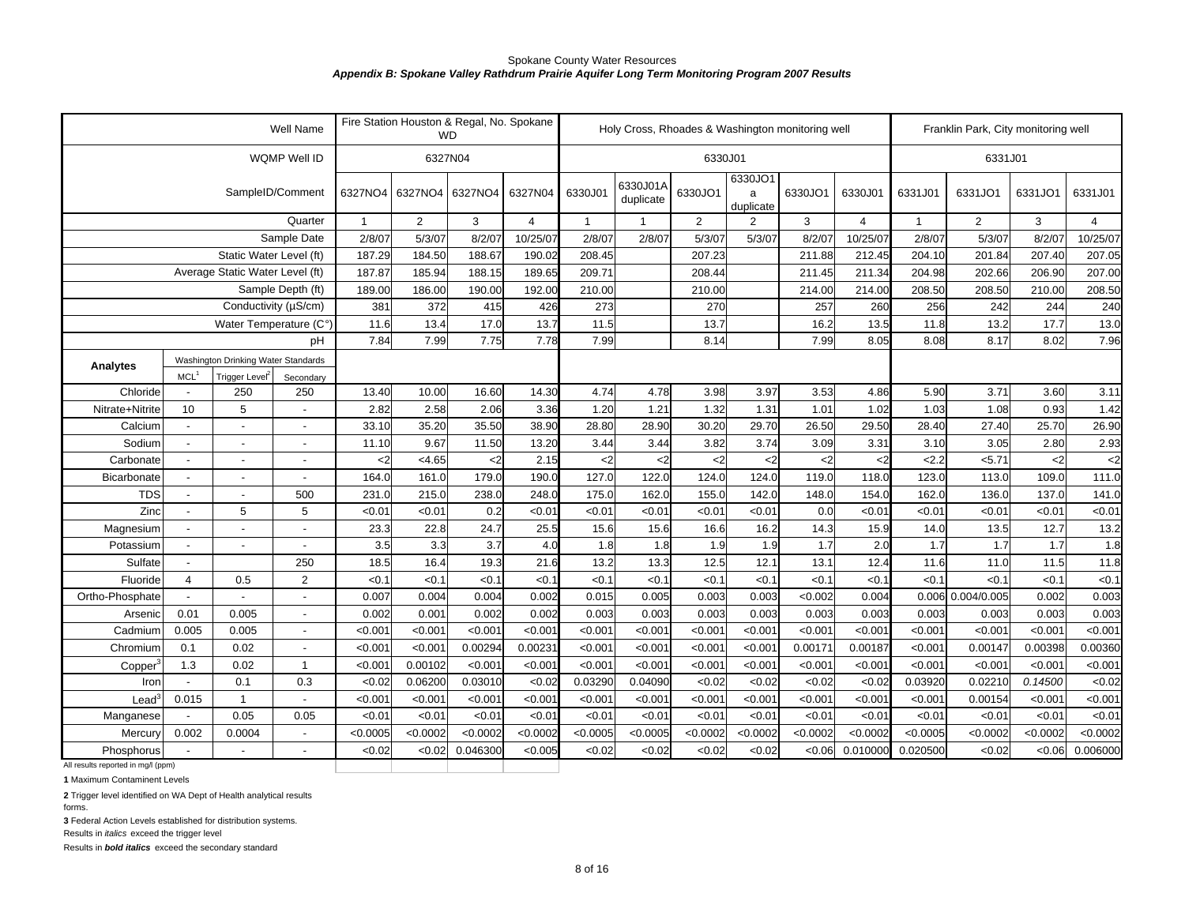|                                    |                          |                                     | Well Name                |              |                | Fire Station Houston & Regal, No. Spokane<br><b>WD</b> |                |              |                       |                |                           | Holy Cross, Rhoades & Washington monitoring well |                |              | Franklin Park, City monitoring well |          |                |
|------------------------------------|--------------------------|-------------------------------------|--------------------------|--------------|----------------|--------------------------------------------------------|----------------|--------------|-----------------------|----------------|---------------------------|--------------------------------------------------|----------------|--------------|-------------------------------------|----------|----------------|
|                                    |                          |                                     | WQMP Well ID             |              |                | 6327N04                                                |                |              |                       | 6330J01        |                           |                                                  |                |              | 6331J01                             |          |                |
|                                    |                          |                                     | SampleID/Comment         | 6327NO4      | 6327NO4        | 6327NO4                                                | 6327N04        | 6330J01      | 6330J01A<br>duplicate | 6330JO1        | 6330JO1<br>a<br>duplicate | 6330JO1                                          | 6330J01        | 6331J01      | 6331JO1                             | 6331JO1  | 6331J01        |
|                                    |                          |                                     | Quarter                  | $\mathbf{1}$ | $\overline{2}$ | 3                                                      | $\overline{4}$ | $\mathbf{1}$ |                       | $\overline{2}$ | 2                         | 3                                                | $\overline{4}$ | $\mathbf{1}$ | 2                                   | 3        | $\overline{4}$ |
|                                    |                          |                                     | Sample Date              | 2/8/07       | 5/3/07         | 8/2/07                                                 | 10/25/07       | 2/8/07       | 2/8/07                | 5/3/07         | 5/3/07                    | 8/2/07                                           | 10/25/07       | 2/8/07       | 5/3/07                              | 8/2/07   | 10/25/07       |
|                                    |                          | Static Water Level (ft)             |                          | 187.29       | 184.50         | 188.67                                                 | 190.02         | 208.45       |                       | 207.23         |                           | 211.88                                           | 212.45         | 204.10       | 201.84                              | 207.40   | 207.05         |
|                                    |                          | Average Static Water Level (ft)     |                          | 187.87       | 185.94         | 188.15                                                 | 189.65         | 209.71       |                       | 208.44         |                           | 211.45                                           | 211.34         | 204.98       | 202.66                              | 206.90   | 207.00         |
|                                    |                          |                                     | Sample Depth (ft)        | 189.00       | 186.00         | 190.00                                                 | 192.00         | 210.00       |                       | 210.00         |                           | 214.00                                           | 214.00         | 208.50       | 208.50                              | 210.00   | 208.50         |
|                                    |                          | Conductivity (µS/cm)                |                          | 381          | 372            | 415                                                    | 426            | 273          |                       | 270            |                           | 257                                              | 260            | 256          | 242                                 | 244      | 240            |
|                                    |                          | Water Temperature (C°               |                          | 11.6         | 13.4           | 17.0                                                   | 13.7           | 11.5         |                       | 13.7           |                           | 16.2                                             | 13.5           | 11.8         | 13.2                                | 17.7     | 13.0           |
|                                    |                          |                                     | pН                       | 7.84         | 7.99           | 7.75                                                   | 7.78           | 7.99         |                       | 8.14           |                           | 7.99                                             | 8.05           | 8.08         | 8.17                                | 8.02     | 7.96           |
|                                    |                          | Washington Drinking Water Standards |                          |              |                |                                                        |                |              |                       |                |                           |                                                  |                |              |                                     |          |                |
| <b>Analytes</b>                    | MCL <sup>1</sup>         | Trigger Level <sup>2</sup>          | Secondary                |              |                |                                                        |                |              |                       |                |                           |                                                  |                |              |                                     |          |                |
| Chloride                           |                          | 250                                 | 250                      | 13.40        | 10.00          | 16.60                                                  | 14.30          | 4.74         | 4.78                  | 3.98           | 3.97                      | 3.53                                             | 4.86           | 5.90         | 3.71                                | 3.60     | 3.11           |
| Nitrate+Nitrite                    | 10                       | 5                                   | $\overline{a}$           | 2.82         | 2.58           | 2.06                                                   | 3.36           | 1.20         | 1.21                  | 1.32           | 1.31                      | 1.01                                             | 1.02           | 1.03         | 1.08                                | 0.93     | 1.42           |
| Calcium                            | $\overline{\phantom{0}}$ |                                     | $\blacksquare$           | 33.10        | 35.20          | 35.50                                                  | 38.90          | 28.80        | 28.90                 | 30.20          | 29.70                     | 26.50                                            | 29.50          | 28.40        | 27.40                               | 25.70    | 26.90          |
| Sodium                             | $\overline{a}$           |                                     | $\overline{\phantom{a}}$ | 11.10        | 9.67           | 11.50                                                  | 13.20          | 3.44         | 3.44                  | 3.82           | 3.74                      | 3.09                                             | 3.31           | 3.10         | 3.05                                | 2.80     | 2.93           |
| Carbonate                          | $\blacksquare$           | $\overline{\phantom{a}}$            | $\overline{a}$           | $<$ 2        | < 4.65         | $2$                                                    | 2.15           | $2$          | $2$                   | $<$ 2          | $2$                       | $<$ 2                                            | $<$ 2          | 2.2          | 5.71                                | $2$      | $2$            |
| Bicarbonate                        | $\blacksquare$           |                                     | $\overline{\phantom{a}}$ | 164.0        | 161.0          | 179.0                                                  | 190.0          | 127.0        | 122.0                 | 124.0          | 124.0                     | 119.0                                            | 118.0          | 123.0        | 113.0                               | 109.0    | 111.0          |
| <b>TDS</b>                         | $\overline{\phantom{a}}$ | $\overline{\phantom{a}}$            | 500                      | 231.0        | 215.0          | 238.0                                                  | 248.0          | 175.0        | 162.0                 | 155.0          | 142.0                     | 148.0                                            | 154.0          | 162.0        | 136.0                               | 137.0    | 141.0          |
| Zinc                               |                          | 5                                   | 5                        | < 0.01       | < 0.01         | 0.2                                                    | < 0.01         | < 0.01       | < 0.01                | < 0.01         | < 0.01                    | 0.0                                              | < 0.01         | < 0.01       | < 0.01                              | < 0.01   | < 0.01         |
| Magnesium                          |                          |                                     |                          | 23.3         | 22.8           | 24.7                                                   | 25.5           | 15.6         | 15.6                  | 16.6           | 16.2                      | 14.3                                             | 15.9           | 14.0         | 13.5                                | 12.7     | 13.2           |
| Potassium                          | $\overline{a}$           |                                     | $\overline{a}$           | 3.5          | 3.3            | 3.7                                                    | 4.0            | 1.8          | 1.8                   | 1.9            | 1.9                       | 1.7                                              | 2.0            | 1.7          | 1.7                                 | 1.7      | 1.8            |
| Sulfate                            | $\overline{a}$           |                                     | 250                      | 18.5         | 16.4           | 19.3                                                   | 21.6           | 13.2         | 13.3                  | 12.5           | 12.1                      | 13.1                                             | 12.4           | 11.6         | 11.0                                | 11.5     | 11.8           |
| Fluoride                           | $\overline{4}$           | 0.5                                 | 2                        | < 0.1        | < 0.1          | < 0.1                                                  | < 0.1          | < 0.1        | <0.1                  | < 0.1          | < 0.1                     | < 0.1                                            | < 0.1          | < 0.1        | <0.1                                | < 0.1    | < 0.1          |
| Ortho-Phosphate                    |                          |                                     | $\overline{a}$           | 0.007        | 0.004          | 0.004                                                  | 0.002          | 0.015        | 0.005                 | 0.003          | 0.003                     | <0.002                                           | 0.004          |              | 0.006 0.004/0.005                   | 0.002    | 0.003          |
| Arsenic                            | 0.01                     | 0.005                               | $\overline{\phantom{a}}$ | 0.002        | 0.001          | 0.002                                                  | 0.002          | 0.003        | 0.003                 | 0.003          | 0.003                     | 0.003                                            | 0.003          | 0.003        | 0.003                               | 0.003    | 0.003          |
| Cadmium                            | 0.005                    | 0.005                               | $\overline{\phantom{a}}$ | < 0.001      | < 0.001        | < 0.001                                                | < 0.001        | < 0.001      | < 0.001               | < 0.001        | < 0.001                   | < 0.001                                          | < 0.001        | < 0.001      | < 0.001                             | < 0.001  | < 0.001        |
| Chromium                           | 0.1                      | 0.02                                | $\overline{a}$           | < 0.00       | < 0.001        | 0.00294                                                | 0.00231        | < 0.001      | < 0.001               | < 0.001        | < 0.001                   | 0.00171                                          | 0.00187        | < 0.001      | 0.00147                             | 0.00398  | 0.00360        |
| Copper                             | 1.3                      | 0.02                                | $\mathbf{1}$             | <0.00'       | 0.00102        | < 0.001                                                | < 0.001        | < 0.001      | < 0.001               | < 0.001        | < 0.001                   | < 0.001                                          | < 0.001        | <0.00'       | < 0.001                             | < 0.001  | < 0.001        |
| Iron                               |                          | 0.1                                 | 0.3                      | < 0.02       | 0.06200        | 0.03010                                                | <0.02          | 0.03290      | 0.04090               | <0.02          | < 0.02                    | < 0.02                                           | < 0.02         | 0.03920      | 0.02210                             | 0.14500  | < 0.02         |
| Lead                               | 0.015                    | $\mathbf{1}$                        | $\sim$                   | <0.00'       | < 0.001        | < 0.001                                                | < 0.001        | < 0.001      | < 0.001               | < 0.001        | < 0.001                   | < 0.001                                          | < 0.001        | <0.00'       | 0.00154                             | < 0.001  | < 0.001        |
| Manganese                          |                          | 0.05                                | 0.05                     | < 0.01       | < 0.01         | < 0.01                                                 | < 0.01         | < 0.01       | < 0.01                | < 0.01         | < 0.01                    | < 0.01                                           | < 0.01         | <0.0'        | < 0.01                              | < 0.01   | < 0.01         |
| Mercury                            | 0.002                    | 0.0004                              | $\blacksquare$           | < 0.0005     | < 0.0002       | < 0.0002                                               | < 0.0002       | < 0.0005     | < 0.0005              | < 0.0002       | < 0.0002                  | < 0.0002                                         | < 0.0002       | < 0.0005     | < 0.0002                            | < 0.0002 | < 0.0002       |
| Phosphorus                         |                          |                                     |                          | <0.02        | < 0.02         | 0.046300                                               | < 0.005        | < 0.02       | <0.02                 | <0.02          | <0.02                     | <0.06                                            | 0.010000       | 0.020500     | < 0.02                              | <0.06    | 0.006000       |
| All results reported in mg/l (ppm) |                          |                                     |                          |              |                |                                                        |                |              |                       |                |                           |                                                  |                |              |                                     |          |                |

**1** Maximum Contaminent Levels

**2** Trigger level identified on WA Dept of Health analytical results

forms.

**3** Federal Action Levels established for distribution systems.

Results in *italics* exceed the trigger level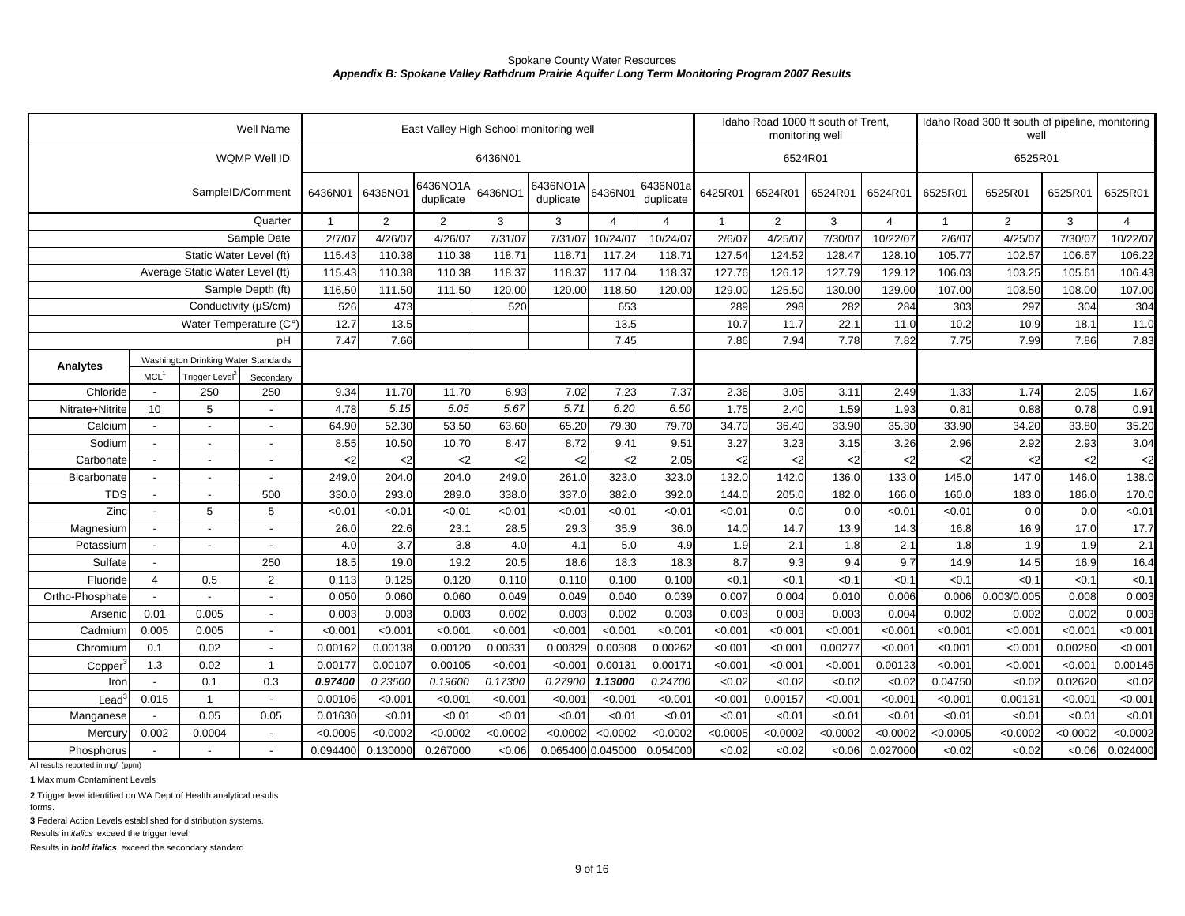|                                                  |                  |                                     | Well Name         |              |          |                       |          | East Valley High School monitoring well |                |                       |          | Idaho Road 1000 ft south of Trent.<br>monitoring well |          |                |              | Idaho Road 300 ft south of pipeline, monitoring<br>well |          |                |
|--------------------------------------------------|------------------|-------------------------------------|-------------------|--------------|----------|-----------------------|----------|-----------------------------------------|----------------|-----------------------|----------|-------------------------------------------------------|----------|----------------|--------------|---------------------------------------------------------|----------|----------------|
|                                                  |                  |                                     | WQMP Well ID      |              |          |                       | 6436N01  |                                         |                |                       |          | 6524R01                                               |          |                |              | 6525R01                                                 |          |                |
|                                                  |                  |                                     | SampleID/Comment  | 6436N01      | 6436NO1  | 6436NO1A<br>duplicate | 6436NO1  | 6436NO1A<br>duplicate                   | 6436N01        | 6436N01a<br>duplicate | 6425R01  | 6524R01                                               | 6524R01  | 6524R01        | 6525R01      | 6525R01                                                 | 6525R01  | 6525R01        |
|                                                  |                  |                                     | Quarter           | $\mathbf{1}$ | 2        | $\overline{2}$        | 3        | 3                                       | $\overline{4}$ | $\overline{4}$        | 1        | 2                                                     | 3        | $\overline{4}$ | $\mathbf{1}$ | $\overline{2}$                                          | 3        | $\overline{4}$ |
|                                                  |                  |                                     | Sample Date       | 2/7/07       | 4/26/07  | 4/26/07               | 7/31/07  | 7/31/07                                 | 10/24/07       | 10/24/07              | 2/6/07   | 4/25/07                                               | 7/30/07  | 10/22/07       | 2/6/07       | 4/25/07                                                 | 7/30/07  | 10/22/07       |
|                                                  |                  | Static Water Level (ft)             |                   | 115.43       | 110.38   | 110.38                | 118.71   | 118.71                                  | 117.24         | 118.7'                | 127.54   | 124.52                                                | 128.47   | 128.10         | 105.77       | 102.57                                                  | 106.67   | 106.22         |
|                                                  |                  | Average Static Water Level (ft)     |                   | 115.43       | 110.38   | 110.38                | 118.37   | 118.37                                  | 117.04         | 118.37                | 127.76   | 126.12                                                | 127.79   | 129.12         | 106.03       | 103.25                                                  | 105.61   | 106.43         |
|                                                  |                  |                                     | Sample Depth (ft) | 116.50       | 111.50   | 111.50                | 120.00   | 120.00                                  | 118.50         | 120.00                | 129.00   | 125.50                                                | 130.00   | 129.00         | 107.00       | 103.50                                                  | 108.00   | 107.00         |
|                                                  |                  | Conductivity (µS/cm)                |                   | 526          | 473      |                       | 520      |                                         | 653            |                       | 289      | 298                                                   | 282      | 284            | 303          | 297                                                     | 304      | 304            |
|                                                  |                  | Water Temperature (C°)              |                   | 12.7         | 13.5     |                       |          |                                         | 13.5           |                       | 10.7     | 11.7                                                  | 22.1     | 11.0           | 10.2         | 10.9                                                    | 18.1     | 11.0           |
|                                                  |                  |                                     | рH                | 7.47         | 7.66     |                       |          |                                         | 7.45           |                       | 7.86     | 7.94                                                  | 7.78     | 7.82           | 7.75         | 7.99                                                    | 7.86     | 7.83           |
| Analytes                                         |                  | Washington Drinking Water Standards |                   |              |          |                       |          |                                         |                |                       |          |                                                       |          |                |              |                                                         |          |                |
|                                                  | MCL <sup>1</sup> | Trigger Level <sup>2</sup>          | Secondary         |              |          |                       |          |                                         |                |                       |          |                                                       |          |                |              |                                                         |          |                |
| Chloride                                         |                  | 250                                 | 250               | 9.34         | 11.70    | 11.70                 | 6.93     | 7.02                                    | 7.23           | 7.37                  | 2.36     | 3.05                                                  | 3.11     | 2.49           | 1.33         | 1.74                                                    | 2.05     | 1.67           |
| Nitrate+Nitrite                                  | 10               | 5                                   | $\overline{a}$    | 4.78         | 5.15     | 5.05                  | 5.67     | 5.71                                    | 6.20           | 6.50                  | 1.75     | 2.40                                                  | 1.59     | 1.93           | 0.81         | 0.88                                                    | 0.78     | 0.91           |
| Calcium                                          |                  | $\overline{\phantom{a}}$            | $\blacksquare$    | 64.90        | 52.30    | 53.50                 | 63.60    | 65.20                                   | 79.30          | 79.70                 | 34.70    | 36.40                                                 | 33.90    | 35.30          | 33.90        | 34.20                                                   | 33.80    | 35.20          |
| Sodium                                           |                  |                                     |                   | 8.55         | 10.50    | 10.70                 | 8.47     | 8.72                                    | 9.41           | 9.51                  | 3.27     | 3.23                                                  | 3.15     | 3.26           | 2.96         | 2.92                                                    | 2.93     | 3.04           |
| Carbonate                                        | $\mathbf{r}$     | $\overline{a}$                      | $\overline{a}$    | $2$          | $\leq$ 2 | $2$                   | $2$      | $<$ 2                                   | $2$            | 2.05                  | $2$      | $\leq$ 2                                              | $2$      | $\mathbf{<}2$  | $2$          | $2$                                                     | $2$      | $<$ 2          |
| Bicarbonate                                      |                  |                                     | $\overline{a}$    | 249.0        | 204.0    | 204.0                 | 249.0    | 261.0                                   | 323.0          | 323.0                 | 132.0    | 142.0                                                 | 136.0    | 133.0          | 145.0        | 147.0                                                   | 146.0    | 138.0          |
| <b>TDS</b>                                       | $\blacksquare$   | $\blacksquare$                      | 500               | 330.0        | 293.0    | 289.0                 | 338.0    | 337.0                                   | 382.0          | 392.0                 | 144.0    | 205.0                                                 | 182.0    | 166.0          | 160.0        | 183.0                                                   | 186.0    | 170.0          |
| Zinc                                             | $\blacksquare$   | 5                                   | 5                 | < 0.01       | < 0.01   | < 0.01                | <0.01    | < 0.01                                  | < 0.01         | <0.0'                 | < 0.01   | 0.0                                                   | 0.0      | < 0.01         | < 0.01       | 0.0                                                     | 0.0      | <0.01          |
| Magnesium                                        |                  | $\blacksquare$                      | $\frac{1}{2}$     | 26.0         | 22.6     | 23.1                  | 28.5     | 29.3                                    | 35.9           | 36.0                  | 14.0     | 14.7                                                  | 13.9     | 14.3           | 16.8         | 16.9                                                    | 17.0     | 17.7           |
| Potassium                                        | $\blacksquare$   | $\overline{a}$                      | $\blacksquare$    | 4.0          | 3.7      | 3.8                   | 4.0      | 4.1                                     | 5.0            | 4.9                   | 1.9      | 2.1                                                   | 1.8      | 2.1            | 1.8          | 1.9                                                     | 1.9      | 2.1            |
| Sulfate                                          | $\blacksquare$   |                                     | 250               | 18.5         | 19.0     | 19.2                  | 20.5     | 18.6                                    | 18.3           | 18.3                  | 8.7      | 9.3                                                   | 9.4      | 9.7            | 14.9         | 14.5                                                    | 16.9     | 16.4           |
| Fluoride                                         | $\overline{4}$   | 0.5                                 | $\overline{2}$    | 0.113        | 0.125    | 0.120                 | 0.110    | 0.110                                   | 0.100          | 0.100                 | < 0.1    | <0.1                                                  | < 0.1    | < 0.1          | < 0.1        | < 0.1                                                   | < 0.1    | < 0.1          |
| Ortho-Phosphate                                  |                  |                                     | $\overline{a}$    | 0.050        | 0.060    | 0.060                 | 0.049    | 0.049                                   | 0.040          | 0.039                 | 0.007    | 0.004                                                 | 0.010    | 0.006          | 0.006        | 0.003/0.005                                             | 0.008    | 0.003          |
| Arsenic                                          | 0.01             | 0.005                               | $\blacksquare$    | 0.003        | 0.003    | 0.003                 | 0.002    | 0.003                                   | 0.002          | 0.003                 | 0.003    | 0.003                                                 | 0.003    | 0.004          | 0.002        | 0.002                                                   | 0.002    | 0.003          |
| Cadmium                                          | 0.005            | 0.005                               | $\blacksquare$    | < 0.001      | < 0.001  | < 0.001               | < 0.001  | < 0.001                                 | < 0.001        | < 0.001               | < 0.001  | < 0.001                                               | < 0.001  | < 0.001        | < 0.001      | < 0.001                                                 | < 0.001  | < 0.001        |
| Chromium                                         | 0.1              | 0.02                                | $\blacksquare$    | 0.00162      | 0.00138  | 0.00120               | 0.00331  | 0.00329                                 | 0.00308        | 0.00262               | < 0.001  | < 0.001                                               | 0.00277  | < 0.001        | < 0.001      | < 0.001                                                 | 0.00260  | < 0.001        |
| Copper                                           | 1.3              | 0.02                                | $\overline{1}$    | 0.00177      | 0.00107  | 0.00105               | < 0.001  | < 0.001                                 | 0.00131        | 0.0017'               | < 0.001  | < 0.001                                               | < 0.001  | 0.00123        | < 0.001      | < 0.001                                                 | < 0.001  | 0.00145        |
| Iron                                             |                  | 0.1                                 | 0.3               | 0.97400      | 0.23500  | 0.19600               | 0.17300  | 0.27900                                 | 1.13000        | 0.24700               | <0.02    | <0.02                                                 | <0.02    | <0.02          | 0.04750      | < 0.02                                                  | 0.02620  | < 0.02         |
| $\textsf{lead}^3$                                | 0.015            | $\mathbf{1}$                        | $\blacksquare$    | 0.00106      | < 0.001  | < 0.001               | < 0.001  | < 0.001                                 | < 0.001        | < 0.001               | < 0.001  | 0.00157                                               | < 0.001  | < 0.001        | < 0.001      | 0.00131                                                 | < 0.001  | < 0.001        |
| Manganese                                        |                  | 0.05                                | 0.05              | 0.01630      | < 0.01   | < 0.01                | < 0.01   | < 0.01                                  | < 0.01         | < 0.01                | < 0.01   | < 0.01                                                | < 0.01   | < 0.01         | < 0.01       | < 0.01                                                  | < 0.01   | < 0.01         |
| Mercury                                          | 0.002            | 0.0004                              | $\sim$            | < 0.0005     | < 0.0002 | < 0.0002              | < 0.0002 | < 0.0002                                | < 0.0002       | < 0.0002              | < 0.0005 | <0.0002                                               | < 0.0002 | < 0.0002       | < 0.0005     | < 0.0002                                                | < 0.0002 | < 0.0002       |
| Phosphorus<br>All results reported in mg/l (ppm) |                  |                                     |                   | 0.094400     | 0.130000 | 0.267000              | < 0.06   | 0.065400 0.045000                       |                | 0.054000              | < 0.02   | < 0.02                                                | <0.06    | 0.027000       | < 0.02       | <0.02                                                   | &0.06    | 0.024000       |

**1** Maximum Contaminent Levels

**2** Trigger level identified on WA Dept of Health analytical results

forms.

**3** Federal Action Levels established for distribution systems.

Results in *italics* exceed the trigger level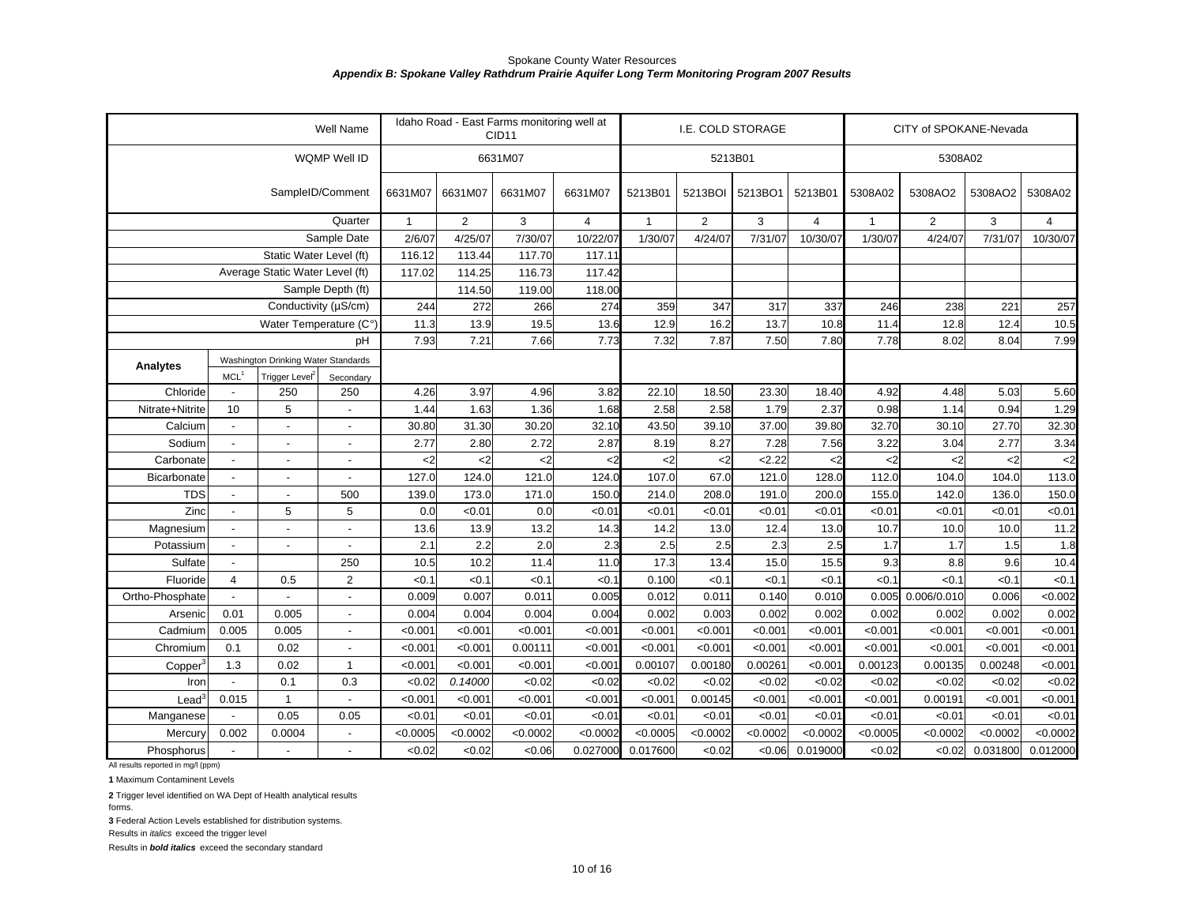|                                    |                          |                                     | Well Name                |                                              |                | Idaho Road - East Farms monitoring well at<br>CID <sub>11</sub> |                |                |                | I.E. COLD STORAGE |                |              | CITY of SPOKANE-Nevada |          |                |
|------------------------------------|--------------------------|-------------------------------------|--------------------------|----------------------------------------------|----------------|-----------------------------------------------------------------|----------------|----------------|----------------|-------------------|----------------|--------------|------------------------|----------|----------------|
|                                    |                          |                                     | WQMP Well ID             |                                              |                | 6631M07                                                         |                |                |                | 5213B01           |                |              | 5308A02                |          |                |
|                                    |                          |                                     | SampleID/Comment         | 6631M07                                      | 6631M07        | 6631M07                                                         | 6631M07        | 5213B01        | 5213BOI        | 5213BO1           | 5213B01        | 5308A02      | 5308AO2                | 5308AO2  | 5308A02        |
|                                    |                          |                                     | Quarter                  | $\mathbf{1}$                                 | $\overline{2}$ | 3                                                               | $\overline{4}$ | $\overline{1}$ | $\overline{2}$ | 3                 | $\overline{4}$ | $\mathbf{1}$ | $\overline{2}$         | 3        | $\overline{4}$ |
|                                    |                          |                                     | Sample Date              | 2/6/07                                       | 4/25/07        | 7/30/07                                                         | 10/22/07       | 1/30/07        | 4/24/07        | 7/31/07           | 10/30/07       | 1/30/07      | 4/24/07                | 7/31/07  | 10/30/07       |
|                                    |                          | Static Water Level (ft)             |                          | 116.12                                       | 113.44         | 117.70                                                          | 117.11         |                |                |                   |                |              |                        |          |                |
|                                    |                          | Average Static Water Level (ft)     |                          | 117.02                                       | 114.25         | 116.73                                                          | 117.42         |                |                |                   |                |              |                        |          |                |
|                                    |                          |                                     | Sample Depth (ft)        |                                              | 114.50         | 119.00                                                          | 118.00         |                |                |                   |                |              |                        |          |                |
|                                    |                          | Conductivity (µS/cm)                |                          | 244                                          | 272            | 266                                                             | 274            | 359            | 347            | 317               | 337            | 246          | 238                    | 221      | 257            |
|                                    |                          | Water Temperature (C°)              |                          | 11.3                                         | 13.9           | 19.5                                                            | 13.6           | 12.9           | 16.2           | 13.7              | 10.8           | 11.4         | 12.8                   | 12.4     | 10.5           |
|                                    |                          |                                     | pH                       | 7.93                                         | 7.21           | 7.66                                                            | 7.73           | 7.32           | 7.87           | 7.50              | 7.80           | 7.78         | 8.02                   | 8.04     | 7.99           |
| <b>Analytes</b>                    |                          | Washington Drinking Water Standards |                          |                                              |                |                                                                 |                |                |                |                   |                |              |                        |          |                |
|                                    | MCL <sup>1</sup>         | Trigger Level <sup>2</sup>          | Secondary                |                                              |                |                                                                 |                |                |                |                   |                |              |                        |          |                |
| Chloride                           |                          | 250                                 | 250                      | 4.26                                         | 3.97           | 4.96                                                            | 3.82           | 22.10          | 18.50          | 23.30             | 18.40          | 4.92         | 4.48                   | 5.03     | 5.60           |
| Nitrate+Nitrite                    | 10                       | 5                                   |                          | 1.44                                         | 1.63           | 1.36                                                            | 1.68           | 2.58           | 2.58           | 1.79              | 2.37           | 0.98         | 1.14                   | 0.94     | 1.29           |
| Calcium                            | $\mathbf{r}$             | $\blacksquare$                      | $\blacksquare$           | 30.80                                        | 31.30          | 30.20                                                           | 32.10          | 43.50          | 39.10          | 37.00             | 39.80          | 32.70        | 30.10                  | 27.70    | 32.30          |
| Sodium                             | $\overline{\phantom{a}}$ |                                     | $\overline{\phantom{a}}$ | 2.77                                         | 2.80           | 2.72                                                            | 2.87           | 8.19           | 8.27           | 7.28              | 7.56           | 3.22         | 3.04                   | 2.77     | 3.34           |
| Carbonate                          | $\overline{\phantom{a}}$ |                                     |                          | $<$ 2                                        | $2$            | $<$ 2                                                           | <2             | $2$            | $2$            | 2.22              | <2             | $2$          | $2$                    | $2$      | $\mathbf{<}2$  |
| Bicarbonate                        | $\mathbf{r}$             |                                     | $\blacksquare$           | 127.0                                        | 124.0          | 121.0                                                           | 124.0          | 107.0          | 67.0           | 121.0             | 128.0          | 112.0        | 104.0                  | 104.0    | 113.0          |
| <b>TDS</b>                         | $\blacksquare$           |                                     | 500                      | 139.0                                        | 173.0          | 171.0                                                           | 150.0          | 214.0          | 208.0          | 191.0             | 200.0          | 155.0        | 142.0                  | 136.0    | 150.0          |
| Zinc                               | $\overline{a}$           | 5                                   | 5                        | 0.0                                          | <0.01          | 0.0                                                             | < 0.01         | < 0.01         | < 0.01         | < 0.01            | < 0.01         | < 0.01       | < 0.01                 | < 0.01   | < 0.01         |
| Magnesium                          | $\overline{\phantom{a}}$ |                                     |                          | 13.6                                         | 13.9           | 13.2                                                            | 14.3           | 14.2           | 13.0           | 12.4              | 13.0           | 10.7         | 10.0                   | 10.0     | 11.2           |
| Potassium                          | $\mathbf{r}$             | $\blacksquare$                      | $\overline{\phantom{a}}$ | 2.1                                          | 2.2            | 2.0                                                             | 2.3            | 2.5            | 2.5            | 2.3               | 2.5            | 1.7          | 1.7                    | 1.5      | 1.8            |
| Sulfate                            | $\overline{\phantom{a}}$ |                                     | 250                      | 10.5                                         | 10.2           | 11.4                                                            | 11.0           | 17.3           | 13.4           | 15.0              | 15.5           | 9.3          | 8.8                    | 9.6      | 10.4           |
| Fluoride                           | $\overline{4}$           | 0.5                                 | $\overline{2}$           | < 0.1                                        | < 0.1          | < 0.1                                                           | < 0.1          | 0.100          | < 0.1          | < 0.1             | <0.7           | <0.1         | < 0.1                  | < 0.1    | < 0.1          |
| Ortho-Phosphate                    |                          |                                     | $\blacksquare$           | 0.009                                        | 0.007          | 0.011                                                           | 0.005          | 0.012          | 0.011          | 0.140             | 0.01C          | 0.005        | 0.006/0.010            | 0.006    | < 0.002        |
| Arsenic                            | 0.01                     | 0.005                               |                          | 0.004                                        | 0.004          | 0.004                                                           | 0.004          | 0.002          | 0.003          | 0.002             | 0.002          | 0.002        | 0.002                  | 0.002    | 0.002          |
| Cadmium                            | 0.005                    | 0.005                               |                          | < 0.001                                      | < 0.001        | < 0.001                                                         | < 0.001        | < 0.001        | < 0.001        | < 0.001           | < 0.001        | < 0.001      | < 0.001                | < 0.001  | <0.001         |
| Chromium                           | 0.1                      | 0.02                                |                          | < 0.001                                      | < 0.001        | 0.00111                                                         | < 0.001        | < 0.001        | < 0.001        | < 0.001           | < 0.001        | < 0.001      | < 0.001                | < 0.001  | < 0.001        |
| Copper <sup>®</sup>                | 1.3                      | 0.02                                | $\overline{1}$           | < 0.001                                      | < 0.001        | < 0.001                                                         | < 0.001        | 0.00107        | 0.00180        | 0.00261           | < 0.001        | 0.00123      | 0.00135                | 0.00248  | < 0.001        |
| Iron                               |                          | 0.1                                 | 0.3                      | <0.02                                        | 0.14000        | < 0.02                                                          | < 0.02         | <0.02          | < 0.02         | <0.02             | < 0.02         | <0.02        | <0.02                  | <0.02    | <0.02          |
| $\text{Lead}^3$                    | 0.015                    | $\mathbf{1}$                        |                          | < 0.001                                      | < 0.001        | < 0.001                                                         | < 0.001        | < 0.001        | 0.00145        | < 0.001           | < 0.001        | < 0.001      | 0.00191                | < 0.001  | < 0.001        |
| Manganese                          |                          | 0.05                                | 0.05                     | < 0.01                                       | < 0.01         | < 0.01                                                          | < 0.01         | < 0.01         | < 0.01         | < 0.01            | < 0.01         | <0.01        | < 0.01                 | < 0.01   | < 0.01         |
| Mercury                            | 0.002                    | 0.0004                              |                          | < 0.0002<br>< 0.0005<br>< 0.0002<br>< 0.0002 |                |                                                                 |                |                | < 0.0002       | < 0.0002          | < 0.0002       | < 0.0005     | < 0.0002               | < 0.0002 | < 0.0002       |
| Phosphorus                         |                          |                                     |                          | <0.02                                        | <0.02          | <0.06                                                           | 0.027000       | 0.017600       | <0.02          | <0.06             | 0.019000       | <0.02        | <0.02                  | 0.031800 | 0.012000       |
| All results reported in mg/l (ppm) |                          |                                     |                          |                                              |                |                                                                 |                |                |                |                   |                |              |                        |          |                |

**1** Maximum Contaminent Levels

**2** Trigger level identified on WA Dept of Health analytical results

forms.

**3** Federal Action Levels established for distribution systems.

Results in *italics* exceed the trigger level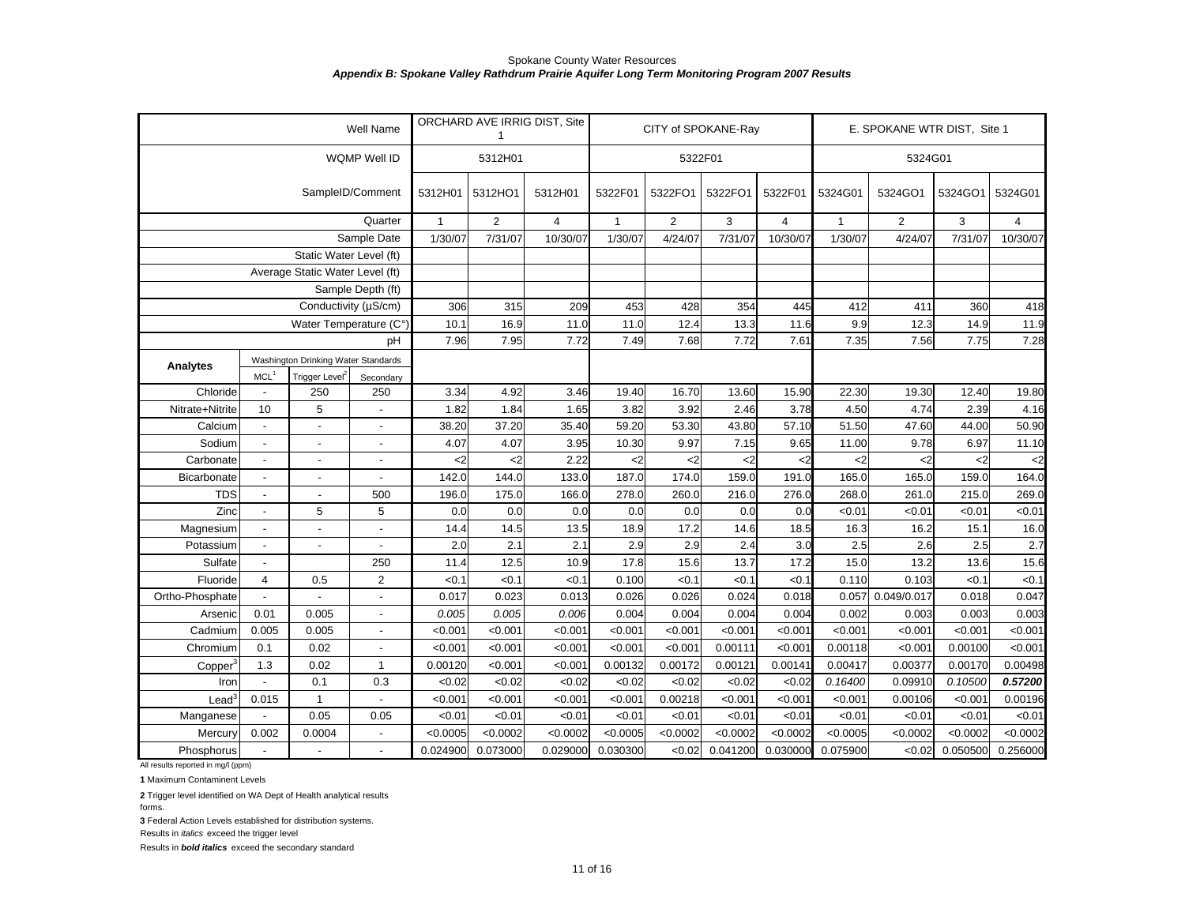|                                    |                                             |                                     | Well Name                |               |                | ORCHARD AVE IRRIG DIST, Site |              |                | CITY of SPOKANE-Ray |                |              | E. SPOKANE WTR DIST, Site 1 |          |                |
|------------------------------------|---------------------------------------------|-------------------------------------|--------------------------|---------------|----------------|------------------------------|--------------|----------------|---------------------|----------------|--------------|-----------------------------|----------|----------------|
|                                    |                                             |                                     | WQMP Well ID             |               | 5312H01        |                              |              | 5322F01        |                     |                |              | 5324G01                     |          |                |
|                                    |                                             |                                     | SampleID/Comment         | 5312H01       | 5312HO1        | 5312H01                      | 5322F01      | 5322FO1        | 5322FO1             | 5322F01        | 5324G01      | 5324GO1                     | 5324GO1  | 5324G01        |
|                                    |                                             |                                     | Quarter                  | $\mathbf{1}$  | $\overline{2}$ | $\overline{4}$               | $\mathbf{1}$ | $\overline{2}$ | 3                   | $\overline{4}$ | $\mathbf{1}$ | $\overline{2}$              | 3        | $\overline{4}$ |
|                                    |                                             |                                     | Sample Date              | 1/30/07       | 7/31/07        | 10/30/07                     | 1/30/07      | 4/24/07        | 7/31/07             | 10/30/07       | 1/30/07      | 4/24/07                     | 7/31/07  | 10/30/07       |
|                                    |                                             | Static Water Level (ft)             |                          |               |                |                              |              |                |                     |                |              |                             |          |                |
|                                    |                                             | Average Static Water Level (ft)     |                          |               |                |                              |              |                |                     |                |              |                             |          |                |
|                                    |                                             |                                     | Sample Depth (ft)        |               |                |                              |              |                |                     |                |              |                             |          |                |
|                                    |                                             | Conductivity (µS/cm)                |                          | 306           | 315            | 209                          | 453          | 428            | 354                 | 445            | 412          | 411                         | 360      | 418            |
|                                    |                                             | Water Temperature (C°)              |                          | 10.1          | 16.9           | 11.0                         | 11.0         | 12.4           | 13.3                | 11.6           | 9.9          | 12.3                        | 14.9     | 11.9           |
|                                    |                                             |                                     | pH                       | 7.96          | 7.95           | 7.72                         | 7.49         | 7.68           | 7.72                | 7.61           | 7.35         | 7.56                        | 7.75     | 7.28           |
|                                    |                                             | Washington Drinking Water Standards |                          |               |                |                              |              |                |                     |                |              |                             |          |                |
| Analytes                           | MCL <sup>1</sup>                            | Trigger Level <sup>2</sup>          | Secondary                |               |                |                              |              |                |                     |                |              |                             |          |                |
| Chloride                           |                                             | 250                                 | 250                      | 3.34          | 4.92           | 3.46                         | 19.40        | 16.70          | 13.60               | 15.90          | 22.30        | 19.30                       | 12.40    | 19.80          |
| Nitrate+Nitrite                    | 10                                          | 5                                   |                          | 1.82          | 1.84           | 1.65                         | 3.82         | 3.92           | 2.46                | 3.78           | 4.50         | 4.74                        | 2.39     | 4.16           |
| Calcium                            | $\overline{\phantom{a}}$                    | $\blacksquare$                      | $\overline{a}$           | 38.20         | 37.20          | 35.40                        | 59.20        | 53.30          | 43.80               | 57.10          | 51.50        | 47.60                       | 44.00    | 50.90          |
| Sodium                             | $\overline{\phantom{a}}$                    |                                     | $\overline{\phantom{0}}$ | 4.07          | 4.07           | 3.95                         | 10.30        | 9.97           | 7.15                | 9.65           | 11.00        | 9.78                        | 6.97     | 11.10          |
| Carbonate                          | $\blacksquare$                              | $\overline{a}$                      | $\overline{a}$           | $\mathsf{C}2$ | $\leq$ 2       | 2.22                         | $\leq$ 2     | $2$            | $2$                 | <2             | $2$          | $2$                         | $2$      | $<$ 2          |
| Bicarbonate                        | $\blacksquare$                              | $\blacksquare$                      | $\blacksquare$           | 142.0         | 144.0          | 133.0                        | 187.0        | 174.0          | 159.0               | 191.0          | 165.0        | 165.0                       | 159.0    | 164.0          |
| <b>TDS</b>                         | $\blacksquare$                              | $\blacksquare$                      | 500                      | 196.0         | 175.0          | 166.0                        | 278.0        | 260.0          | 216.0               | 276.0          | 268.0        | 261.0                       | 215.0    | 269.0          |
| Zinc                               | $\overline{\phantom{a}}$                    | 5                                   | 5                        | 0.0           | 0.0            | 0.0                          | 0.0          | 0.0            | 0.0                 | 0.0            | < 0.01       | < 0.01                      | <0.01    | < 0.01         |
| Magnesium                          | $\overline{\phantom{a}}$                    | $\overline{a}$                      | $\overline{a}$           | 14.4          | 14.5           | 13.5                         | 18.9         | 17.2           | 14.6                | 18.5           | 16.3         | 16.2                        | 15.1     | 16.0           |
| Potassium                          | $\overline{\phantom{a}}$                    | $\overline{a}$                      | $\overline{\phantom{a}}$ | 2.0           | 2.1            | 2.1                          | 2.9          | 2.9            | 2.4                 | 3.0            | 2.5          | 2.6                         | 2.5      | 2.7            |
| Sulfate                            | $\overline{\phantom{a}}$                    |                                     | 250                      | 11.4          | 12.5           | 10.9                         | 17.8         | 15.6           | 13.7                | 17.2           | 15.0         | 13.2                        | 13.6     | 15.6           |
| Fluoride                           | $\overline{4}$                              | 0.5                                 | $\overline{2}$           | < 0.1         | < 0.1          | < 0.1                        | 0.100        | < 0.1          | < 0.1               | < 0.1          | 0.110        | 0.103                       | <0.1     | < 0.1          |
| Ortho-Phosphate                    |                                             |                                     | $\overline{a}$           | 0.017         | 0.023          | 0.013                        | 0.026        | 0.026          | 0.024               | 0.018          | 0.057        | 0.049/0.017                 | 0.018    | 0.047          |
| Arsenic                            | 0.01                                        | 0.005                               | $\overline{\phantom{a}}$ | 0.005         | 0.005          | 0.006                        | 0.004        | 0.004          | 0.004               | 0.004          | 0.002        | 0.003                       | 0.003    | 0.003          |
| Cadmium                            | 0.005                                       | 0.005                               | $\blacksquare$           | < 0.001       | < 0.001        | < 0.001                      | < 0.001      | < 0.001        | < 0.001             | < 0.001        | < 0.001      | < 0.001                     | < 0.001  | < 0.001        |
| Chromium                           | 0.1                                         | 0.02                                | $\overline{a}$           | < 0.001       | < 0.001        | < 0.001                      | < 0.001      | < 0.001        | 0.00111             | < 0.001        | 0.00118      | < 0.001                     | 0.00100  | < 0.001        |
| Copper <sup>3</sup>                | 0.02<br>$\mathbf{1}$<br>1.3                 |                                     |                          | 0.00120       | < 0.001        | < 0.001                      | 0.00132      | 0.00172        | 0.00121             | 0.00141        | 0.00417      | 0.00377                     | 0.00170  | 0.00498        |
| Iron                               | 0.1<br>0.3                                  |                                     |                          | <0.02         | <0.02          | < 0.02                       | <0.02        | < 0.02         | < 0.02              | < 0.02         | 0.16400      | 0.09910                     | 0.10500  | 0.57200        |
| $\text{Lead}^3$                    | 0.015                                       | $\mathbf{1}$                        |                          | < 0.001       | < 0.001        | < 0.001                      | < 0.001      | 0.00218        | < 0.001             | < 0.001        | < 0.001      | 0.00106                     | < 0.001  | 0.00196        |
| Manganese                          | 0.05<br>0.05                                |                                     |                          | < 0.01        | < 0.01         | < 0.01                       | < 0.01       | < 0.01         | < 0.01              | < 0.01         | < 0.01       | < 0.01                      | < 0.01   | < 0.01         |
| Mercury                            | 0.002<br>0.0004<br>$\overline{\phantom{a}}$ |                                     |                          | < 0.0005      | < 0.0002       | < 0.0002                     | < 0.0005     | < 0.0002       | < 0.0002            | < 0.0002       | < 0.0005     | < 0.0002                    | < 0.0002 | < 0.0002       |
| Phosphorus                         | $\mathbf{r}$                                |                                     |                          | 0.024900      | 0.073000       | 0.029000                     | 0.030300     | < 0.02         | 0.041200            | 0.030000       | 0.075900     | <0.02                       | 0.050500 | 0.256000       |
| All results reported in mg/l (ppm) |                                             |                                     |                          |               |                |                              |              |                |                     |                |              |                             |          |                |

**1** Maximum Contaminent Levels

**2** Trigger level identified on WA Dept of Health analytical results

forms.

**3** Federal Action Levels established for distribution systems.

Results in *italics* exceed the trigger level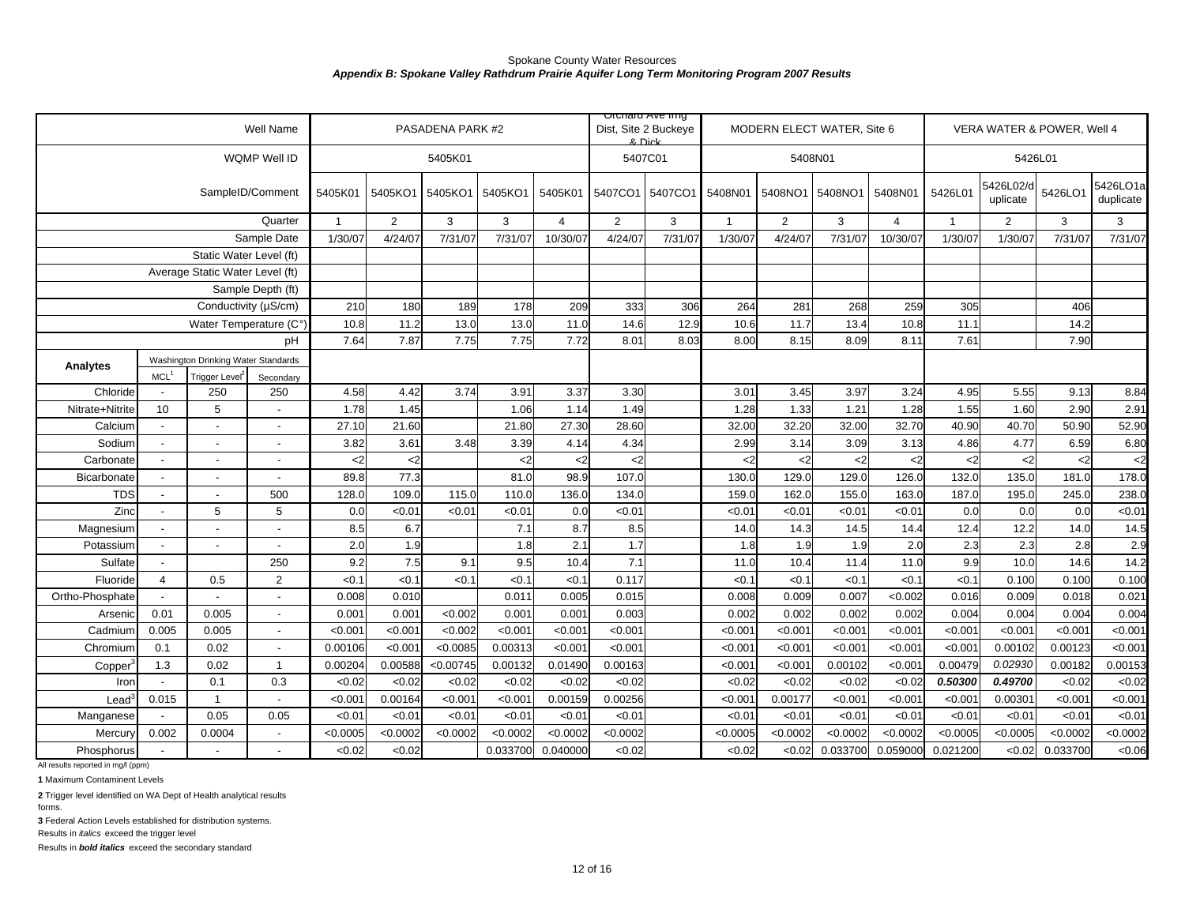|                                    |                          |                                     | Well Name                |              |                 | PASADENA PARK #2 |                 |                       | Dist, Site 2 Buckeye<br>8. Dick | Olulaid Ave liliy |                 |                 | MODERN ELECT WATER, Site 6 |                        |              |                       | VERA WATER & POWER, Well 4 |                       |
|------------------------------------|--------------------------|-------------------------------------|--------------------------|--------------|-----------------|------------------|-----------------|-----------------------|---------------------------------|-------------------|-----------------|-----------------|----------------------------|------------------------|--------------|-----------------------|----------------------------|-----------------------|
|                                    |                          |                                     | WQMP Well ID             |              |                 | 5405K01          |                 |                       | 5407C01                         |                   |                 | 5408N01         |                            |                        |              | 5426L01               |                            |                       |
|                                    |                          |                                     | SampleID/Comment         | 5405K01      | 5405KO1         | 5405KO1          | 5405KO1         | 5405K01               | 5407CO1 5407CO1                 |                   | 5408N01         | 5408NO1         | 5408NO1                    | 5408N01                | 5426L01      | 5426L02/c<br>uplicate | 5426LO1                    | 5426LO1a<br>duplicate |
|                                    |                          |                                     | Quarter                  | $\mathbf{1}$ | $\overline{2}$  | 3                | 3               | $\overline{4}$        | $\overline{2}$                  | 3                 | $\mathbf{1}$    | $\overline{2}$  | 3                          | $\overline{4}$         | $\mathbf{1}$ | $\overline{2}$        | 3                          | 3                     |
|                                    |                          |                                     | Sample Date              | 1/30/07      | 4/24/07         | 7/31/07          | 7/31/07         | 10/30/07              | 4/24/07                         | 7/31/07           | 1/30/07         | 4/24/07         | 7/31/07                    | 10/30/0                | 1/30/07      | 1/30/07               | 7/31/07                    | 7/31/07               |
|                                    |                          | Static Water Level (ft)             |                          |              |                 |                  |                 |                       |                                 |                   |                 |                 |                            |                        |              |                       |                            |                       |
|                                    |                          | Average Static Water Level (ft)     |                          |              |                 |                  |                 |                       |                                 |                   |                 |                 |                            |                        |              |                       |                            |                       |
|                                    |                          |                                     | Sample Depth (ft)        |              |                 |                  |                 |                       |                                 |                   |                 |                 |                            |                        |              |                       |                            |                       |
|                                    |                          | Conductivity (µS/cm)                |                          | 210          | 180             | 189              | 178             | 209                   | 333                             | 306               | 264             | 281             | 268                        | 259                    | 305          |                       | 406                        |                       |
|                                    |                          | Water Temperature (C°)              |                          | 10.8         | 11.2            | 13.0             | 13.0            | 11.0                  | 14.6                            | 12.9              | 10.6            | 11.7            | 13.4                       | 10.8                   | 11.1         |                       | 14.2                       |                       |
|                                    |                          |                                     | pH                       | 7.64         | 7.87            | 7.75             | 7.75            | 7.72                  | 8.01                            | 8.03              | 8.00            | 8.15            | 8.09                       | 8.11                   | 7.61         |                       | 7.90                       |                       |
| Analytes                           |                          | Washington Drinking Water Standards |                          |              |                 |                  |                 |                       |                                 |                   |                 |                 |                            |                        |              |                       |                            |                       |
|                                    | MCL <sup>1</sup>         | Trigger Level <sup>2</sup>          | Secondary                |              |                 |                  |                 |                       |                                 |                   |                 |                 |                            |                        |              |                       |                            |                       |
| Chloride                           |                          | 250                                 | 250                      | 4.58         | 4.42            | 3.74             | 3.91            | 3.37                  | 3.30                            |                   | 3.01            | 3.45            | 3.97                       | 3.24                   | 4.95         | 5.55                  | 9.13                       | 8.84                  |
| Nitrate+Nitrite                    | 10                       | 5                                   |                          | 1.78         | 1.45            |                  | 1.06            | 1.14                  | 1.49                            |                   | 1.28            | 1.33            | 1.21                       | 1.28                   | 1.55         | 1.60                  | 2.90                       | 2.91                  |
| Calcium                            |                          |                                     | $\overline{\phantom{a}}$ | 27.10        | 21.60           |                  | 21.80           | 27.30                 | 28.60                           |                   | 32.00           | 32.20           | 32.00                      | 32.70                  | 40.90        | 40.70                 | 50.90                      | 52.90                 |
| Sodium                             |                          | $\blacksquare$                      | $\overline{\phantom{a}}$ | 3.82         | 3.61            | 3.48             | 3.39            | 4.14                  | 4.34                            |                   | 2.99            | 3.14            | 3.09                       | 3.13                   | 4.86         | 4.77                  | 6.59                       | 6.80                  |
| Carbonate                          |                          | $\overline{a}$                      | $\overline{a}$           | $2$<br>89.8  | $2$<br>77.3     |                  | $2$<br>81.0     | $\mathbf{<}2$<br>98.9 | $2$<br>107.0                    |                   | $2$<br>130.0    | $2$<br>129.0    | $2$<br>129.0               | $\mathbf{<}2$<br>126.0 | $2$<br>132.0 | $2$<br>135.0          | $<$ 2<br>181.0             | $2$<br>178.0          |
| Bicarbonate                        |                          | $\overline{a}$                      |                          |              |                 |                  |                 |                       |                                 |                   |                 |                 |                            |                        |              | 195.0                 |                            |                       |
| <b>TDS</b><br>Zinc                 | $\overline{\phantom{a}}$ | 5                                   | 500<br>5                 | 128.0<br>0.0 | 109.0<br>< 0.01 | 115.0<br>< 0.01  | 110.0<br>< 0.01 | 136.0<br>0.0          | 134.0<br>< 0.01                 |                   | 159.0<br>< 0.01 | 162.0<br>< 0.01 | 155.0<br>< 0.01            | 163.0<br><0.0'         | 187.0<br>0.0 | 0.0                   | 245.0<br>0.0               | 238.0<br><0.01        |
| Magnesium                          |                          | $\overline{a}$                      | ÷,                       | 8.5          | 6.7             |                  | 7.1             | 8.7                   | 8.5                             |                   | 14.0            | 14.3            | 14.5                       | 14.4                   | 12.4         | 12.2                  | 14.0                       | 14.5                  |
| Potassium                          |                          | $\overline{\phantom{a}}$            | $\overline{\phantom{a}}$ | 2.0          | 1.9             |                  | 1.8             | 2.1                   | 1.7                             |                   | 1.8             | 1.9             | 1.9                        | 2. <sub>C</sub>        | 2.3          | 2.3                   | 2.8                        | 2.9                   |
| Sulfate                            |                          |                                     | 250                      | 9.2          | 7.5             | 9.1              | 9.5             | 10.4                  | 7.1                             |                   | 11.0            | 10.4            | 11.4                       | 11.0                   | 9.9          | 10.0                  | 14.6                       | 14.2                  |
| Fluoride                           | 4                        | 0.5                                 | $\overline{2}$           | < 0.1        | < 0.1           | < 0.1            | < 0.1           | < 0.1                 | 0.117                           |                   | < 0.1           | < 0.1           | < 0.1                      | <0.                    | < 0.1        | 0.100                 | 0.100                      | 0.100                 |
| Ortho-Phosphate                    |                          |                                     |                          | 0.008        | 0.010           |                  | 0.011           | 0.005                 | 0.015                           |                   | 0.008           | 0.009           | 0.007                      | < 0.002                | 0.016        | 0.009                 | 0.018                      | 0.021                 |
| Arsenic                            | 0.01                     | 0.005                               | $\sim$                   | 0.001        | 0.001           | <0.002           | 0.001           | 0.001                 | 0.003                           |                   | 0.002           | 0.002           | 0.002                      | 0.002                  | 0.004        | 0.004                 | 0.004                      | 0.004                 |
| Cadmium                            | 0.005                    | 0.005                               | $\sim$                   | < 0.001      | < 0.001         | < 0.002          | < 0.001         | < 0.001               | < 0.001                         |                   | < 0.001         | < 0.001         | < 0.001                    | < 0.001                | < 0.001      | < 0.001               | < 0.001                    | < 0.001               |
| Chromium                           | 0.1                      | 0.02                                | $\overline{a}$           | 0.00106      | < 0.001         | < 0.0085         | 0.00313         | <0.001                | < 0.001                         |                   | < 0.001         | < 0.001         | < 0.001                    | < 0.001                | < 0.001      | 0.00102               | 0.00123                    | < 0.001               |
| Copper                             | 1.3                      | 0.02                                | $\mathbf{1}$             | 0.00204      | 0.00588         | < 0.00745        | 0.00132         | 0.01490               | 0.00163                         |                   | < 0.001         | < 0.001         | 0.00102                    | < 0.00                 | 0.00479      | 0.02930               | 0.00182                    | 0.00153               |
| Iron                               |                          | 0.1                                 | 0.3                      | <0.02        | <0.02           | <0.02            | <0.02           | < 0.02                | < 0.02                          |                   | <0.02           | <0.02           | < 0.02                     | < 0.02                 | 0.50300      | 0.49700               | < 0.02                     | < 0.02                |
| $\textsf{lead}^3$                  | 0.015                    | $\overline{1}$                      |                          | < 0.001      | 0.00164         | < 0.001          | < 0.001         | 0.00159               | 0.00256                         |                   | < 0.001         | 0.00177         | < 0.001                    | < 0.00                 | < 0.001      | 0.00301               | < 0.001                    | < 0.001               |
| Manganese                          |                          | 0.05                                | 0.05                     | < 0.01       | < 0.01          | < 0.01           | < 0.01          | < 0.01                | < 0.01                          |                   | < 0.01          | < 0.01          | < 0.01                     | < 0.0                  | < 0.01       | < 0.01                | < 0.01                     | < 0.01                |
| Mercury                            | 0.002                    | 0.0004                              | $\overline{\phantom{a}}$ | < 0.0005     | < 0.0002        | < 0.0002         | < 0.0002        | < 0.0002              | < 0.0002                        |                   | < 0.0005        | < 0.0002        | < 0.0002                   | < 0.0002               | < 0.0005     | < 0.0005              | < 0.0002                   | < 0.0002              |
| Phosphorus                         |                          |                                     | $\overline{a}$           | <0.02        | <0.02           |                  | 0.033700        | 0.040000              | <0.02                           |                   | <0.02           | <0.02           | 0.033700                   | 0.059000               | 0.021200     | <0.02                 | 0.033700                   | < 0.06                |
| All results reported in mg/l (ppm) |                          |                                     |                          |              |                 |                  |                 |                       |                                 |                   |                 |                 |                            |                        |              |                       |                            |                       |

**1** Maximum Contaminent Levels

**2** Trigger level identified on WA Dept of Health analytical results

forms.

**3** Federal Action Levels established for distribution systems.

Results in *italics* exceed the trigger level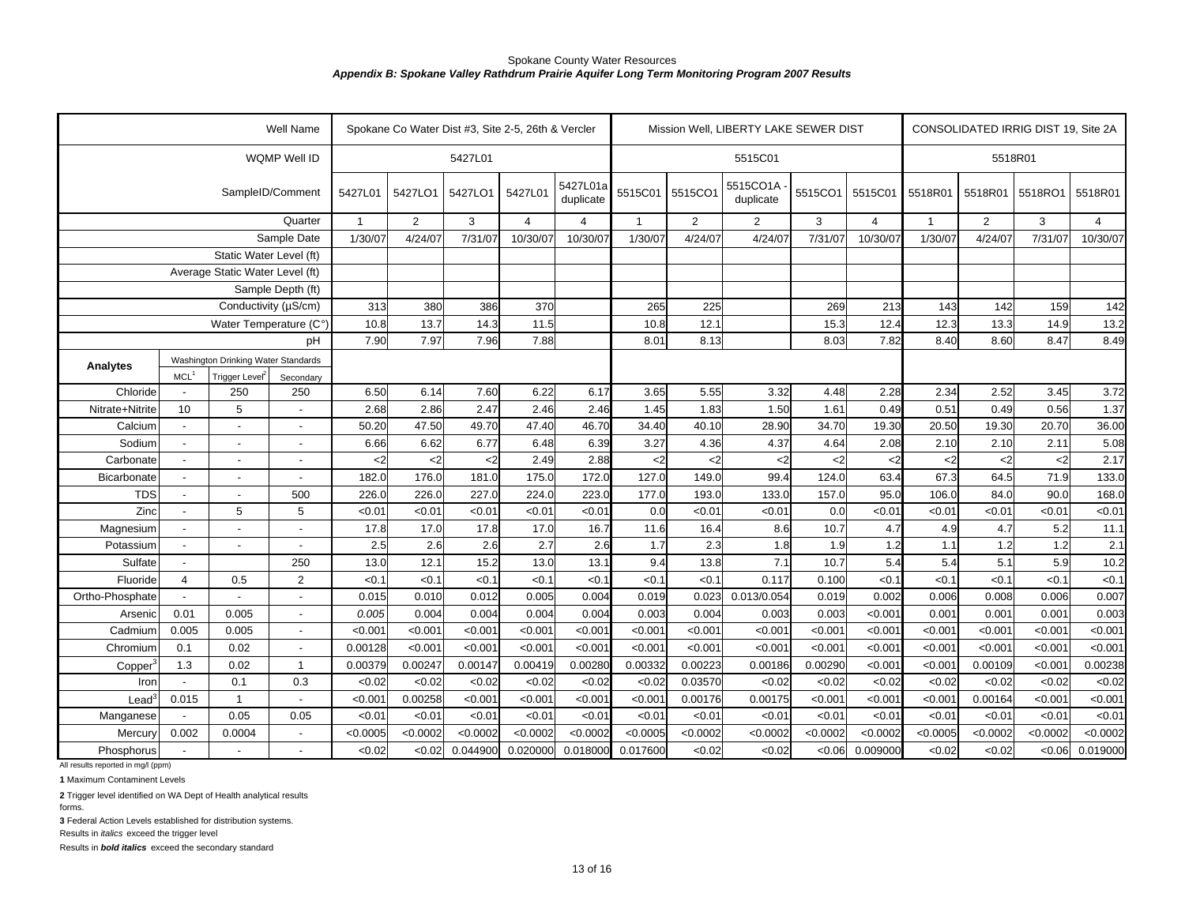|                                                  |                          |                                     | Well Name                |              |            | Spokane Co Water Dist #3, Site 2-5, 26th & Vercler |                |                       |               |                | Mission Well, LIBERTY LAKE SEWER DIST |          |                |              |                | CONSOLIDATED IRRIG DIST 19, Site 2A |                         |
|--------------------------------------------------|--------------------------|-------------------------------------|--------------------------|--------------|------------|----------------------------------------------------|----------------|-----------------------|---------------|----------------|---------------------------------------|----------|----------------|--------------|----------------|-------------------------------------|-------------------------|
|                                                  |                          |                                     | WQMP Well ID             |              |            | 5427L01                                            |                |                       |               |                | 5515C01                               |          |                |              |                | 5518R01                             |                         |
|                                                  |                          |                                     | SampleID/Comment         | 5427L01      | 5427LO1    | 5427LO1                                            | 5427L01        | 5427L01a<br>duplicate | 5515C01       | 5515CO1        | 5515CO1A<br>duplicate                 | 5515CO1  | 5515C01        | 5518R01      | 5518R01        | 5518RO1                             | 5518R01                 |
|                                                  |                          |                                     | Quarter                  | $\mathbf{1}$ | 2          | 3                                                  | $\overline{4}$ | 4                     | $\mathbf{1}$  | $\overline{2}$ | 2                                     | 3        | $\overline{4}$ | $\mathbf{1}$ | $\overline{2}$ | 3                                   | $\overline{\mathbf{A}}$ |
|                                                  |                          |                                     | Sample Date              | 1/30/07      | 4/24/07    | 7/31/07                                            | 10/30/07       | 10/30/07              | 1/30/07       | 4/24/07        | 4/24/07                               | 7/31/07  | 10/30/07       | 1/30/07      | 4/24/07        | 7/31/07                             | 10/30/07                |
|                                                  |                          | Static Water Level (ft)             |                          |              |            |                                                    |                |                       |               |                |                                       |          |                |              |                |                                     |                         |
|                                                  |                          | Average Static Water Level (ft)     |                          |              |            |                                                    |                |                       |               |                |                                       |          |                |              |                |                                     |                         |
|                                                  |                          |                                     | Sample Depth (ft)        |              |            |                                                    |                |                       |               |                |                                       |          |                |              |                |                                     |                         |
|                                                  |                          | Conductivity (µS/cm)                |                          | 313          | 380        | 386                                                | 370            |                       | 265           | 225            |                                       | 269      | 213            | 143          | 142            | 159                                 | 142                     |
|                                                  |                          | Water Temperature (C°)              |                          | 10.8         | 13.7       | 14.3                                               | 11.5           |                       | 10.8          | 12.1           |                                       | 15.3     | 12.4           | 12.3         | 13.3           | 14.9                                | 13.2                    |
|                                                  |                          |                                     | pH                       | 7.90         | 7.97       | 7.96                                               | 7.88           |                       | 8.01          | 8.13           |                                       | 8.03     | 7.82           | 8.40         | 8.60           | 8.47                                | 8.49                    |
| Analytes                                         |                          | Washington Drinking Water Standards |                          |              |            |                                                    |                |                       |               |                |                                       |          |                |              |                |                                     |                         |
|                                                  | MCL <sup>1</sup>         | Trigger Level <sup>2</sup>          | Secondary                |              |            |                                                    |                |                       |               |                |                                       |          |                |              |                |                                     |                         |
| Chloride                                         |                          | 250                                 | 250                      | 6.50         | 6.14       | 7.60                                               | 6.22           | 6.17                  | 3.65          | 5.55           | 3.32                                  | 4.48     | 2.28           | 2.34         | 2.52           | 3.45                                | 3.72                    |
| Nitrate+Nitrite                                  | 10                       | 5                                   | $\blacksquare$           | 2.68         | 2.86       | 2.47                                               | 2.46           | 2.46                  | 1.45          | 1.83           | 1.50                                  | 1.61     | 0.49           | 0.51         | 0.49           | 0.56                                | 1.37                    |
| Calcium                                          |                          |                                     |                          | 50.20        | 47.50      | 49.70                                              | 47.40          | 46.70                 | 34.40         | 40.10          | 28.90                                 | 34.70    | 19.30          | 20.50        | 19.30          | 20.70                               | 36.00                   |
| Sodium                                           |                          |                                     |                          | 6.66         | 6.62       | 6.77                                               | 6.48           | 6.39                  | 3.27          | 4.36           | 4.37                                  | 4.64     | 2.08           | 2.10         | 2.10           | 2.11                                | 5.08                    |
| Carbonate                                        |                          |                                     |                          | $2$          | $\epsilon$ | $2$                                                | 2.49           | 2.88                  | $\mathbf{<}2$ | $2$            | $\mathsf{<}2$                         | $2$      | <2             | $<$ 2        | $\leq$         | $\epsilon$                          | 2.17                    |
| Bicarbonate                                      | $\blacksquare$           |                                     | $\blacksquare$           | 182.0        | 176.0      | 181.0                                              | 175.0          | 172.0                 | 127.0         | 149.0          | 99.4                                  | 124.0    | 63.4           | 67.3         | 64.5           | 71.9                                | 133.0                   |
| <b>TDS</b>                                       | $\overline{a}$           | $\overline{a}$                      | 500                      | 226.0        | 226.0      | 227.0                                              | 224.0          | 223.0                 | 177.0         | 193.0          | 133.0                                 | 157.0    | 95.0           | 106.0        | 84.0           | 90.0                                | 168.0                   |
| Zinc                                             | $\overline{a}$           | 5                                   | 5                        | < 0.01       | < 0.01     | < 0.01                                             | < 0.01         | < 0.01                | 0.0           | < 0.01         | < 0.01                                | 0.0      | < 0.01         | < 0.01       | <0.01          | < 0.01                              | < 0.01                  |
| Magnesium                                        | $\overline{\phantom{a}}$ |                                     | $\overline{\phantom{a}}$ | 17.8         | 17.0       | 17.8                                               | 17.0           | 16.7                  | 11.6          | 16.4           | 8.6                                   | 10.7     | 4.7            | 4.9          | 4.7            | 5.2                                 | 11.1                    |
| Potassium                                        | $\overline{\phantom{a}}$ | $\blacksquare$                      | $\blacksquare$           | 2.5          | 2.6        | 2.6                                                | 2.7            | 2.6                   | 1.7           | 2.3            | 1.8                                   | 1.9      | 1.2            | 1.1          | 1.2            | 1.2                                 | 2.1                     |
| Sulfate                                          | $\blacksquare$           |                                     | 250                      | 13.0         | 12.1       | 15.2                                               | 13.0           | 13.1                  | 9.4           | 13.8           | 7.1                                   | 10.7     | 5.4            | 5.4          | 5.1            | 5.9                                 | 10.2                    |
| Fluoride                                         | $\overline{4}$           | 0.5                                 | 2                        | < 0.1        | < 0.1      | < 0.1                                              | < 0.1          | < 0.1                 | < 0.1         | < 0.1          | 0.117                                 | 0.100    | < 0.1          | < 0.1        | < 0.1          | < 0.1                               | < 0.1                   |
| Ortho-Phosphate                                  |                          |                                     |                          | 0.015        | 0.010      | 0.012                                              | 0.005          | 0.004                 | 0.019         | 0.023          | 0.013/0.054                           | 0.019    | 0.002          | 0.006        | 0.008          | 0.006                               | 0.007                   |
| Arsenic                                          | 0.01                     | 0.005                               | $\blacksquare$           | 0.005        | 0.004      | 0.004                                              | 0.004          | 0.004                 | 0.003         | 0.004          | 0.003                                 | 0.003    | < 0.001        | 0.001        | 0.001          | 0.001                               | 0.003                   |
| Cadmium                                          | 0.005                    | 0.005                               | $\blacksquare$           | < 0.001      | < 0.001    | < 0.001                                            | < 0.001        | < 0.001               | < 0.001       | < 0.001        | < 0.001                               | < 0.001  | < 0.001        | < 0.001      | < 0.001        | < 0.001                             | < 0.001                 |
| Chromium                                         | 0.1                      | 0.02                                | $\overline{\phantom{a}}$ | 0.00128      | < 0.001    | < 0.001                                            | < 0.001        | < 0.001               | < 0.001       | < 0.001        | < 0.001                               | < 0.001  | < 0.001        | < 0.001      | < 0.001        | < 0.001                             | < 0.001                 |
| Copper                                           | 1.3                      | 0.02                                | $\mathbf{1}$             | 0.00379      | 0.00247    | 0.00147                                            | 0.00419        | 0.00280               | 0.00332       | 0.00223        | 0.00186                               | 0.00290  | < 0.001        | < 0.001      | 0.00109        | < 0.001                             | 0.00238                 |
| Iron                                             |                          | 0.1                                 | 0.3                      | <0.02        | < 0.02     | < 0.02                                             | <0.02          | < 0.02                | <0.02         | 0.03570        | <0.02                                 | <0.02    | < 0.02         | < 0.02       | < 0.02         | < 0.02                              | < 0.02                  |
| Lead                                             | 0.015                    | $\mathbf{1}$                        |                          | < 0.001      | 0.00258    | < 0.001                                            | < 0.001        | < 0.001               | < 0.001       | 0.00176        | 0.00175                               | < 0.001  | < 0.001        | < 0.001      | 0.00164        | < 0.001                             | < 0.001                 |
| Manganese                                        |                          | 0.05                                | 0.05                     | < 0.01       | < 0.01     | < 0.01                                             | < 0.01         | < 0.01                | < 0.01        | < 0.01         | < 0.01                                | < 0.01   | < 0.01         | < 0.01       | < 0.01         | < 0.01                              | < 0.01                  |
| Mercury                                          | 0.002                    | 0.0004                              | $\blacksquare$           | < 0.0005     | < 0.0002   | < 0.0002                                           | < 0.0002       | < 0.0002              | < 0.0005      | < 0.0002       | < 0.0002                              | < 0.0002 | < 0.0002       | < 0.0005     | < 0.0002       | < 0.0002                            | < 0.0002                |
| Phosphorus<br>All results reported in mg/l (ppm) |                          |                                     |                          | < 0.02       | < 0.02     | 0.044900                                           | 0.020000       | 0.018000              | 0.017600      | < 0.02         | < 0.02                                | <0.06    | 0.009000       | <0.02        | <0.02          | 0.06                                | 0.019000                |

**1** Maximum Contaminent Levels

**2** Trigger level identified on WA Dept of Health analytical results

forms.

**3** Federal Action Levels established for distribution systems.

Results in *italics* exceed the trigger level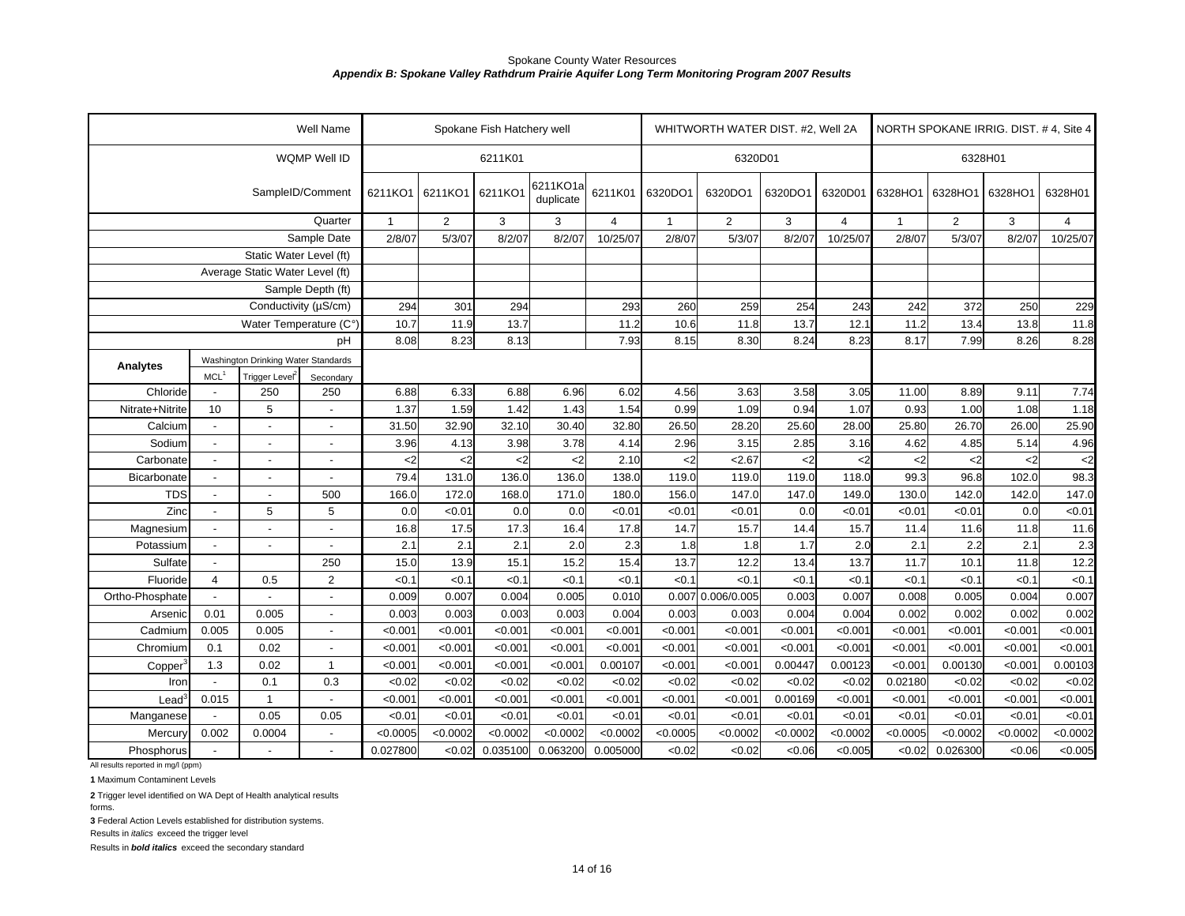|                                                  |                          |                                     | Well Name                |                       |                | Spokane Fish Hatchery well |          |                |              | WHITWORTH WATER DIST. #2, Well 2A |          |                |              |                |          | NORTH SPOKANE IRRIG. DIST. #4, Site 4<br>6328H01<br>$\overline{4}$<br>250<br>229<br>11.8<br>13.8<br>8.26<br>8.28<br>9.11<br>7.74<br>1.08<br>1.18<br>26.00<br>25.90<br>4.96<br>5.14<br>$\mathbf{<}2$<br>102.0<br>98.3<br>142.0<br>147.0<br>0.0<br>< 0.01<br>11.6<br>11.8<br>2.3<br>2.1<br>12.2<br>11.8<br>< 0.1<br>< 0.1<br>0.007<br>0.004<br>0.002<br>0.002<br>< 0.001<br>< 0.001 |  |  |
|--------------------------------------------------|--------------------------|-------------------------------------|--------------------------|-----------------------|----------------|----------------------------|----------|----------------|--------------|-----------------------------------|----------|----------------|--------------|----------------|----------|-----------------------------------------------------------------------------------------------------------------------------------------------------------------------------------------------------------------------------------------------------------------------------------------------------------------------------------------------------------------------------------|--|--|
|                                                  |                          |                                     | 6211K01                  |                       |                |                            | 6320D01  |                |              |                                   | 6328H01  |                |              |                |          |                                                                                                                                                                                                                                                                                                                                                                                   |  |  |
|                                                  | 6211KO1                  | 6211KO1                             | 6211KO1                  | 6211KO1a<br>duplicate | 6211K01        | 6320DO1                    | 6320DO1  | 6320DO1        | 6320D01      | 6328HO1                           | 6328HO1  | 6328HO1        |              |                |          |                                                                                                                                                                                                                                                                                                                                                                                   |  |  |
|                                                  |                          |                                     | Quarter                  | $\overline{1}$        | $\overline{2}$ | 3                          | 3        | $\overline{4}$ | $\mathbf{1}$ | $\overline{2}$                    | 3        | $\overline{4}$ | $\mathbf{1}$ | $\overline{2}$ | 3        |                                                                                                                                                                                                                                                                                                                                                                                   |  |  |
|                                                  |                          |                                     | Sample Date              | 2/8/07                | 5/3/07         | 8/2/07                     | 8/2/07   | 10/25/07       | 2/8/07       | 5/3/07                            | 8/2/07   | 10/25/07       | 2/8/07       | 5/3/07         | 8/2/07   | 10/25/07                                                                                                                                                                                                                                                                                                                                                                          |  |  |
|                                                  |                          | Static Water Level (ft)             |                          |                       |                |                            |          |                |              |                                   |          |                |              |                |          |                                                                                                                                                                                                                                                                                                                                                                                   |  |  |
|                                                  |                          | Average Static Water Level (ft)     |                          |                       |                |                            |          |                |              |                                   |          |                |              |                |          |                                                                                                                                                                                                                                                                                                                                                                                   |  |  |
|                                                  |                          |                                     | Sample Depth (ft)        |                       |                |                            |          |                |              |                                   |          |                |              |                |          |                                                                                                                                                                                                                                                                                                                                                                                   |  |  |
|                                                  |                          | Conductivity (µS/cm)                |                          | 294                   | 301            | 294                        |          | 293            | 260          | 259                               | 254      | 243            | 242          | 372            |          |                                                                                                                                                                                                                                                                                                                                                                                   |  |  |
|                                                  |                          | Water Temperature (C°)              |                          | 10.7                  | 11.9           | 13.7                       |          | 11.2           | 10.6         | 11.8                              | 13.7     | 12.1           | 11.2         | 13.4           |          |                                                                                                                                                                                                                                                                                                                                                                                   |  |  |
|                                                  |                          |                                     | рH                       | 8.08                  | 8.23           | 8.13                       |          | 7.93           | 8.15         | 8.30                              | 8.24     | 8.23           | 8.17         | 7.99           |          |                                                                                                                                                                                                                                                                                                                                                                                   |  |  |
| Analytes                                         |                          | Washington Drinking Water Standards |                          |                       |                |                            |          |                |              |                                   |          |                |              |                |          |                                                                                                                                                                                                                                                                                                                                                                                   |  |  |
|                                                  | MCL <sup>1</sup>         | Trigger Level <sup>2</sup>          | Secondary                |                       |                |                            |          |                |              |                                   |          |                |              |                |          |                                                                                                                                                                                                                                                                                                                                                                                   |  |  |
| Chloride                                         | $\overline{\phantom{a}}$ | 250                                 | 250                      | 6.88                  | 6.33           | 6.88                       | 6.96     | 6.02           | 4.56         | 3.63                              | 3.58     | 3.05           | 11.00        | 8.89           |          |                                                                                                                                                                                                                                                                                                                                                                                   |  |  |
| Nitrate+Nitrite                                  | 10                       | 5                                   |                          | 1.37                  | 1.59           | 1.42                       | 1.43     | 1.54           | 0.99         | 1.09                              | 0.94     | 1.07           | 0.93         | 1.00           |          |                                                                                                                                                                                                                                                                                                                                                                                   |  |  |
| Calcium                                          |                          | L,                                  | $\blacksquare$           | 31.50                 | 32.90          | 32.10                      | 30.40    | 32.80          | 26.50        | 28.20                             | 25.60    | 28.00          | 25.80        | 26.70          |          |                                                                                                                                                                                                                                                                                                                                                                                   |  |  |
| Sodium                                           | $\sim$                   | $\overline{a}$                      |                          | 3.96                  | 4.13           | 3.98                       | 3.78     | 4.14           | 2.96         | 3.15                              | 2.85     | 3.16           | 4.62         | 4.85           |          |                                                                                                                                                                                                                                                                                                                                                                                   |  |  |
| Carbonate                                        | $\blacksquare$           | $\sim$                              | $\blacksquare$           | $\mathsf{<}2$         | $2$            | $\mathbf{<}2$              | $2$      | 2.10           | $2$          | 2.67                              | <2       | <2             | $<$ 2        | $2$            |          | $\leq$                                                                                                                                                                                                                                                                                                                                                                            |  |  |
| Bicarbonate                                      |                          | ÷,                                  | $\blacksquare$           | 79.4                  | 131.0          | 136.0                      | 136.0    | 138.0          | 119.0        | 119.0                             | 119.0    | 118.0          | 99.3         | 96.8           |          |                                                                                                                                                                                                                                                                                                                                                                                   |  |  |
| <b>TDS</b>                                       | $\blacksquare$           | $\overline{\phantom{a}}$            | 500                      | 166.0                 | 172.0          | 168.0                      | 171.0    | 180.0          | 156.0        | 147.0                             | 147.0    | 149.0          | 130.0        | 142.0          |          |                                                                                                                                                                                                                                                                                                                                                                                   |  |  |
| Zinc                                             | $\blacksquare$           | 5                                   | 5                        | 0.0                   | <0.01          | 0.0                        | 0.0      | < 0.01         | < 0.01       | < 0.01                            | 0.0      | < 0.01         | < 0.01       | <0.01          |          |                                                                                                                                                                                                                                                                                                                                                                                   |  |  |
| Magnesium                                        | $\overline{\phantom{a}}$ | L,                                  |                          | 16.8                  | 17.5           | 17.3                       | 16.4     | 17.8           | 14.7         | 15.7                              | 14.4     | 15.7           | 11.4         | 11.6           |          |                                                                                                                                                                                                                                                                                                                                                                                   |  |  |
| Potassium                                        | $\blacksquare$           | ÷,                                  | $\overline{\phantom{a}}$ | 2.1                   | 2.1            | 2.1                        | 2.0      | 2.3            | 1.8          | 1.8                               | 1.7      | 2.0            | 2.1          | 2.2            |          |                                                                                                                                                                                                                                                                                                                                                                                   |  |  |
| Sulfate                                          | $\overline{\phantom{a}}$ |                                     | 250                      | 15.0                  | 13.9           | 15.1                       | 15.2     | 15.4           | 13.7         | 12.2                              | 13.4     | 13.7           | 11.7         | 10.1           |          |                                                                                                                                                                                                                                                                                                                                                                                   |  |  |
| Fluoride                                         | $\overline{4}$           | 0.5                                 | $\overline{2}$           | < 0.1                 | < 0.1          | < 0.1                      | < 0.1    | < 0.1          | <0.1         | < 0.1                             | < 0.1    | < 0.1          | <0.1         | < 0.1          |          |                                                                                                                                                                                                                                                                                                                                                                                   |  |  |
| Ortho-Phosphate                                  |                          |                                     |                          | 0.009                 | 0.007          | 0.004                      | 0.005    | 0.010          | 0.007        | 0.006/0.005                       | 0.003    | 0.007          | 0.008        | 0.005          |          |                                                                                                                                                                                                                                                                                                                                                                                   |  |  |
| Arsenic                                          | 0.01                     | 0.005                               | $\blacksquare$           | 0.003                 | 0.003          | 0.003                      | 0.003    | 0.004          | 0.003        | 0.003                             | 0.004    | 0.004          | 0.002        | 0.002          |          |                                                                                                                                                                                                                                                                                                                                                                                   |  |  |
| Cadmium                                          | 0.005                    | 0.005                               | $\blacksquare$           | < 0.001               | < 0.001        | < 0.001                    | < 0.001  | < 0.001        | < 0.001      | < 0.001                           | < 0.001  | < 0.001        | < 0.001      | < 0.001        |          |                                                                                                                                                                                                                                                                                                                                                                                   |  |  |
| Chromium                                         | 0.1                      | 0.02                                |                          | < 0.001               | < 0.001        | < 0.001                    | < 0.001  | < 0.001        | < 0.001      | < 0.001                           | < 0.001  | < 0.001        | < 0.001      | < 0.001        | < 0.001  | < 0.001                                                                                                                                                                                                                                                                                                                                                                           |  |  |
| Copper                                           | 1.3                      | 0.02                                | $\mathbf{1}$             | < 0.001               | < 0.001        | < 0.001                    | < 0.001  | 0.00107        | < 0.001      | < 0.001                           | 0.00447  | 0.00123        | < 0.001      | 0.00130        | < 0.001  | 0.00103                                                                                                                                                                                                                                                                                                                                                                           |  |  |
| Iron                                             |                          | 0.1                                 | 0.3                      | <0.02                 | <0.02          | <0.02                      | <0.02    | < 0.02         | <0.02        | <0.02                             | <0.02    | <0.02          | 0.02180      | < 0.02         | <0.02    | < 0.02                                                                                                                                                                                                                                                                                                                                                                            |  |  |
| $\textsf{lead}^3$                                | 0.015                    | $\mathbf{1}$                        |                          | < 0.001               | < 0.001        | < 0.001                    | < 0.001  | < 0.001        | < 0.001      | < 0.001                           | 0.00169  | < 0.001        | < 0.001      | < 0.001        | < 0.001  | < 0.001                                                                                                                                                                                                                                                                                                                                                                           |  |  |
| Manganese                                        |                          | 0.05                                | 0.05                     | < 0.01                | < 0.01         | < 0.01                     | < 0.01   | < 0.01         | < 0.01       | < 0.01                            | < 0.01   | < 0.01         | < 0.01       | < 0.01         | < 0.01   | < 0.01                                                                                                                                                                                                                                                                                                                                                                            |  |  |
| Mercury                                          | 0.002                    | 0.0004                              |                          | < 0.0005              | < 0.0002       | < 0.0002                   | < 0.0002 | < 0.0002       | < 0.0005     | < 0.0002                          | < 0.0002 | < 0.0002       | < 0.0005     | < 0.0002       | < 0.0002 | < 0.0002                                                                                                                                                                                                                                                                                                                                                                          |  |  |
| Phosphorus<br>All results reported in mg/l (ppm) |                          | $\overline{a}$                      |                          | 0.027800              | <0.02          | 0.035100                   | 0.063200 | 0.005000       | <0.02        | < 0.02                            | <0.06    | < 0.005        | < 0.02       | 0.026300       | <0.06    | < 0.005                                                                                                                                                                                                                                                                                                                                                                           |  |  |

**1** Maximum Contaminent Levels

**2** Trigger level identified on WA Dept of Health analytical results

forms.

**3** Federal Action Levels established for distribution systems.

Results in *italics* exceed the trigger level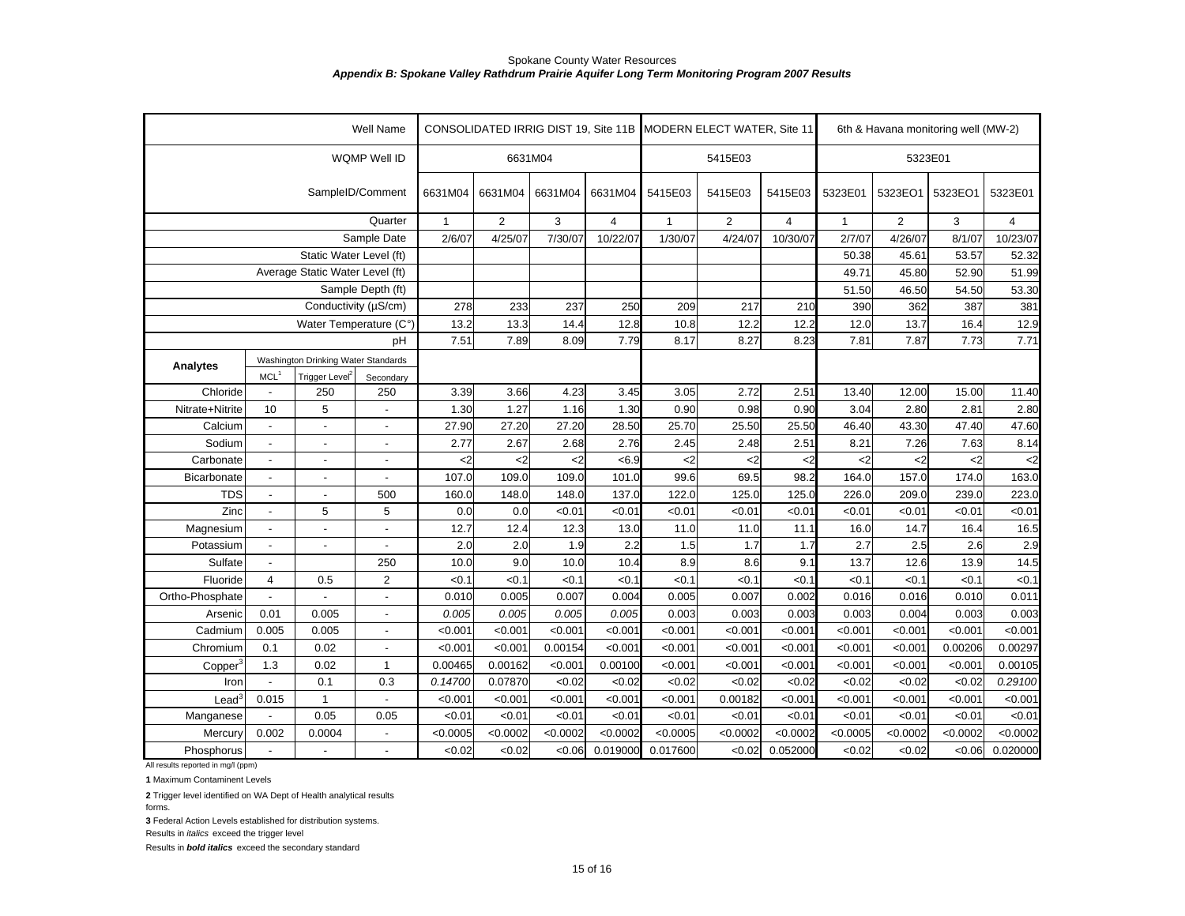|                                          |                          |                                     | Well Name                |                               |                |               |                |               | CONSOLIDATED IRRIG DIST 19, Site 11B MODERN ELECT WATER, Site 11 |                |              | 6th & Havana monitoring well (MW-2) |            |          |  |  |
|------------------------------------------|--------------------------|-------------------------------------|--------------------------|-------------------------------|----------------|---------------|----------------|---------------|------------------------------------------------------------------|----------------|--------------|-------------------------------------|------------|----------|--|--|
|                                          |                          |                                     | WQMP Well ID             | 6631M04<br>5415E03<br>5323E01 |                |               |                |               |                                                                  |                |              |                                     |            |          |  |  |
|                                          |                          |                                     | SampleID/Comment         | 6631M04                       | 6631M04        | 6631M04       | 6631M04        | 5415E03       | 5415E03                                                          | 5415E03        | 5323E01      | 5323EO1                             | 5323EO1    | 5323E01  |  |  |
|                                          |                          |                                     | Quarter                  | $\overline{1}$                | $\overline{2}$ | 3             | $\overline{4}$ | 1             | 2                                                                | $\overline{4}$ | $\mathbf{1}$ | $\overline{2}$                      | 3          | 4        |  |  |
|                                          |                          |                                     | Sample Date              | 2/6/07                        | 4/25/07        | 7/30/07       | 10/22/07       | 1/30/07       | 4/24/07                                                          | 10/30/07       | 2/7/07       | 4/26/07                             | 8/1/07     | 10/23/07 |  |  |
|                                          |                          | Static Water Level (ft)             |                          |                               |                |               |                |               |                                                                  |                | 50.38        | 45.61                               | 53.57      | 52.32    |  |  |
|                                          |                          | Average Static Water Level (ft)     |                          |                               |                |               |                |               |                                                                  |                | 49.71        | 45.80                               | 52.90      | 51.99    |  |  |
|                                          |                          |                                     | Sample Depth (ft)        |                               |                |               |                |               |                                                                  |                | 51.50        | 46.50                               | 54.50      | 53.30    |  |  |
|                                          |                          |                                     | Conductivity (µS/cm)     | 278                           | 233            | 237           | 250            | 209           | 217                                                              | 210            | 390          | 362                                 | 387        | 381      |  |  |
|                                          |                          | Water Temperature (C°)              |                          | 13.2                          | 13.3           | 14.4          | 12.8           | 10.8          | 12.2                                                             | 12.2           | 12.0         | 13.7                                | 16.4       | 12.9     |  |  |
|                                          |                          |                                     | pH                       | 7.51                          | 7.89           | 8.09          | 7.79           | 8.17          | 8.27                                                             | 8.23           | 7.81         | 7.87                                | 7.73       | 7.71     |  |  |
| <b>Analytes</b>                          |                          | Washington Drinking Water Standards |                          |                               |                |               |                |               |                                                                  |                |              |                                     |            |          |  |  |
|                                          | MCL <sup>1</sup>         | Trigger Level <sup>2</sup>          | Secondary                |                               |                |               |                |               |                                                                  |                |              |                                     |            |          |  |  |
| Chloride                                 |                          | 250                                 | 250                      | 3.39                          | 3.66           | 4.23          | 3.45           | 3.05          | 2.72                                                             | 2.51           | 13.40        | 12.00                               | 15.00      | 11.40    |  |  |
| Nitrate+Nitrite                          | 10                       | 5                                   |                          | 1.30                          | 1.27           | 1.16          | 1.30           | 0.90          | 0.98                                                             | 0.90           | 3.04         | 2.80                                | 2.81       | 2.80     |  |  |
| Calcium                                  | $\overline{\phantom{a}}$ | $\overline{a}$                      |                          | 27.90                         | 27.20          | 27.20         | 28.50          | 25.70         | 25.50                                                            | 25.50          | 46.40        | 43.30                               | 47.40      | 47.60    |  |  |
| Sodium                                   | $\blacksquare$           |                                     |                          | 2.77                          | 2.67           | 2.68          | 2.76           | 2.45          | 2.48                                                             | 2.51           | 8.21         | 7.26                                | 7.63       | 8.14     |  |  |
| Carbonate                                | $\overline{\phantom{a}}$ |                                     |                          | $\mathsf{<}2$                 | $\mathsf{C}2$  | $\mathbf{<}2$ | < 6.9          | $\mathbf{<}2$ | <2                                                               | <2             | $\epsilon$   | $<$ 2                               | $\epsilon$ | -2       |  |  |
| Bicarbonate                              | $\overline{\phantom{a}}$ | $\overline{a}$                      | $\overline{a}$           | 107.0                         | 109.0          | 109.0         | 101.0          | 99.6          | 69.5                                                             | 98.2           | 164.0        | 157.0                               | 174.0      | 163.0    |  |  |
| <b>TDS</b>                               | $\overline{a}$           | $\overline{a}$                      | 500                      | 160.0                         | 148.0          | 148.0         | 137.0          | 122.0         | 125.0                                                            | 125.0          | 226.0        | 209.0                               | 239.0      | 223.0    |  |  |
| Zinc                                     | $\overline{\phantom{a}}$ | 5                                   | 5                        | 0.0                           | 0.0            | < 0.01        | < 0.01         | < 0.01        | < 0.01                                                           | < 0.01         | < 0.01       | < 0.01                              | < 0.01     | < 0.01   |  |  |
| Magnesium                                | $\overline{\phantom{a}}$ | $\overline{a}$                      | $\overline{\phantom{a}}$ | 12.7                          | 12.4           | 12.3          | 13.0           | 11.0          | 11.0                                                             | 11.1           | 16.0         | 14.7                                | 16.4       | 16.5     |  |  |
| Potassium                                | $\overline{\phantom{a}}$ | $\overline{a}$                      | $\overline{\phantom{a}}$ | 2.0                           | 2.0            | 1.9           | 2.2            | 1.5           | 1.7                                                              | 1.7            | 2.7          | 2.5                                 | 2.6        | 2.9      |  |  |
| Sulfate                                  | $\overline{\phantom{a}}$ |                                     | 250                      | 10.0                          | 9.0            | 10.0          | 10.4           | 8.9           | 8.6                                                              | 9.1            | 13.7         | 12.6                                | 13.9       | 14.5     |  |  |
| Fluoride                                 | 4                        | 0.5                                 | $\overline{\mathbf{c}}$  | < 0.1                         | <0.1           | < 0.1         | < 0.1          | < 0.1         | < 0.1                                                            | < 0.1          | < 0.1        | < 0.1                               | < 0.1      | < 0.1    |  |  |
| Ortho-Phosphate                          |                          |                                     |                          | 0.010                         | 0.005          | 0.007         | 0.004          | 0.005         | 0.007                                                            | 0.002          | 0.016        | 0.016                               | 0.010      | 0.011    |  |  |
| Arsenic                                  | 0.01                     | 0.005                               |                          | 0.005                         | 0.005          | 0.005         | 0.005          | 0.003         | 0.003                                                            | 0.003          | 0.003        | 0.004                               | 0.003      | 0.003    |  |  |
| Cadmium                                  | 0.005                    | 0.005                               |                          | < 0.001                       | < 0.001        | < 0.001       | < 0.001        | < 0.001       | < 0.001                                                          | < 0.001        | < 0.001      | < 0.001                             | < 0.001    | < 0.001  |  |  |
| Chromium                                 | 0.1                      | 0.02                                |                          | < 0.001                       | < 0.001        | 0.00154       | < 0.001        | < 0.001       | < 0.001                                                          | < 0.001        | < 0.001      | < 0.001                             | 0.00206    | 0.00297  |  |  |
| Copper <sup>3</sup>                      | 1.3                      | 0.02                                | $\mathbf{1}$             | 0.00465                       | 0.00162        | < 0.001       | 0.00100        | < 0.001       | < 0.001                                                          | < 0.001        | < 0.001      | < 0.001                             | < 0.001    | 0.00105  |  |  |
| Iron                                     |                          | 0.1                                 | 0.3                      | 0.14700                       | 0.07870        | < 0.02        | < 0.02         | <0.02         | <0.02                                                            | < 0.02         | <0.02        | < 0.02                              | <0.02      | 0.29100  |  |  |
| 0.015<br>$\mathbf{1}$<br>$\text{Lead}^3$ |                          | < 0.001                             | < 0.001                  | < 0.001                       | < 0.001        | < 0.001       | 0.00182        | < 0.001       | < 0.001                                                          | < 0.001        | < 0.001      | < 0.001                             |            |          |  |  |
| Manganese                                |                          | 0.05                                | 0.05                     | < 0.01                        | < 0.01         | < 0.01        | < 0.01         | < 0.01        | < 0.01                                                           | < 0.01         | < 0.01       | < 0.01                              | < 0.01     | < 0.01   |  |  |
| Mercury                                  | 0.002                    | 0.0004                              |                          | < 0.0005                      | < 0.0002       | < 0.0002      | < 0.0002       | < 0.0005      | < 0.0002                                                         | < 0.0002       | < 0.0005     | < 0.0002                            | < 0.0002   | < 0.0002 |  |  |
| Phosphorus                               |                          | $\overline{a}$                      |                          | <0.02                         | <0.02          | <0.06         | 0.019000       | 0.017600      | <0.02                                                            | 0.052000       | <0.02        | < 0.02                              | <0.06      | 0.020000 |  |  |
| All results reported in mg/l (ppm)       |                          |                                     |                          |                               |                |               |                |               |                                                                  |                |              |                                     |            |          |  |  |

**1** Maximum Contaminent Levels

**2** Trigger level identified on WA Dept of Health analytical results

forms.

**3** Federal Action Levels established for distribution systems.

Results in *italics* exceed the trigger level